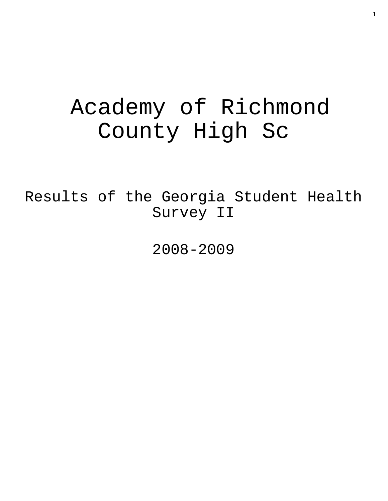# Academy of Richmond County High Sc

Results of the Georgia Student Health Survey II

2008-2009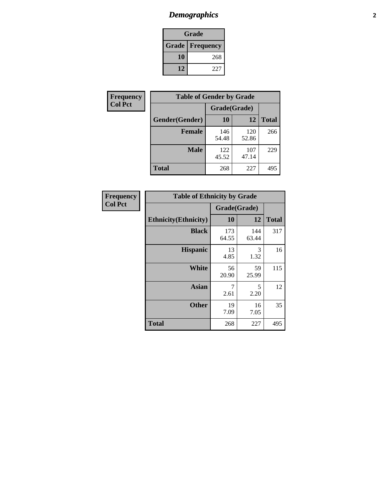# *Demographics* **2**

| Grade                    |     |  |  |  |
|--------------------------|-----|--|--|--|
| <b>Grade   Frequency</b> |     |  |  |  |
| 10                       | 268 |  |  |  |
| 12                       | 227 |  |  |  |

| <b>Frequency</b> | <b>Table of Gender by Grade</b> |              |              |              |  |
|------------------|---------------------------------|--------------|--------------|--------------|--|
| <b>Col Pct</b>   |                                 | Grade(Grade) |              |              |  |
|                  | Gender(Gender)                  | 10           | 12           | <b>Total</b> |  |
|                  | <b>Female</b>                   | 146<br>54.48 | 120<br>52.86 | 266          |  |
|                  | <b>Male</b>                     | 122<br>45.52 | 107<br>47.14 | 229          |  |
|                  | <b>Total</b>                    | 268          | 227          | 495          |  |

| Frequency<br>Col Pct |
|----------------------|
|                      |

| <b>Table of Ethnicity by Grade</b> |              |              |              |  |  |  |
|------------------------------------|--------------|--------------|--------------|--|--|--|
|                                    | Grade(Grade) |              |              |  |  |  |
| <b>Ethnicity</b> (Ethnicity)       | 10           | 12           | <b>Total</b> |  |  |  |
| <b>Black</b>                       | 173<br>64.55 | 144<br>63.44 | 317          |  |  |  |
| <b>Hispanic</b>                    | 13<br>4.85   | 3<br>1.32    | 16           |  |  |  |
| White                              | 56<br>20.90  | 59<br>25.99  | 115          |  |  |  |
| <b>Asian</b>                       | 7<br>2.61    | 5<br>2.20    | 12           |  |  |  |
| <b>Other</b>                       | 19<br>7.09   | 16<br>7.05   | 35           |  |  |  |
| <b>Total</b>                       | 268          | 227          | 495          |  |  |  |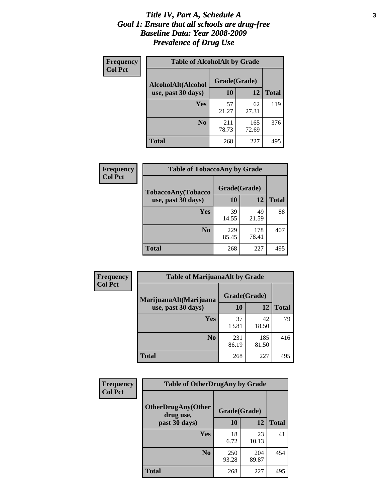#### *Title IV, Part A, Schedule A* **3** *Goal 1: Ensure that all schools are drug-free Baseline Data: Year 2008-2009 Prevalence of Drug Use*

| Frequency<br><b>Col Pct</b> | <b>Table of AlcoholAlt by Grade</b> |              |              |              |  |
|-----------------------------|-------------------------------------|--------------|--------------|--------------|--|
|                             | AlcoholAlt(Alcohol                  | Grade(Grade) |              |              |  |
|                             | use, past 30 days)                  | 10           | 12           | <b>Total</b> |  |
|                             | <b>Yes</b>                          | 57<br>21.27  | 62<br>27.31  | 119          |  |
|                             | N <sub>0</sub>                      | 211<br>78.73 | 165<br>72.69 | 376          |  |
|                             | Total                               | 268          | 227          | 495          |  |

| <b>Frequency</b><br><b>Col Pct</b> | <b>Table of TobaccoAny by Grade</b> |              |              |              |  |
|------------------------------------|-------------------------------------|--------------|--------------|--------------|--|
|                                    | TobaccoAny(Tobacco                  | Grade(Grade) |              |              |  |
|                                    | use, past 30 days)                  | 10           | 12           | <b>Total</b> |  |
|                                    | Yes                                 | 39<br>14.55  | 49<br>21.59  | 88           |  |
|                                    | N <sub>0</sub>                      | 229<br>85.45 | 178<br>78.41 | 407          |  |
|                                    | Total                               | 268          | 227          | 495          |  |

| Frequency<br><b>Col Pct</b> | <b>Table of MarijuanaAlt by Grade</b> |              |              |              |  |
|-----------------------------|---------------------------------------|--------------|--------------|--------------|--|
|                             | MarijuanaAlt(Marijuana                | Grade(Grade) |              |              |  |
|                             | use, past 30 days)                    | <b>10</b>    | 12           | <b>Total</b> |  |
|                             | <b>Yes</b>                            | 37<br>13.81  | 42<br>18.50  | 79           |  |
|                             | N <sub>0</sub>                        | 231<br>86.19 | 185<br>81.50 | 416          |  |
|                             | <b>Total</b>                          | 268          | 227          | 495          |  |

| Frequency<br><b>Col Pct</b> | <b>Table of OtherDrugAny by Grade</b>  |              |              |              |  |
|-----------------------------|----------------------------------------|--------------|--------------|--------------|--|
|                             | <b>OtherDrugAny(Other</b><br>drug use, | Grade(Grade) |              |              |  |
|                             | past 30 days)                          | 10           | 12           | <b>Total</b> |  |
|                             | Yes                                    | 18<br>6.72   | 23<br>10.13  | 41           |  |
|                             | N <sub>0</sub>                         | 250<br>93.28 | 204<br>89.87 | 454          |  |
|                             | <b>Total</b>                           | 268          | 227          | 495          |  |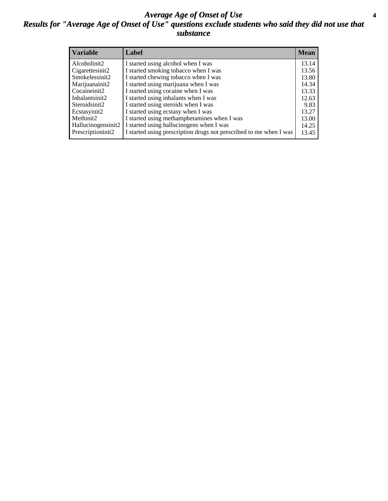### *Average Age of Onset of Use* **4** *Results for "Average Age of Onset of Use" questions exclude students who said they did not use that substance*

| <b>Variable</b>    | Label                                                              | <b>Mean</b> |
|--------------------|--------------------------------------------------------------------|-------------|
| Alcoholinit2       | I started using alcohol when I was                                 | 13.14       |
| Cigarettesinit2    | I started smoking tobacco when I was                               | 13.56       |
| Smokelessinit2     | I started chewing tobacco when I was                               | 13.80       |
| Marijuanainit2     | I started using marijuana when I was                               | 14.34       |
| Cocaineinit2       | I started using cocaine when I was                                 | 13.33       |
| Inhalantsinit2     | I started using inhalants when I was                               | 12.63       |
| Steroidsinit2      | I started using steroids when I was                                | 9.83        |
| Ecstasyinit2       | I started using ecstasy when I was                                 | 13.27       |
| Methinit2          | I started using methamphetamines when I was                        | 13.00       |
| Hallucinogensinit2 | I started using hallucinogens when I was                           | 14.25       |
| Prescriptioninit2  | I started using prescription drugs not prescribed to me when I was | 13.45       |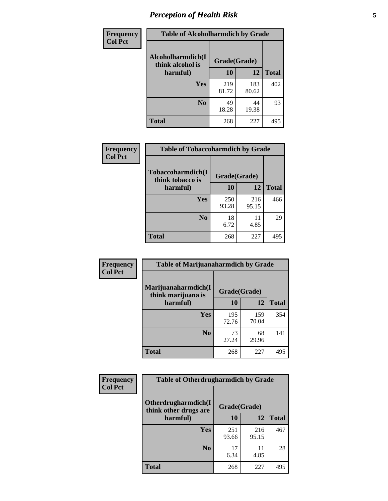# *Perception of Health Risk* **5**

| Frequency      | <b>Table of Alcoholharmdich by Grade</b> |              |              |              |
|----------------|------------------------------------------|--------------|--------------|--------------|
| <b>Col Pct</b> | Alcoholharmdich(I<br>think alcohol is    | Grade(Grade) |              |              |
|                | harmful)                                 | 10           | 12           | <b>Total</b> |
|                | <b>Yes</b>                               | 219<br>81.72 | 183<br>80.62 | 402          |
|                | N <sub>0</sub>                           | 49<br>18.28  | 44<br>19.38  | 93           |
|                | <b>Total</b>                             | 268          | 227          | 495          |

| <b>Frequency</b> | <b>Table of Tobaccoharmdich by Grade</b> |              |              |              |  |
|------------------|------------------------------------------|--------------|--------------|--------------|--|
| <b>Col Pct</b>   | Tobaccoharmdich(I<br>think tobacco is    | Grade(Grade) |              |              |  |
|                  | harmful)                                 | 10           | 12           | <b>Total</b> |  |
|                  | Yes                                      | 250<br>93.28 | 216<br>95.15 | 466          |  |
|                  | N <sub>0</sub>                           | 18<br>6.72   | 11<br>4.85   | 29           |  |
|                  | <b>Total</b>                             | 268          | 227          | 495          |  |

| Frequency<br><b>Col Pct</b> | <b>Table of Marijuanaharmdich by Grade</b>                |              |              |              |  |  |
|-----------------------------|-----------------------------------------------------------|--------------|--------------|--------------|--|--|
|                             | Marijuanaharmdich(I<br>Grade(Grade)<br>think marijuana is |              |              |              |  |  |
|                             | harmful)                                                  | 10           | 12           | <b>Total</b> |  |  |
|                             | <b>Yes</b>                                                | 195<br>72.76 | 159<br>70.04 | 354          |  |  |
|                             | N <sub>0</sub>                                            | 73<br>27.24  | 68<br>29.96  | 141          |  |  |
|                             | <b>Total</b>                                              | 268          | 227          | 495          |  |  |

| <b>Frequency</b> | <b>Table of Otherdrugharmdich by Grade</b>                   |              |              |              |  |  |  |  |
|------------------|--------------------------------------------------------------|--------------|--------------|--------------|--|--|--|--|
| <b>Col Pct</b>   | Otherdrugharmdich(I<br>Grade(Grade)<br>think other drugs are |              |              |              |  |  |  |  |
|                  | harmful)                                                     | 10           | 12           | <b>Total</b> |  |  |  |  |
|                  | Yes                                                          | 251<br>93.66 | 216<br>95.15 | 467          |  |  |  |  |
|                  | N <sub>0</sub>                                               | 17<br>6.34   | 11<br>4.85   | 28           |  |  |  |  |
|                  | <b>Total</b>                                                 | 268          | 227          | 495          |  |  |  |  |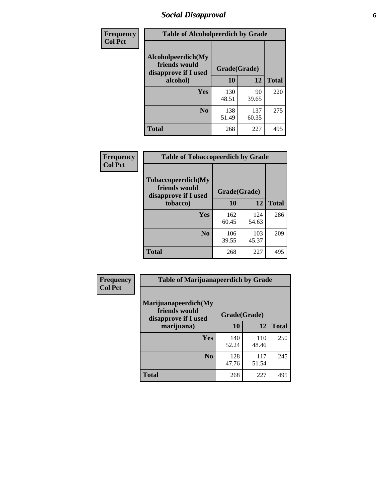# *Social Disapproval* **6**

| Frequency      | <b>Table of Alcoholpeerdich by Grade</b>                    |              |              |              |  |  |  |  |
|----------------|-------------------------------------------------------------|--------------|--------------|--------------|--|--|--|--|
| <b>Col Pct</b> | Alcoholpeerdich(My<br>friends would<br>disapprove if I used | Grade(Grade) |              |              |  |  |  |  |
|                | alcohol)                                                    |              | 12           | <b>Total</b> |  |  |  |  |
|                | <b>Yes</b>                                                  | 130<br>48.51 | 90<br>39.65  | 220          |  |  |  |  |
|                | N <sub>0</sub>                                              | 138<br>51.49 | 137<br>60.35 | 275          |  |  |  |  |
|                | <b>Total</b>                                                | 268          | 227          | 495          |  |  |  |  |

| <b>Frequency</b> |
|------------------|
| <b>Col Pct</b>   |

| <b>Table of Tobaccopeerdich by Grade</b>                    |              |              |              |  |  |  |  |
|-------------------------------------------------------------|--------------|--------------|--------------|--|--|--|--|
| Tobaccopeerdich(My<br>friends would<br>disapprove if I used | Grade(Grade) |              |              |  |  |  |  |
| tobacco)                                                    | 10           | 12           | <b>Total</b> |  |  |  |  |
| Yes                                                         | 162<br>60.45 | 124<br>54.63 | 286          |  |  |  |  |
| N <sub>0</sub>                                              | 106<br>39.55 | 103<br>45.37 | 209          |  |  |  |  |
| <b>Total</b>                                                | 268          | 227          | 495          |  |  |  |  |

| <b>Frequency</b> | <b>Table of Marijuanapeerdich by Grade</b>                    |              |              |              |  |  |  |  |
|------------------|---------------------------------------------------------------|--------------|--------------|--------------|--|--|--|--|
| <b>Col Pct</b>   | Marijuanapeerdich(My<br>friends would<br>disapprove if I used | Grade(Grade) |              |              |  |  |  |  |
|                  | marijuana)                                                    | 10           | 12           | <b>Total</b> |  |  |  |  |
|                  | <b>Yes</b>                                                    | 140<br>52.24 | 110<br>48.46 | 250          |  |  |  |  |
|                  | N <sub>0</sub>                                                | 128<br>47.76 | 117<br>51.54 | 245          |  |  |  |  |
|                  | <b>Total</b>                                                  | 268          | 227          | 495          |  |  |  |  |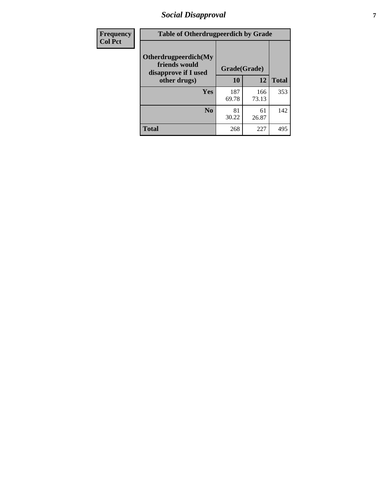# *Social Disapproval* **7**

| Frequency      | <b>Table of Otherdrugpeerdich by Grade</b>                    |              |              |              |  |  |  |  |
|----------------|---------------------------------------------------------------|--------------|--------------|--------------|--|--|--|--|
| <b>Col Pct</b> | Otherdrugpeerdich(My<br>friends would<br>disapprove if I used | Grade(Grade) |              |              |  |  |  |  |
|                | other drugs)                                                  | 10           | 12           | <b>Total</b> |  |  |  |  |
|                | Yes                                                           | 187<br>69.78 | 166<br>73.13 | 353          |  |  |  |  |
|                | N <sub>0</sub>                                                | 81<br>30.22  | 61<br>26.87  | 142          |  |  |  |  |
|                | <b>Total</b>                                                  | 268          | 227          | 495          |  |  |  |  |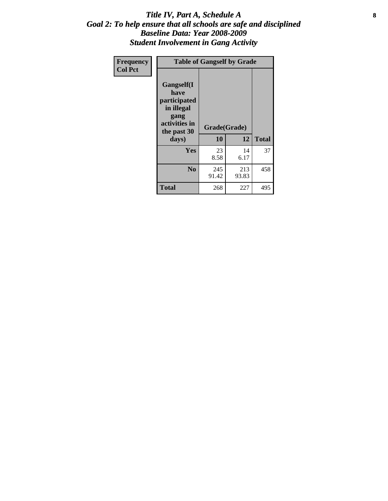### Title IV, Part A, Schedule A **8** *Goal 2: To help ensure that all schools are safe and disciplined Baseline Data: Year 2008-2009 Student Involvement in Gang Activity*

| Frequency      | <b>Table of Gangself by Grade</b>                                                                 |                    |              |              |
|----------------|---------------------------------------------------------------------------------------------------|--------------------|--------------|--------------|
| <b>Col Pct</b> | Gangself(I<br>have<br>participated<br>in illegal<br>gang<br>activities in<br>the past 30<br>days) | Grade(Grade)<br>10 | 12           | <b>Total</b> |
|                | Yes                                                                                               | 23<br>8.58         | 14<br>6.17   | 37           |
|                | N <sub>0</sub>                                                                                    | 245<br>91.42       | 213<br>93.83 | 458          |
|                | <b>Total</b>                                                                                      | 268                | 227          | 495          |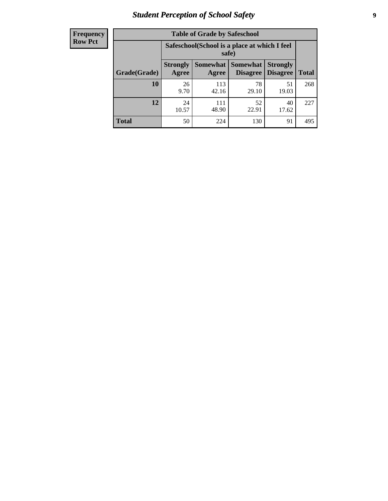# *Student Perception of School Safety* **9**

| <b>Frequency</b><br>Row Pct |
|-----------------------------|
|                             |

| <b>Table of Grade by Safeschool</b> |                                                                                                                                           |                                                        |             |             |     |  |  |
|-------------------------------------|-------------------------------------------------------------------------------------------------------------------------------------------|--------------------------------------------------------|-------------|-------------|-----|--|--|
|                                     |                                                                                                                                           | Safeschool (School is a place at which I feel<br>safe) |             |             |     |  |  |
| Grade(Grade)                        | <b>Somewhat</b><br><b>Somewhat</b><br><b>Strongly</b><br><b>Strongly</b><br><b>Disagree</b><br>Agree<br>Disagree<br><b>Total</b><br>Agree |                                                        |             |             |     |  |  |
| 10                                  | 26<br>9.70                                                                                                                                | 113<br>42.16                                           | 78<br>29.10 | 51<br>19.03 | 268 |  |  |
| 12                                  | 24<br>10.57                                                                                                                               | 111<br>48.90                                           | 52<br>22.91 | 40<br>17.62 | 227 |  |  |
| <b>Total</b>                        | 50                                                                                                                                        | 224                                                    | 130         | 91          | 495 |  |  |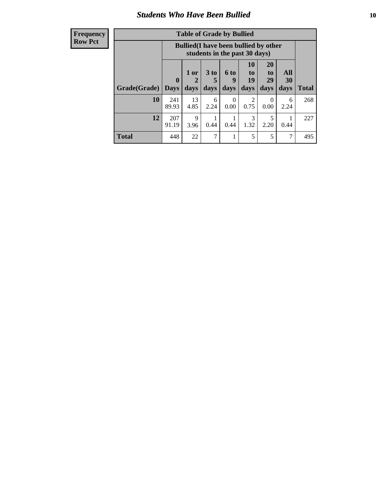### *Students Who Have Been Bullied* **10**

| <b>Frequency</b> |
|------------------|
| Row Pct          |

| <b>Table of Grade by Bullied</b> |                            |                                                                               |                   |                              |                               |                        |                   |              |
|----------------------------------|----------------------------|-------------------------------------------------------------------------------|-------------------|------------------------------|-------------------------------|------------------------|-------------------|--------------|
|                                  |                            | <b>Bullied</b> (I have been bullied by other<br>students in the past 30 days) |                   |                              |                               |                        |                   |              |
| Grade(Grade)                     | $\mathbf 0$<br><b>Days</b> | 1 or<br>2<br>days                                                             | 3 to<br>5<br>days | 6 <sub>to</sub><br>9<br>days | <b>10</b><br>to<br>19<br>days | 20<br>to<br>29<br>days | All<br>30<br>days | <b>Total</b> |
| 10                               | 241<br>89.93               | 13<br>4.85                                                                    | 6<br>2.24         | $\Omega$<br>0.00             | 2<br>0.75                     | $\theta$<br>0.00       | 6<br>2.24         | 268          |
| 12                               | 207<br>91.19               | 9<br>3.96                                                                     | 0.44              | 0.44                         | 3<br>1.32                     | 5<br>2.20              | 0.44              | 227          |
| <b>Total</b>                     | 448                        | 22                                                                            | 7                 |                              | 5                             | 5                      | 7                 | 495          |

 $\blacksquare$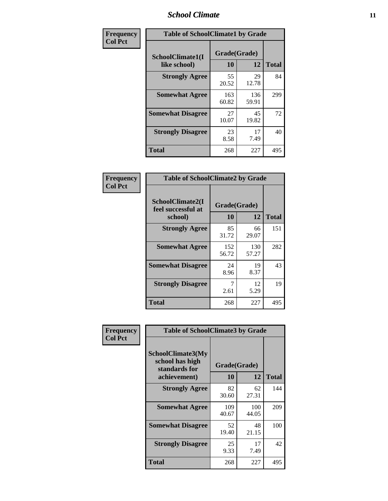### *School Climate* **11**

| Frequency      | <b>Table of SchoolClimate1 by Grade</b> |                    |              |              |  |  |  |
|----------------|-----------------------------------------|--------------------|--------------|--------------|--|--|--|
| <b>Col Pct</b> | SchoolClimate1(I<br>like school)        | Grade(Grade)<br>10 | 12           | <b>Total</b> |  |  |  |
|                | <b>Strongly Agree</b>                   | 55<br>20.52        | 29<br>12.78  | 84           |  |  |  |
|                | <b>Somewhat Agree</b>                   | 163<br>60.82       | 136<br>59.91 | 299          |  |  |  |
|                | <b>Somewhat Disagree</b>                | 27<br>10.07        | 45<br>19.82  | 72           |  |  |  |
|                | <b>Strongly Disagree</b>                | 23<br>8.58         | 17<br>7.49   | 40           |  |  |  |
|                | Total                                   | 268                | 227          | 495          |  |  |  |

| Frequency<br>Col Pct |
|----------------------|

| <b>Table of SchoolClimate2 by Grade</b>           |                    |              |              |  |  |
|---------------------------------------------------|--------------------|--------------|--------------|--|--|
| SchoolClimate2(I<br>feel successful at<br>school) | Grade(Grade)<br>10 | 12           | <b>Total</b> |  |  |
| <b>Strongly Agree</b>                             | 85<br>31.72        | 66<br>29.07  | 151          |  |  |
| <b>Somewhat Agree</b>                             | 152<br>56.72       | 130<br>57.27 | 282          |  |  |
| <b>Somewhat Disagree</b>                          | 24<br>8.96         | 19<br>8.37   | 43           |  |  |
| <b>Strongly Disagree</b>                          | 7<br>2.61          | 12<br>5.29   | 19           |  |  |
| <b>Total</b>                                      | 268                | 227          | 495          |  |  |

| Frequency      | <b>Table of SchoolClimate3 by Grade</b>               |                    |              |              |  |
|----------------|-------------------------------------------------------|--------------------|--------------|--------------|--|
| <b>Col Pct</b> | SchoolClimate3(My<br>school has high<br>standards for | Grade(Grade)<br>12 |              |              |  |
|                | achievement)                                          | 10                 |              | <b>Total</b> |  |
|                | <b>Strongly Agree</b>                                 | 82<br>30.60        | 62<br>27.31  | 144          |  |
|                | <b>Somewhat Agree</b>                                 | 109<br>40.67       | 100<br>44.05 | 209          |  |
|                | <b>Somewhat Disagree</b>                              | 52<br>19.40        | 48<br>21.15  | 100          |  |
|                | <b>Strongly Disagree</b>                              | 25<br>9.33         | 17<br>7.49   | 42           |  |
|                | Total                                                 | 268                | 227          | 495          |  |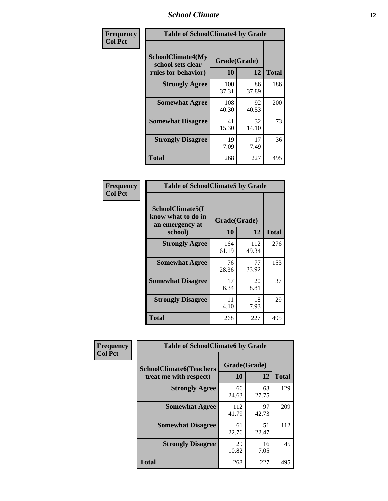### *School Climate* **12**

| Frequency      | <b>Table of SchoolClimate4 by Grade</b>                              |                    |             |              |  |
|----------------|----------------------------------------------------------------------|--------------------|-------------|--------------|--|
| <b>Col Pct</b> | <b>SchoolClimate4(My</b><br>school sets clear<br>rules for behavior) | Grade(Grade)<br>10 | 12          | <b>Total</b> |  |
|                | <b>Strongly Agree</b>                                                | 100<br>37.31       | 86<br>37.89 | 186          |  |
|                | <b>Somewhat Agree</b>                                                | 108<br>40.30       | 92<br>40.53 | 200          |  |
|                | <b>Somewhat Disagree</b>                                             | 41<br>15.30        | 32<br>14.10 | 73           |  |
|                | <b>Strongly Disagree</b>                                             | 19<br>7.09         | 17<br>7.49  | 36           |  |
|                | <b>Total</b>                                                         | 268                | 227         | 495          |  |

| <b>Table of SchoolClimate5 by Grade</b>                              |                    |              |              |  |
|----------------------------------------------------------------------|--------------------|--------------|--------------|--|
| SchoolClimate5(I<br>know what to do in<br>an emergency at<br>school) | Grade(Grade)<br>10 | 12           | <b>Total</b> |  |
|                                                                      |                    |              |              |  |
| <b>Strongly Agree</b>                                                | 164<br>61.19       | 112<br>49.34 | 276          |  |
| <b>Somewhat Agree</b>                                                | 76<br>28.36        | 77<br>33.92  | 153          |  |
| <b>Somewhat Disagree</b>                                             | 17<br>6.34         | 20<br>8.81   | 37           |  |
| <b>Strongly Disagree</b>                                             | 11<br>4.10         | 18<br>7.93   | 29           |  |
| Total                                                                | 268                | 227          | 495          |  |

| Frequency      | <b>Table of SchoolClimate6 by Grade</b>                  |                    |             |              |  |
|----------------|----------------------------------------------------------|--------------------|-------------|--------------|--|
| <b>Col Pct</b> | <b>SchoolClimate6(Teachers</b><br>treat me with respect) | Grade(Grade)<br>10 | 12          | <b>Total</b> |  |
|                | <b>Strongly Agree</b>                                    | 66<br>24.63        | 63<br>27.75 | 129          |  |
|                | <b>Somewhat Agree</b>                                    | 112<br>41.79       | 97<br>42.73 | 209          |  |
|                | <b>Somewhat Disagree</b>                                 | 61<br>22.76        | 51<br>22.47 | 112          |  |
|                | <b>Strongly Disagree</b>                                 | 29<br>10.82        | 16<br>7.05  | 45           |  |
|                | <b>Total</b>                                             | 268                | 227         | 495          |  |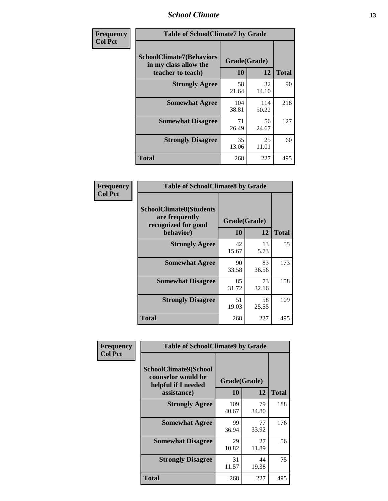### *School Climate* **13**

| Frequency      | <b>Table of SchoolClimate7 by Grade</b>                                       |                    |              |              |  |
|----------------|-------------------------------------------------------------------------------|--------------------|--------------|--------------|--|
| <b>Col Pct</b> | <b>SchoolClimate7(Behaviors</b><br>in my class allow the<br>teacher to teach) | Grade(Grade)<br>10 | 12           | <b>Total</b> |  |
|                | <b>Strongly Agree</b>                                                         | 58<br>21.64        | 32<br>14.10  | 90           |  |
|                | <b>Somewhat Agree</b>                                                         | 104<br>38.81       | 114<br>50.22 | 218          |  |
|                | <b>Somewhat Disagree</b>                                                      | 71<br>26.49        | 56<br>24.67  | 127          |  |
|                | <b>Strongly Disagree</b>                                                      | 35<br>13.06        | 25<br>11.01  | 60           |  |
|                | <b>Total</b>                                                                  | 268                | 227          | 495          |  |

| Frequency      | <b>Table of SchoolClimate8 by Grade</b>                                 |              |             |              |  |
|----------------|-------------------------------------------------------------------------|--------------|-------------|--------------|--|
| <b>Col Pct</b> | <b>SchoolClimate8(Students</b><br>are frequently<br>recognized for good | Grade(Grade) |             |              |  |
|                | behavior)                                                               | 10           | 12          | <b>Total</b> |  |
|                | <b>Strongly Agree</b>                                                   | 42<br>15.67  | 13<br>5.73  | 55           |  |
|                | <b>Somewhat Agree</b>                                                   | 90<br>33.58  | 83<br>36.56 | 173          |  |
|                | <b>Somewhat Disagree</b>                                                | 85<br>31.72  | 73<br>32.16 | 158          |  |
|                | <b>Strongly Disagree</b>                                                | 51<br>19.03  | 58<br>25.55 | 109          |  |
|                | <b>Total</b>                                                            | 268          | 227         | 495          |  |

| Frequency      | <b>Table of SchoolClimate9 by Grade</b>                                           |                    |             |              |  |
|----------------|-----------------------------------------------------------------------------------|--------------------|-------------|--------------|--|
| <b>Col Pct</b> | SchoolClimate9(School<br>counselor would be<br>helpful if I needed<br>assistance) | Grade(Grade)<br>10 | 12          | <b>Total</b> |  |
|                | <b>Strongly Agree</b>                                                             | 109<br>40.67       | 79<br>34.80 | 188          |  |
|                | <b>Somewhat Agree</b>                                                             | 99<br>36.94        | 77<br>33.92 | 176          |  |
|                | <b>Somewhat Disagree</b>                                                          | 29<br>10.82        | 27<br>11.89 | 56           |  |
|                | <b>Strongly Disagree</b>                                                          | 31<br>11.57        | 44<br>19.38 | 75           |  |
|                | Total                                                                             | 268                | 227         | 495          |  |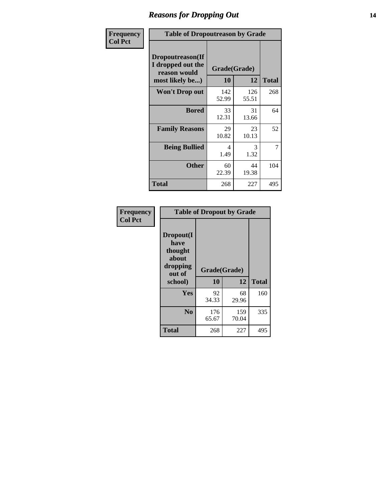### *Reasons for Dropping Out* **14**

| <b>Frequency</b> | <b>Table of Dropoutreason by Grade</b>                                   |              |                    |              |  |
|------------------|--------------------------------------------------------------------------|--------------|--------------------|--------------|--|
| <b>Col Pct</b>   | Dropoutreason(If<br>I dropped out the<br>reason would<br>most likely be) | 10           | Grade(Grade)<br>12 | <b>Total</b> |  |
|                  | <b>Won't Drop out</b>                                                    | 142<br>52.99 | 126<br>55.51       | 268          |  |
|                  | <b>Bored</b>                                                             | 33<br>12.31  | 31<br>13.66        | 64           |  |
|                  | <b>Family Reasons</b>                                                    | 29<br>10.82  | 23<br>10.13        | 52           |  |
|                  | <b>Being Bullied</b>                                                     | 4<br>1.49    | 3<br>1.32          | 7            |  |
|                  | <b>Other</b>                                                             | 60<br>22.39  | 44<br>19.38        | 104          |  |
|                  | <b>Total</b>                                                             | 268          | 227                | 495          |  |

| Frequency      | <b>Table of Dropout by Grade</b>                            |              |              |              |  |
|----------------|-------------------------------------------------------------|--------------|--------------|--------------|--|
| <b>Col Pct</b> | Dropout(I<br>have<br>thought<br>about<br>dropping<br>out of | Grade(Grade) |              |              |  |
|                | school)                                                     | 10           | 12           | <b>Total</b> |  |
|                | <b>Yes</b>                                                  | 92<br>34.33  | 68<br>29.96  | 160          |  |
|                | N <sub>0</sub>                                              | 176<br>65.67 | 159<br>70.04 | 335          |  |
|                | <b>Total</b>                                                | 268          | 227          | 495          |  |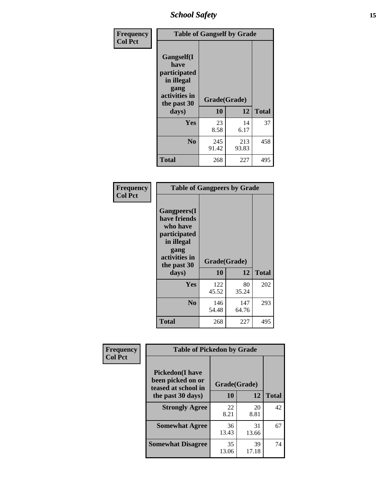*School Safety* **15**

| Frequency      | <b>Table of Gangself by Grade</b>                                                                         |                    |              |              |  |
|----------------|-----------------------------------------------------------------------------------------------------------|--------------------|--------------|--------------|--|
| <b>Col Pct</b> | <b>Gangself</b> (I<br>have<br>participated<br>in illegal<br>gang<br>activities in<br>the past 30<br>days) | Grade(Grade)<br>10 | 12           | <b>Total</b> |  |
|                | Yes                                                                                                       | 23<br>8.58         | 14<br>6.17   | 37           |  |
|                | N <sub>0</sub>                                                                                            | 245<br>91.42       | 213<br>93.83 | 458          |  |
|                | <b>Total</b>                                                                                              | 268                | 227          | 495          |  |

| Frequency<br><b>Col Pct</b> | <b>Table of Gangpeers by Grade</b>                                                                                             |                    |              |              |  |  |  |  |  |  |
|-----------------------------|--------------------------------------------------------------------------------------------------------------------------------|--------------------|--------------|--------------|--|--|--|--|--|--|
|                             | <b>Gangpeers</b> (I<br>have friends<br>who have<br>participated<br>in illegal<br>gang<br>activities in<br>the past 30<br>days) | Grade(Grade)<br>10 | 12           | <b>Total</b> |  |  |  |  |  |  |
|                             | <b>Yes</b>                                                                                                                     | 122<br>45.52       | 80<br>35.24  | 202          |  |  |  |  |  |  |
|                             | N <sub>0</sub>                                                                                                                 | 146<br>54.48       | 147<br>64.76 | 293          |  |  |  |  |  |  |
|                             | <b>Total</b>                                                                                                                   | 268                | 227          | 495          |  |  |  |  |  |  |

| Frequency      | <b>Table of Pickedon by Grade</b>                                  |              |             |              |  |  |  |  |  |  |
|----------------|--------------------------------------------------------------------|--------------|-------------|--------------|--|--|--|--|--|--|
| <b>Col Pct</b> | <b>Pickedon(I have</b><br>been picked on or<br>teased at school in | Grade(Grade) |             |              |  |  |  |  |  |  |
|                | the past 30 days)                                                  | 10           | 12          | <b>Total</b> |  |  |  |  |  |  |
|                | <b>Strongly Agree</b>                                              | 22<br>8.21   | 20<br>8.81  | 42           |  |  |  |  |  |  |
|                | <b>Somewhat Agree</b>                                              | 36<br>13.43  | 31<br>13.66 | 67           |  |  |  |  |  |  |
|                | <b>Somewhat Disagree</b>                                           | 35<br>13.06  | 39<br>17.18 | 74           |  |  |  |  |  |  |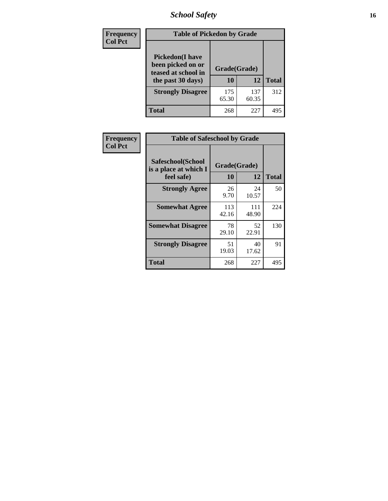# *School Safety* **16**

| <b>Frequency</b> | <b>Table of Pickedon by Grade</b>                                                       |                    |              |              |
|------------------|-----------------------------------------------------------------------------------------|--------------------|--------------|--------------|
| <b>Col Pct</b>   | <b>Pickedon(I have</b><br>been picked on or<br>teased at school in<br>the past 30 days) | Grade(Grade)<br>10 | 12           | <b>Total</b> |
|                  | <b>Strongly Disagree</b>                                                                | 175<br>65.30       | 137<br>60.35 | 312          |
|                  | Total                                                                                   | 268                | 227          | 495          |

| Frequency      | <b>Table of Safeschool by Grade</b>                      |                    |              |     |
|----------------|----------------------------------------------------------|--------------------|--------------|-----|
| <b>Col Pct</b> | Safeschool(School<br>is a place at which I<br>feel safe) | Grade(Grade)<br>10 | <b>Total</b> |     |
|                | <b>Strongly Agree</b>                                    | 26<br>9.70         | 24<br>10.57  | 50  |
|                | <b>Somewhat Agree</b>                                    | 113<br>42.16       | 111<br>48.90 | 224 |
|                | <b>Somewhat Disagree</b>                                 | 78<br>29.10        | 52<br>22.91  | 130 |
|                | <b>Strongly Disagree</b>                                 | 51<br>19.03        | 40<br>17.62  | 91  |
|                | <b>Total</b>                                             | 268                | 227          | 495 |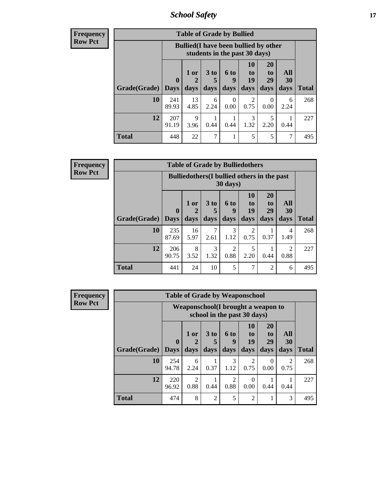*School Safety* **17**

**Frequency Row Pct**

| <b>Table of Grade by Bullied</b> |                             |                                                                               |                              |                   |                        |                        |                          |              |  |  |  |
|----------------------------------|-----------------------------|-------------------------------------------------------------------------------|------------------------------|-------------------|------------------------|------------------------|--------------------------|--------------|--|--|--|
|                                  |                             | <b>Bullied</b> (I have been bullied by other<br>students in the past 30 days) |                              |                   |                        |                        |                          |              |  |  |  |
| Grade(Grade)                     | $\mathbf{0}$<br><b>Davs</b> | $1$ or $ $<br>days                                                            | 3 <sub>to</sub><br>5<br>days | 6 to<br>9<br>days | 10<br>to<br>19<br>days | 20<br>to<br>29<br>days | <b>All</b><br>30<br>days | <b>Total</b> |  |  |  |
| 10                               | 241<br>89.93                | 13<br>4.85                                                                    | 6<br>2.24                    | 0<br>0.00         | $\mathfrak{D}$<br>0.75 | 0<br>0.00              | 6<br>2.24                | 268          |  |  |  |
| 12                               | 207<br>91.19                | 9<br>3.96                                                                     | 0.44                         | 0.44              | 3<br>1.32              | 5<br>2.20              | 0.44                     | 227          |  |  |  |
| <b>Total</b>                     | 448                         | 22                                                                            | $\overline{7}$               |                   | 5                      | 5                      |                          | 495          |  |  |  |

| <b>Frequency</b> |  |
|------------------|--|
| l Kow Pct        |  |

| <b>Table of Grade by Bulliedothers</b> |                        |                                                                |                              |                        |                               |                               |                        |              |  |  |  |  |
|----------------------------------------|------------------------|----------------------------------------------------------------|------------------------------|------------------------|-------------------------------|-------------------------------|------------------------|--------------|--|--|--|--|
|                                        |                        | <b>Bulliedothers</b> (I bullied others in the past<br>30 days) |                              |                        |                               |                               |                        |              |  |  |  |  |
| Grade(Grade)                           | $\mathbf{0}$<br>  Days | 1 or<br>days                                                   | 3 <sub>to</sub><br>5<br>days | 6 to<br>q<br>days      | <b>10</b><br>to<br>19<br>days | <b>20</b><br>to<br>29<br>days | All<br>30<br>days      | <b>Total</b> |  |  |  |  |
| 10                                     | 235<br>87.69           | 16<br>5.97                                                     | 7<br>2.61                    | 3<br>1.12              | $\mathfrak{D}$<br>0.75        | 0.37                          | 4<br>1.49              | 268          |  |  |  |  |
| 12                                     | 206<br>90.75           | 8<br>3.52                                                      | 3<br>1.32                    | $\overline{2}$<br>0.88 | 5<br>2.20                     | 0.44                          | $\overline{c}$<br>0.88 | 227          |  |  |  |  |
| Total                                  | 441                    | 24                                                             | 10                           | 5                      | $\overline{7}$                | 2                             | 6                      | 495          |  |  |  |  |

| Frequency      |                             |                                     |                        | <b>Table of Grade by Weaponschool</b> |                        |                  |                       |                  |              |
|----------------|-----------------------------|-------------------------------------|------------------------|---------------------------------------|------------------------|------------------|-----------------------|------------------|--------------|
| <b>Row Pct</b> |                             | Weaponschool (I brought a weapon to |                        |                                       |                        |                  |                       |                  |              |
|                |                             | $\mathbf{0}$                        | $1$ or                 | 3 <sub>to</sub><br>5                  | <b>6 to</b><br>9       | 10<br>to<br>19   | <b>20</b><br>to<br>29 | <b>All</b><br>30 |              |
|                | <b>Grade</b> (Grade)   Days |                                     | days                   | days                                  | days                   | days             | days                  | days             | <b>Total</b> |
|                | 10                          | 254<br>94.78                        | 6<br>2.24              | 0.37                                  | 3<br>1.12              | 2<br>0.75        | $\Omega$<br>0.00      | 2<br>0.75        | 268          |
|                | 12                          | 220<br>96.92                        | $\mathfrak{D}$<br>0.88 | 0.44                                  | $\mathfrak{D}$<br>0.88 | $\Omega$<br>0.00 | 0.44                  | 0.44             | 227          |
|                | <b>Total</b>                | 474                                 | 8                      | $\overline{2}$                        | 5                      | $\overline{2}$   |                       | 3                | 495          |

 $\blacksquare$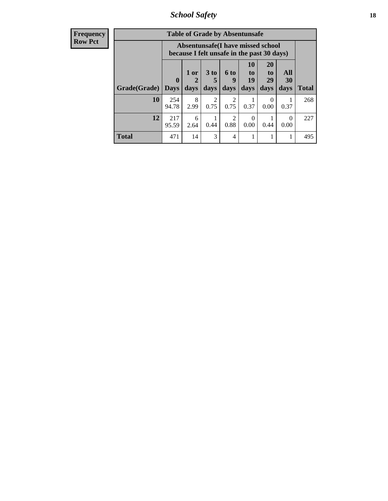*School Safety* **18**

| <b>Frequency</b> |              |                                                                                 |             |                        | <b>Table of Grade by Absentunsafe</b> |                  |                       |                  |              |
|------------------|--------------|---------------------------------------------------------------------------------|-------------|------------------------|---------------------------------------|------------------|-----------------------|------------------|--------------|
| <b>Row Pct</b>   |              | Absentunsafe(I have missed school<br>because I felt unsafe in the past 30 days) |             |                        |                                       |                  |                       |                  |              |
|                  |              | $\boldsymbol{0}$                                                                | $1$ or<br>2 | 3 to<br>5              | 6 to<br>9                             | 10<br>to<br>19   | <b>20</b><br>to<br>29 | All<br>30        |              |
|                  | Grade(Grade) | <b>Days</b>                                                                     | days        | days                   | days                                  | days             | days                  | days             | <b>Total</b> |
|                  | 10           | 254<br>94.78                                                                    | 8<br>2.99   | $\overline{2}$<br>0.75 | $\mathfrak{D}$<br>0.75                | 0.37             | $\Omega$<br>0.00      | 0.37             | 268          |
|                  | 12           | 217<br>95.59                                                                    | 6<br>2.64   | 0.44                   | $\mathfrak{D}$<br>0.88                | $\Omega$<br>0.00 | 0.44                  | $\Omega$<br>0.00 | 227          |
|                  | <b>Total</b> | 471                                                                             | 14          | 3                      | 4                                     |                  |                       |                  | 495          |
|                  |              |                                                                                 |             |                        |                                       |                  |                       |                  |              |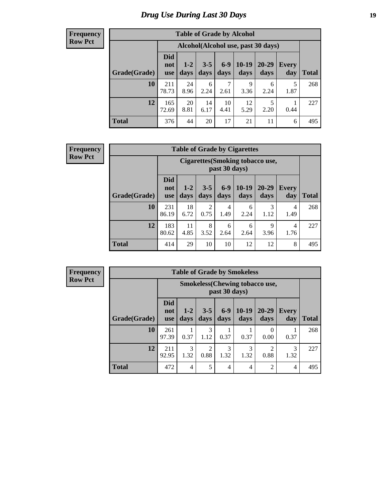# *Drug Use During Last 30 Days* **19**

#### **Frequency Row Pct**

| <b>Table of Grade by Alcohol</b> |                                 |                                    |                 |                 |                   |                   |              |              |  |  |  |
|----------------------------------|---------------------------------|------------------------------------|-----------------|-----------------|-------------------|-------------------|--------------|--------------|--|--|--|
|                                  |                                 | Alcohol(Alcohol use, past 30 days) |                 |                 |                   |                   |              |              |  |  |  |
| Grade(Grade)                     | <b>Did</b><br>not<br><b>use</b> | $1 - 2$<br>days                    | $3 - 5$<br>days | $6 - 9$<br>days | $10 - 19$<br>days | $20 - 29$<br>days | Every<br>day | <b>Total</b> |  |  |  |
| 10                               | 211<br>78.73                    | 24<br>8.96                         | 6<br>2.24       | 7<br>2.61       | 9<br>3.36         | 6<br>2.24         | 5<br>1.87    | 268          |  |  |  |
| 12                               | 165<br>72.69                    | 20<br>8.81                         | 14<br>6.17      | 10<br>4.41      | 12<br>5.29        | 5<br>2.20         | 0.44         | 227          |  |  |  |
| <b>Total</b>                     | 376                             | 44                                 | 20              | 17              | 21                | 11                | 6            | 495          |  |  |  |

#### **Frequency Row Pct**

| <b>Table of Grade by Cigarettes</b> |                                 |                                                          |                 |               |                   |                   |                     |              |  |  |  |  |
|-------------------------------------|---------------------------------|----------------------------------------------------------|-----------------|---------------|-------------------|-------------------|---------------------|--------------|--|--|--|--|
|                                     |                                 | <b>Cigarettes</b> (Smoking tobacco use,<br>past 30 days) |                 |               |                   |                   |                     |              |  |  |  |  |
| Grade(Grade)                        | <b>Did</b><br>not<br><b>use</b> | $1 - 2$<br>days                                          | $3 - 5$<br>days | $6-9$<br>days | $10 - 19$<br>days | $20 - 29$<br>days | <b>Every</b><br>day | <b>Total</b> |  |  |  |  |
| 10                                  | 231<br>86.19                    | 18<br>6.72                                               | 2<br>0.75       | 4<br>1.49     | 6<br>2.24         | 3<br>1.12         | 4<br>1.49           | 268          |  |  |  |  |
| 12                                  | 183<br>80.62                    | 11<br>4.85                                               | 8<br>3.52       | 6<br>2.64     | 6<br>2.64         | 9<br>3.96         | 4<br>1.76           | 227          |  |  |  |  |
| <b>Total</b>                        | 414                             | 29                                                       | 10              | 10            | 12                | 12                | 8                   | 495          |  |  |  |  |

**Frequency Row Pct**

| <b>Table of Grade by Smokeless</b> |                                 |                                                        |                        |               |                 |                   |                     |              |  |  |  |  |
|------------------------------------|---------------------------------|--------------------------------------------------------|------------------------|---------------|-----------------|-------------------|---------------------|--------------|--|--|--|--|
|                                    |                                 | <b>Smokeless</b> (Chewing tobaccouse,<br>past 30 days) |                        |               |                 |                   |                     |              |  |  |  |  |
| Grade(Grade)                       | <b>Did</b><br>not<br><b>use</b> | $1 - 2$<br>days                                        | $3 - 5$<br>days        | $6-9$<br>days | $10-19$<br>days | $20 - 29$<br>days | <b>Every</b><br>day | <b>Total</b> |  |  |  |  |
| 10                                 | 261<br>97.39                    | 0.37                                                   | 3<br>1.12              | 0.37          | 0.37            | 0<br>0.00         | 0.37                | 268          |  |  |  |  |
| 12                                 | 211<br>92.95                    | 3<br>1.32                                              | $\overline{2}$<br>0.88 | 3<br>1.32     | 3<br>1.32       | っ<br>0.88         | 3<br>1.32           | 227          |  |  |  |  |
| <b>Total</b>                       | 472                             | 4                                                      | 5                      | 4             | 4               | 2                 | $\overline{4}$      | 495          |  |  |  |  |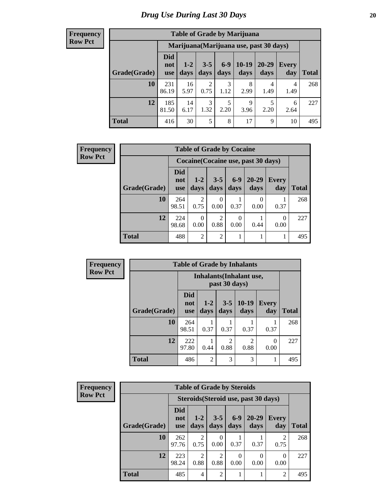#### **Frequency Row Pct**

| <b>Table of Grade by Marijuana</b> |                          |                                         |                        |                 |                 |               |              |       |  |
|------------------------------------|--------------------------|-----------------------------------------|------------------------|-----------------|-----------------|---------------|--------------|-------|--|
|                                    |                          | Marijuana (Marijuana use, past 30 days) |                        |                 |                 |               |              |       |  |
| Grade(Grade)                       | Did<br>not<br><b>use</b> | $1 - 2$<br>days                         | $3 - 5$<br>days        | $6 - 9$<br>days | $10-19$<br>days | 20-29<br>days | Every<br>day | Total |  |
| 10                                 | 231<br>86.19             | 16<br>5.97                              | $\overline{2}$<br>0.75 | 3<br>1.12       | 8<br>2.99       | 4<br>1.49     | 4<br>1.49    | 268   |  |
| 12                                 | 185<br>81.50             | 14<br>6.17                              | 3<br>1.32              | 5<br>2.20       | 9<br>3.96       | 5<br>2.20     | 6<br>2.64    | 227   |  |
| <b>Total</b>                       | 416                      | 30                                      | 5                      | 8               | 17              | 9             | 10           | 495   |  |

| <b>Frequency</b> | <b>Table of Grade by Cocaine</b> |                                     |                |                  |               |                   |                     |              |  |
|------------------|----------------------------------|-------------------------------------|----------------|------------------|---------------|-------------------|---------------------|--------------|--|
| <b>Row Pct</b>   |                                  | Cocaine (Cocaine use, past 30 days) |                |                  |               |                   |                     |              |  |
|                  | Grade(Grade)                     | <b>Did</b><br>not<br><b>use</b>     | $1-2$<br>days  | $3-5$<br>days    | $6-9$<br>days | $20 - 29$<br>days | <b>Every</b><br>day | <b>Total</b> |  |
|                  | 10                               | 264<br>98.51                        | 2<br>0.75      | $\Omega$<br>0.00 | 0.37          | $\Omega$<br>0.00  | 0.37                | 268          |  |
|                  | 12                               | 224<br>98.68                        | 0<br>0.00      | 2<br>0.88        | 0<br>0.00     | 0.44              | $\Omega$<br>0.00    | 227          |  |
|                  | <b>Total</b>                     | 488                                 | $\overline{2}$ | 2                |               |                   |                     | 495          |  |

| <b>Frequency</b> | <b>Table of Grade by Inhalants</b> |                                 |                 |                        |                        |                     |              |  |
|------------------|------------------------------------|---------------------------------|-----------------|------------------------|------------------------|---------------------|--------------|--|
| <b>Row Pct</b>   |                                    | <b>Inhalants</b> (Inhalant use, |                 |                        |                        |                     |              |  |
|                  | Grade(Grade)                       | <b>Did</b><br>not<br><b>use</b> | $1 - 2$<br>days | $3 - 5$<br>days        | $10-19$<br>days        | <b>Every</b><br>day | <b>Total</b> |  |
|                  | 10                                 | 264<br>98.51                    | 0.37            | 0.37                   | 0.37                   | 0.37                | 268          |  |
|                  | 12                                 | 222<br>97.80                    | 0.44            | $\overline{c}$<br>0.88 | $\mathfrak{D}$<br>0.88 | $\Omega$<br>0.00    | 227          |  |
|                  | <b>Total</b>                       | 486                             | $\overline{2}$  | 3                      | 3                      | н                   | 495          |  |

| <b>Frequency</b> | <b>Table of Grade by Steroids</b> |                                      |                        |                 |               |                   |                     |              |  |
|------------------|-----------------------------------|--------------------------------------|------------------------|-----------------|---------------|-------------------|---------------------|--------------|--|
| <b>Row Pct</b>   |                                   | Steroids (Steroid use, past 30 days) |                        |                 |               |                   |                     |              |  |
|                  | Grade(Grade)                      | Did<br>not<br><b>use</b>             | $1-2$<br>days          | $3 - 5$<br>days | $6-9$<br>days | $20 - 29$<br>days | <b>Every</b><br>day | <b>Total</b> |  |
|                  | 10                                | 262<br>97.76                         | 2<br>0.75              | 0.00            | 0.37          | 0.37              | 0.75                | 268          |  |
|                  | 12                                | 223<br>98.24                         | $\mathfrak{D}$<br>0.88 | ↑<br>0.88       | 0<br>0.00     | $\Omega$<br>0.00  | 0<br>0.00           | 227          |  |
|                  | Total                             | 485                                  | 4                      | $\overline{c}$  |               |                   | 2                   | 495          |  |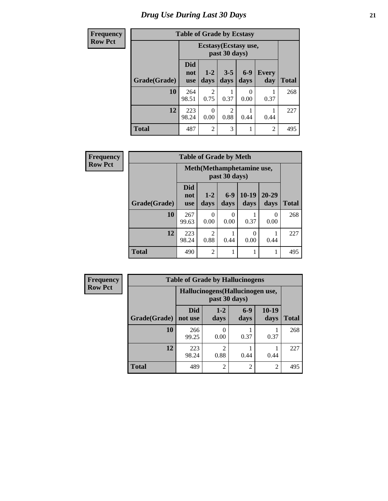# *Drug Use During Last 30 Days* **21**

| <b>Frequency</b> | <b>Table of Grade by Ecstasy</b> |                                 |                  |                 |               |                     |              |  |
|------------------|----------------------------------|---------------------------------|------------------|-----------------|---------------|---------------------|--------------|--|
| <b>Row Pct</b>   |                                  | Ecstasy (Ecstasy use,           |                  |                 |               |                     |              |  |
|                  | Grade(Grade)                     | <b>Did</b><br>not<br><b>use</b> | $1-2$<br>days    | $3 - 5$<br>days | $6-9$<br>days | <b>Every</b><br>day | <b>Total</b> |  |
|                  | 10                               | 264<br>98.51                    | 2<br>0.75        | 0.37            | 0<br>0.00     | 0.37                | 268          |  |
|                  | 12                               | 223<br>98.24                    | $\Omega$<br>0.00 | 2<br>0.88       | 0.44          | 0.44                | 227          |  |
|                  | <b>Total</b>                     | 487                             | $\overline{2}$   | 3               |               | $\overline{2}$      | 495          |  |

| Frequency      |              | <b>Table of Grade by Meth</b>   |                        |                  |                 |                   |       |  |  |
|----------------|--------------|---------------------------------|------------------------|------------------|-----------------|-------------------|-------|--|--|
| <b>Row Pct</b> |              | Meth(Methamphetamine use,       |                        |                  |                 |                   |       |  |  |
|                | Grade(Grade) | <b>Did</b><br>not<br><b>use</b> | $1 - 2$<br>days        | $6-9$<br>days    | $10-19$<br>days | $20 - 29$<br>days | Total |  |  |
|                | 10           | 267<br>99.63                    | 0<br>0.00              | $\Omega$<br>0.00 | 0.37            | 0<br>0.00         | 268   |  |  |
|                | 12           | 223<br>98.24                    | $\overline{2}$<br>0.88 | 0.44             | 0<br>0.00       | 0.44              | 227   |  |  |
|                | <b>Total</b> | 490                             | $\overline{2}$         |                  | 1               | 1                 | 495   |  |  |

| <b>Frequency</b> | <b>Table of Grade by Hallucinogens</b> |                                                   |                 |                |                 |       |  |  |
|------------------|----------------------------------------|---------------------------------------------------|-----------------|----------------|-----------------|-------|--|--|
| <b>Row Pct</b>   |                                        | Hallucinogens (Hallucinogen use,<br>past 30 days) |                 |                |                 |       |  |  |
|                  | Grade(Grade)                           | <b>Did</b><br>not use                             | $1 - 2$<br>days | $6-9$<br>days  | $10-19$<br>days | Total |  |  |
|                  | 10                                     | 266<br>99.25                                      | 0.00            | 0.37           | 0.37            | 268   |  |  |
|                  | 12                                     | 223<br>98.24                                      | ◠<br>0.88       | 0.44           | 0.44            | 227   |  |  |
|                  | <b>Total</b>                           | 489                                               | $\mathfrak{D}$  | $\overline{c}$ | $\overline{2}$  | 495   |  |  |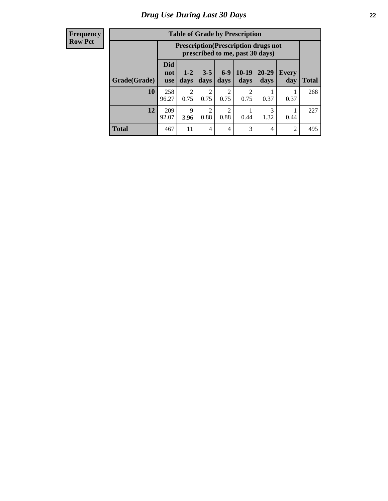#### **Frequency Row Pct**

| <b>Table of Grade by Prescription</b> |                          |                                                                                |               |                        |                 |                   |                     |       |  |
|---------------------------------------|--------------------------|--------------------------------------------------------------------------------|---------------|------------------------|-----------------|-------------------|---------------------|-------|--|
|                                       |                          | <b>Prescription</b> (Prescription drugs not<br>prescribed to me, past 30 days) |               |                        |                 |                   |                     |       |  |
| Grade(Grade)                          | Did<br>not<br><b>use</b> | $1 - 2$<br>days                                                                | $3-5$<br>days | $6-9$<br>days          | $10-19$<br>days | $20 - 29$<br>days | <b>Every</b><br>day | Total |  |
| 10                                    | 258<br>96.27             | $\overline{2}$<br>0.75                                                         | 2<br>0.75     | $\overline{2}$<br>0.75 | 2<br>0.75       | 0.37              | 0.37                | 268   |  |
| 12                                    | 209<br>92.07             | $\mathbf Q$<br>3.96                                                            | 2<br>0.88     | $\overline{c}$<br>0.88 | 0.44            | 3<br>1.32         | 0.44                | 227   |  |
| <b>Total</b>                          | 467                      | 11                                                                             | 4             | $\overline{4}$         | 3               | 4                 | $\overline{2}$      | 495   |  |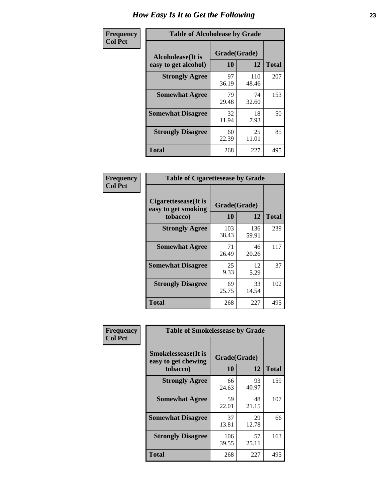| Frequency      | <b>Table of Alcoholease by Grade</b>      |                    |              |              |  |  |  |  |
|----------------|-------------------------------------------|--------------------|--------------|--------------|--|--|--|--|
| <b>Col Pct</b> | Alcoholease(It is<br>easy to get alcohol) | Grade(Grade)<br>10 | 12           | <b>Total</b> |  |  |  |  |
|                | <b>Strongly Agree</b>                     | 97<br>36.19        | 110<br>48.46 | 207          |  |  |  |  |
|                | <b>Somewhat Agree</b>                     | 79<br>29.48        | 74<br>32.60  | 153          |  |  |  |  |
|                | <b>Somewhat Disagree</b>                  | 32<br>11.94        | 18<br>7.93   | 50           |  |  |  |  |
|                | <b>Strongly Disagree</b>                  | 60<br>22.39        | 25<br>11.01  | 85           |  |  |  |  |
|                | <b>Total</b>                              | 268                | 227          | 495          |  |  |  |  |

| <b>Frequency</b> |  |
|------------------|--|
| <b>Col Pct</b>   |  |

|                                                         | <b>Table of Cigarettesease by Grade</b> |              |              |  |  |  |  |  |
|---------------------------------------------------------|-----------------------------------------|--------------|--------------|--|--|--|--|--|
| Cigarettesease(It is<br>easy to get smoking<br>tobacco) | Grade(Grade)<br>10                      | 12           | <b>Total</b> |  |  |  |  |  |
| <b>Strongly Agree</b>                                   | 103<br>38.43                            | 136<br>59.91 | 239          |  |  |  |  |  |
| <b>Somewhat Agree</b>                                   | 71<br>26.49                             | 46<br>20.26  | 117          |  |  |  |  |  |
| <b>Somewhat Disagree</b>                                | 25<br>9.33                              | 12<br>5.29   | 37           |  |  |  |  |  |
| <b>Strongly Disagree</b>                                | 69<br>25.75                             | 33<br>14.54  | 102          |  |  |  |  |  |
| <b>Total</b>                                            | 268                                     | 227          | 495          |  |  |  |  |  |

| Frequency      | <b>Table of Smokelessease by Grade</b>             |              |             |              |
|----------------|----------------------------------------------------|--------------|-------------|--------------|
| <b>Col Pct</b> | <b>Smokelessease</b> (It is<br>easy to get chewing | Grade(Grade) |             |              |
|                | tobacco)                                           | 10           | 12          | <b>Total</b> |
|                | <b>Strongly Agree</b>                              | 66<br>24.63  | 93<br>40.97 | 159          |
|                | <b>Somewhat Agree</b>                              | 59<br>22.01  | 48<br>21.15 | 107          |
|                | <b>Somewhat Disagree</b>                           | 37<br>13.81  | 29<br>12.78 | 66           |
|                | <b>Strongly Disagree</b>                           | 106<br>39.55 | 57<br>25.11 | 163          |
|                | <b>Total</b>                                       | 268          | 227         | 495          |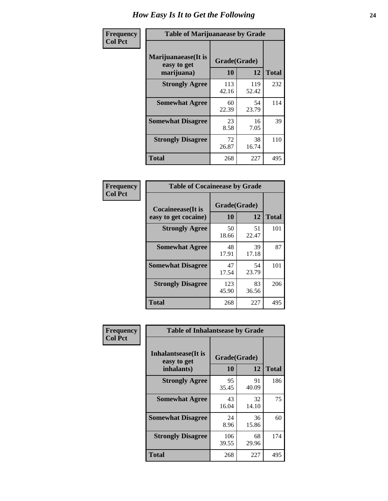| Frequency      | <b>Table of Marijuanaease by Grade</b>           |                    |              |              |  |  |  |  |  |  |
|----------------|--------------------------------------------------|--------------------|--------------|--------------|--|--|--|--|--|--|
| <b>Col Pct</b> | Marijuanaease(It is<br>easy to get<br>marijuana) | Grade(Grade)<br>10 | 12           | <b>Total</b> |  |  |  |  |  |  |
|                | <b>Strongly Agree</b>                            | 113<br>42.16       | 119<br>52.42 | 232          |  |  |  |  |  |  |
|                | <b>Somewhat Agree</b>                            | 60<br>22.39        | 54<br>23.79  | 114          |  |  |  |  |  |  |
|                | <b>Somewhat Disagree</b>                         | 23<br>8.58         | 16<br>7.05   | 39           |  |  |  |  |  |  |
|                | <b>Strongly Disagree</b>                         | 72<br>26.87        | 38<br>16.74  | 110          |  |  |  |  |  |  |
|                | Total                                            | 268                | 227          | 495          |  |  |  |  |  |  |

| <b>Table of Cocaineease by Grade</b>              |                    |             |              |  |  |  |  |  |  |  |
|---------------------------------------------------|--------------------|-------------|--------------|--|--|--|--|--|--|--|
| <b>Cocaineease</b> (It is<br>easy to get cocaine) | Grade(Grade)<br>10 | 12          | <b>Total</b> |  |  |  |  |  |  |  |
| <b>Strongly Agree</b>                             | 50<br>18.66        | 51<br>22.47 | 101          |  |  |  |  |  |  |  |
| <b>Somewhat Agree</b>                             | 48<br>17.91        | 39<br>17.18 | 87           |  |  |  |  |  |  |  |
| <b>Somewhat Disagree</b>                          | 47<br>17.54        | 54<br>23.79 | 101          |  |  |  |  |  |  |  |
| <b>Strongly Disagree</b>                          | 123<br>45.90       | 83<br>36.56 | 206          |  |  |  |  |  |  |  |
| <b>Total</b>                                      | 268                | 227         | 495          |  |  |  |  |  |  |  |

| Frequency      | <b>Table of Inhalantsease by Grade</b>           |                    |             |              |
|----------------|--------------------------------------------------|--------------------|-------------|--------------|
| <b>Col Pct</b> | Inhalantsease(It is<br>easy to get<br>inhalants) | Grade(Grade)<br>10 | 12          | <b>Total</b> |
|                | <b>Strongly Agree</b>                            | 95<br>35.45        | 91<br>40.09 | 186          |
|                | <b>Somewhat Agree</b>                            | 43<br>16.04        | 32<br>14.10 | 75           |
|                | <b>Somewhat Disagree</b>                         | 24<br>8.96         | 36<br>15.86 | 60           |
|                | <b>Strongly Disagree</b>                         | 106<br>39.55       | 68<br>29.96 | 174          |
|                | <b>Total</b>                                     | 268                | 227         | 495          |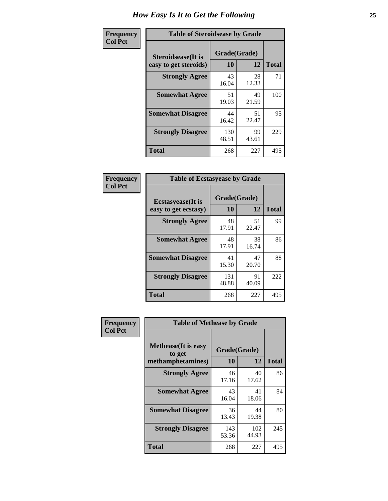| Frequency      | <b>Table of Steroidsease by Grade</b>               |                    |             |              |  |  |  |  |  |  |
|----------------|-----------------------------------------------------|--------------------|-------------|--------------|--|--|--|--|--|--|
| <b>Col Pct</b> | <b>Steroidsease</b> (It is<br>easy to get steroids) | Grade(Grade)<br>10 | 12          | <b>Total</b> |  |  |  |  |  |  |
|                | <b>Strongly Agree</b>                               | 43<br>16.04        | 28<br>12.33 | 71           |  |  |  |  |  |  |
|                | <b>Somewhat Agree</b>                               | 51<br>19.03        | 49<br>21.59 | 100          |  |  |  |  |  |  |
|                | <b>Somewhat Disagree</b>                            | 44<br>16.42        | 51<br>22.47 | 95           |  |  |  |  |  |  |
|                | <b>Strongly Disagree</b>                            | 130<br>48.51       | 99<br>43.61 | 229          |  |  |  |  |  |  |
|                | <b>Total</b>                                        | 268                | 227         | 495          |  |  |  |  |  |  |

| Frequency      | <b>Table of Ecstasyease by Grade</b>              |                           |             |              |
|----------------|---------------------------------------------------|---------------------------|-------------|--------------|
| <b>Col Pct</b> | <b>Ecstasyease</b> (It is<br>easy to get ecstasy) | Grade(Grade)<br><b>10</b> | 12          | <b>Total</b> |
|                | <b>Strongly Agree</b>                             | 48<br>17.91               | 51<br>22.47 | 99           |
|                | <b>Somewhat Agree</b>                             | 48<br>17.91               | 38<br>16.74 | 86           |
|                | <b>Somewhat Disagree</b>                          | 41<br>15.30               | 47<br>20.70 | 88           |
|                | <b>Strongly Disagree</b>                          | 131<br>48.88              | 91<br>40.09 | 222          |
|                | Total                                             | 268                       | 227         | 495          |

| Frequency      | <b>Table of Methease by Grade</b>                          |                    |              |              |  |  |  |  |  |  |
|----------------|------------------------------------------------------------|--------------------|--------------|--------------|--|--|--|--|--|--|
| <b>Col Pct</b> | <b>Methease</b> (It is easy<br>to get<br>methamphetamines) | Grade(Grade)<br>10 | 12           | <b>Total</b> |  |  |  |  |  |  |
|                | <b>Strongly Agree</b>                                      | 46<br>17.16        | 40<br>17.62  | 86           |  |  |  |  |  |  |
|                | <b>Somewhat Agree</b>                                      | 43<br>16.04        | 41<br>18.06  | 84           |  |  |  |  |  |  |
|                | <b>Somewhat Disagree</b>                                   | 36<br>13.43        | 44<br>19.38  | 80           |  |  |  |  |  |  |
|                | <b>Strongly Disagree</b>                                   | 143<br>53.36       | 102<br>44.93 | 245          |  |  |  |  |  |  |
|                | <b>Total</b>                                               | 268                | 227          | 495          |  |  |  |  |  |  |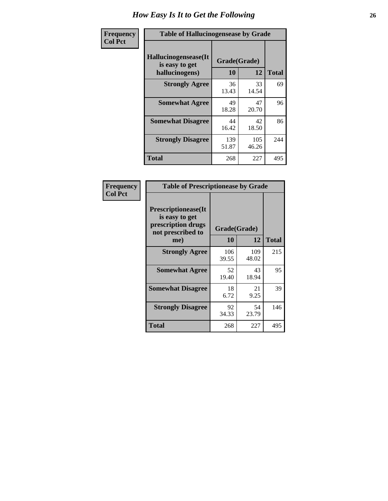| <b>Frequency</b> | <b>Table of Hallucinogensease by Grade</b>                |                    |              |              |  |  |  |  |  |  |
|------------------|-----------------------------------------------------------|--------------------|--------------|--------------|--|--|--|--|--|--|
| <b>Col Pct</b>   | Hallucinogensease(It)<br>is easy to get<br>hallucinogens) | Grade(Grade)<br>10 | 12           | <b>Total</b> |  |  |  |  |  |  |
|                  | <b>Strongly Agree</b>                                     | 36<br>13.43        | 33<br>14.54  | 69           |  |  |  |  |  |  |
|                  | <b>Somewhat Agree</b>                                     | 49<br>18.28        | 47<br>20.70  | 96           |  |  |  |  |  |  |
|                  | <b>Somewhat Disagree</b>                                  | 44<br>16.42        | 42<br>18.50  | 86           |  |  |  |  |  |  |
|                  | <b>Strongly Disagree</b>                                  | 139<br>51.87       | 105<br>46.26 | 244          |  |  |  |  |  |  |
|                  | <b>Total</b>                                              | 268                | 227          | 495          |  |  |  |  |  |  |

| Frequency<br>  Col Pct |
|------------------------|
|                        |

г

|                                                                                         | <b>Table of Prescriptionease by Grade</b> |              |              |  |  |  |  |  |  |  |
|-----------------------------------------------------------------------------------------|-------------------------------------------|--------------|--------------|--|--|--|--|--|--|--|
| <b>Prescriptionease(It</b><br>is easy to get<br>prescription drugs<br>not prescribed to | Grade(Grade)                              |              |              |  |  |  |  |  |  |  |
| me)                                                                                     | 10                                        | 12           | <b>Total</b> |  |  |  |  |  |  |  |
| <b>Strongly Agree</b>                                                                   | 106<br>39.55                              | 109<br>48.02 | 215          |  |  |  |  |  |  |  |
| <b>Somewhat Agree</b>                                                                   | 52<br>19.40                               | 43<br>18.94  | 95           |  |  |  |  |  |  |  |
| <b>Somewhat Disagree</b>                                                                | 18<br>6.72                                | 21<br>9.25   | 39           |  |  |  |  |  |  |  |
| <b>Strongly Disagree</b>                                                                | 92<br>34.33                               | 54<br>23.79  | 146          |  |  |  |  |  |  |  |
| <b>Total</b>                                                                            | 268                                       | 227          | 495          |  |  |  |  |  |  |  |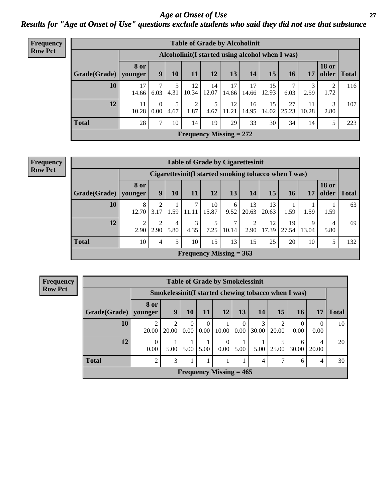#### *Age at Onset of Use* **27** *Results for "Age at Onset of Use" questions exclude students who said they did not use that substance*

| Frequency      |                                                  |                        |                  |           | <b>Table of Grade by Alcoholinit</b> |             |             |             |             |             |             |                       |              |
|----------------|--------------------------------------------------|------------------------|------------------|-----------|--------------------------------------|-------------|-------------|-------------|-------------|-------------|-------------|-----------------------|--------------|
| <b>Row Pct</b> | Alcoholinit (I started using alcohol when I was) |                        |                  |           |                                      |             |             |             |             |             |             |                       |              |
|                | Grade(Grade)                                     | <b>8</b> or<br>younger | 9                | <b>10</b> | 11                                   | 12          | 13          | 14          | 15          | <b>16</b>   | 17          | <b>18 or</b><br>older | <b>Total</b> |
|                | 10                                               | 17<br>14.66            | 6.03             | 4.31      | 12<br>10.34                          | 14<br>12.07 | 17<br>14.66 | 17<br>14.66 | 15<br>12.93 | 6.03        | 3<br>2.59   | 2<br>1.72             | 116          |
|                | 12                                               | 11<br>10.28            | $\Omega$<br>0.00 | 4.67      | 2<br>1.87                            | 5<br>4.67   | 12<br>11.21 | 16<br>14.95 | 15<br>14.02 | 27<br>25.23 | 11<br>10.28 | 3<br>2.80             | 107          |
|                | <b>Total</b>                                     | 28                     | $\mathbf{r}$     | 10        | 14                                   | 19          | 29          | 33          | 30          | 34          | 14          | 5                     | 223          |
|                |                                                  |                        |                  |           | Frequency Missing $= 272$            |             |             |             |             |             |             |                       |              |

| <b>Frequency</b> | <b>Table of Grade by Cigarettesinit</b><br>Cigarettesinit(I started smoking tobacco when I was) |                        |      |           |                           |             |            |             |             |             |            |              |               |
|------------------|-------------------------------------------------------------------------------------------------|------------------------|------|-----------|---------------------------|-------------|------------|-------------|-------------|-------------|------------|--------------|---------------|
| <b>Row Pct</b>   |                                                                                                 |                        |      |           |                           |             |            |             |             |             |            |              |               |
|                  | Grade(Grade)                                                                                    | <b>8 or</b><br>younger | 9    | 10        | 11                        | 12          | 13         | 14          | 15          | 16          | 17         | <b>18 or</b> | older   Total |
|                  | 10                                                                                              | 8<br>12.70             | 3.17 | 1.59      | 11.11                     | 10<br>15.87 | 6<br>9.52  | 13<br>20.63 | 13<br>20.63 | 1.59        | 1.59       | 1.59         | 63            |
|                  | 12                                                                                              | 2.90                   | 2.90 | 4<br>5.80 | 3<br>4.35                 | 7.25        | ⇁<br>10.14 | ↑<br>2.90   | 12<br>17.39 | 19<br>27.54 | 9<br>13.04 | 4<br>5.80    | 69            |
|                  | <b>Total</b>                                                                                    | 10                     | 4    |           | 10                        | 15          | 13         | 15          | 25          | 20          | 10         |              | 132           |
|                  |                                                                                                 |                        |      |           | Frequency Missing $= 363$ |             |            |             |             |             |            |              |               |

**Frequency Row Pct**

| <b>Table of Grade by Smokelessinit</b> |                  |                                                      |                  |                  |                           |                  |                |            |                  |                  |              |  |
|----------------------------------------|------------------|------------------------------------------------------|------------------|------------------|---------------------------|------------------|----------------|------------|------------------|------------------|--------------|--|
|                                        |                  | Smokelessinit (I started chewing tobacco when I was) |                  |                  |                           |                  |                |            |                  |                  |              |  |
| Grade(Grade)                           | 8 or<br>younger  | 9                                                    | 10               | <b>11</b>        | <b>12</b>                 | 13               | <b>14</b>      | 15         | 16               | 17               | <b>Total</b> |  |
| 10                                     | 2<br>20.00       | 2<br>20.00                                           | $\Omega$<br>0.00 | $\theta$<br>0.00 | 10.00                     | $\Omega$<br>0.00 | 3<br>30.00     | 2<br>20.00 | $\Omega$<br>0.00 | $\Omega$<br>0.00 | 10           |  |
| 12                                     | $\Omega$<br>0.00 | 5.00                                                 | 5.00             | 5.00             | $\Omega$<br>0.00          | 5.00             | 5.00           | 25.00      | 6<br>30.00       | 4<br>20.00       | 20           |  |
| <b>Total</b>                           | $\mathfrak{D}$   | 3                                                    |                  |                  |                           |                  | $\overline{4}$ | 7          | 6                | 4                | 30           |  |
|                                        |                  |                                                      |                  |                  | Frequency Missing $= 465$ |                  |                |            |                  |                  |              |  |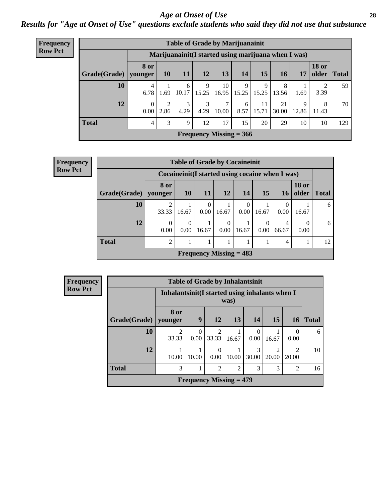#### *Age at Onset of Use* **28**

*Results for "Age at Onset of Use" questions exclude students who said they did not use that substance*

| Frequency      |              | <b>Table of Grade by Marijuanainit</b>               |           |            |            |             |                           |             |             |            |                       |              |  |
|----------------|--------------|------------------------------------------------------|-----------|------------|------------|-------------|---------------------------|-------------|-------------|------------|-----------------------|--------------|--|
| <b>Row Pct</b> |              | Marijuanainit (I started using marijuana when I was) |           |            |            |             |                           |             |             |            |                       |              |  |
|                | Grade(Grade) | <b>8 or</b><br>younger                               | <b>10</b> | 11         | 12         | 13          | 14                        | 15          | 16          | 17         | <b>18 or</b><br>older | <b>Total</b> |  |
|                | 10           | 4<br>6.78                                            | 1.69      | 6<br>10.17 | 9<br>15.25 | 10<br>16.95 | 9<br>15.25                | 9<br>15.25  | 8<br>13.56  | 1.69       | 2<br>3.39             | 59           |  |
|                | 12           | 0<br>0.00                                            | 2<br>2.86 | 3<br>4.29  | 3<br>4.29  | 7<br>10.00  | 6<br>8.57                 | 11<br>15.71 | 21<br>30.00 | 9<br>12.86 | 8<br>11.43            | 70           |  |
|                | <b>Total</b> | 4                                                    | 3         | 9          | 12         | 17          | 15                        | 20          | 29          | 10         | 10                    | 129          |  |
|                |              |                                                      |           |            |            |             | Frequency Missing $= 366$ |             |             |            |                       |              |  |

| Frequency      | <b>Table of Grade by Cocaineinit</b> |                  |                  |                  |                  |                           |                  |                                                    |                       |              |  |  |
|----------------|--------------------------------------|------------------|------------------|------------------|------------------|---------------------------|------------------|----------------------------------------------------|-----------------------|--------------|--|--|
| <b>Row Pct</b> |                                      |                  |                  |                  |                  |                           |                  | Cocaine in it (I started using cocaine when I was) |                       |              |  |  |
|                | $Grade(Grade)$ younger               | 8 or             | <b>10</b>        | <b>11</b>        | 12               | 14                        | 15               | 16                                                 | <b>18 or</b><br>older | <b>Total</b> |  |  |
|                | 10                                   | 33.33            | 16.67            | $\Omega$<br>0.00 | 16.67            | 0.00                      | 16.67            | 0<br>0.00                                          | 16.67                 | 6            |  |  |
|                | 12                                   | $\theta$<br>0.00 | $\theta$<br>0.00 | 16.67            | $\theta$<br>0.00 | 16.67                     | $\theta$<br>0.00 | 4<br>66.67                                         | 0.00                  | 6            |  |  |
|                | <b>Total</b>                         | $\overline{2}$   |                  |                  |                  |                           |                  | 4                                                  |                       | 12           |  |  |
|                |                                      |                  |                  |                  |                  | Frequency Missing $= 483$ |                  |                                                    |                       |              |  |  |

| Frequency      |                                                         |                         |                  | <b>Table of Grade by Inhalantsinit</b> |       |                  |            |                         |              |
|----------------|---------------------------------------------------------|-------------------------|------------------|----------------------------------------|-------|------------------|------------|-------------------------|--------------|
| <b>Row Pct</b> | Inhalantsinit (I started using inhalants when I<br>was) |                         |                  |                                        |       |                  |            |                         |              |
|                | Grade(Grade)   younger                                  | 8 or                    | 9                | <b>12</b>                              | 13    | 14               | 15         | 16                      | <b>Total</b> |
|                | 10                                                      | $\overline{2}$<br>33.33 | $\Omega$<br>0.00 | $\overline{2}$<br>33.33                | 16.67 | $\Omega$<br>0.00 | 16.67      | 0<br>0.00               | 6            |
|                | 12                                                      | 10.00                   | 10.00            | $\theta$<br>0.00                       | 10.00 | 3<br>30.00       | 2<br>20.00 | $\mathfrak{D}$<br>20.00 | 10           |
|                | <b>Total</b>                                            | 3                       |                  | $\overline{2}$                         | 2     | 3                | 3          | 2                       | 16           |
|                |                                                         |                         |                  | Frequency Missing $= 479$              |       |                  |            |                         |              |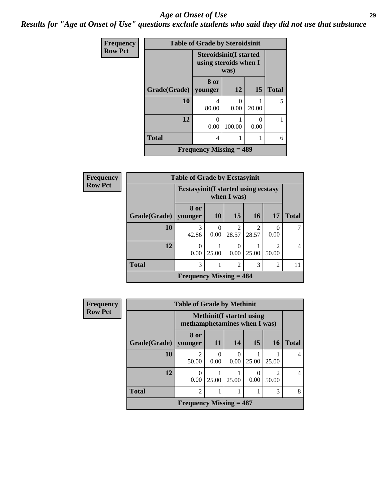#### *Age at Onset of Use* **29**

*Results for "Age at Onset of Use" questions exclude students who said they did not use that substance*

| Frequency      |                        | <b>Table of Grade by Steroidsinit</b>                           |        |           |              |
|----------------|------------------------|-----------------------------------------------------------------|--------|-----------|--------------|
| <b>Row Pct</b> |                        | <b>Steroidsinit</b> (I started<br>using steroids when I<br>was) |        |           |              |
|                | Grade(Grade)   younger | 8 or                                                            | 12     | 15        | <b>Total</b> |
|                | 10                     | 4<br>80.00                                                      | 0.00   | 20.00     | 5            |
|                | 12                     | 0.00                                                            | 100.00 | 0<br>0.00 |              |
|                | <b>Total</b>           | 4                                                               |        |           | 6            |
|                |                        | <b>Frequency Missing = 489</b>                                  |        |           |              |

| Frequency      |              | <b>Table of Grade by Ecstasyinit</b>        |           |                         |            |                |                |
|----------------|--------------|---------------------------------------------|-----------|-------------------------|------------|----------------|----------------|
| <b>Row Pct</b> |              | <b>Ecstasyinit</b> (I started using ecstasy |           |                         |            |                |                |
|                | Grade(Grade) | 8 or<br>younger                             | <b>10</b> | 15                      | <b>16</b>  | 17             | <b>Total</b>   |
|                | 10           | 3<br>42.86                                  | 0.00      | $\overline{2}$<br>28.57 | 2<br>28.57 | 0.00           |                |
|                | 12           | $\Omega$<br>0.00                            | 25.00     | 0<br>0.00               | 25.00      | 50.00          | $\overline{4}$ |
|                | <b>Total</b> | 3                                           |           | $\overline{2}$          | 3          | $\overline{2}$ | 11             |
|                |              | Frequency Missing $= 484$                   |           |                         |            |                |                |

| <b>Frequency</b> | <b>Table of Grade by Methinit</b> |                                                                  |                  |                          |           |       |                |
|------------------|-----------------------------------|------------------------------------------------------------------|------------------|--------------------------|-----------|-------|----------------|
| <b>Row Pct</b>   |                                   | <b>Methinit</b> (I started using<br>methamphetamines when I was) |                  |                          |           |       |                |
|                  | Grade(Grade)   younger            | 8 or                                                             | 11               | 14                       | <b>15</b> | 16    | <b>Total</b>   |
|                  | 10                                | $\mathfrak{D}$<br>50.00                                          | $\Omega$<br>0.00 | $\left( \right)$<br>0.00 | 25.00     | 25.00 |                |
|                  | 12                                | 0.00                                                             | 25.00            | 25.00                    | 0.00      | 50.00 | $\overline{4}$ |
|                  | <b>Total</b>                      | $\overline{2}$                                                   |                  |                          |           | 3     | 8              |
|                  |                                   | Frequency Missing $= 487$                                        |                  |                          |           |       |                |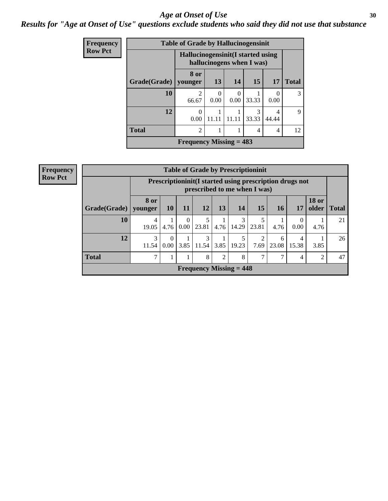#### Age at Onset of Use **30**

### *Results for "Age at Onset of Use" questions exclude students who said they did not use that substance*

| Frequency      |              | <b>Table of Grade by Hallucinogensinit</b>                      |                  |                  |            |                  |              |
|----------------|--------------|-----------------------------------------------------------------|------------------|------------------|------------|------------------|--------------|
| <b>Row Pct</b> |              | Hallucinogensinit (I started using<br>hallucinogens when I was) |                  |                  |            |                  |              |
|                | Grade(Grade) | 8 or<br>younger                                                 | 13               | 14               | 15         | 17               | <b>Total</b> |
|                | 10           | $\overline{2}$<br>66.67                                         | $\Omega$<br>0.00 | $\Omega$<br>0.00 | 33.33      | $\Omega$<br>0.00 | 3            |
|                | 12           | 0<br>0.00                                                       | 11.11            | 11.11            | 3<br>33.33 | 4<br>44.44       | 9            |
|                | <b>Total</b> | $\mathfrak{D}$                                                  |                  |                  | 4          | 4                | 12           |
|                |              | Frequency Missing $= 483$                                       |                  |                  |            |                  |              |

| Frequency<br>Row Pct |
|----------------------|

|              | <b>Table of Grade by Prescriptioninit</b>                                                  |                  |               |                           |      |            |                        |            |            |                       |              |
|--------------|--------------------------------------------------------------------------------------------|------------------|---------------|---------------------------|------|------------|------------------------|------------|------------|-----------------------|--------------|
|              | Prescription in it (I started using prescription drugs not<br>prescribed to me when I was) |                  |               |                           |      |            |                        |            |            |                       |              |
| Grade(Grade) | 8 or<br>younger                                                                            | <b>10</b>        | <b>11</b>     | 12                        | 13   | 14         | 15                     | <b>16</b>  | 17         | <b>18 or</b><br>older | <b>Total</b> |
| 10           | 4<br>19.05                                                                                 | 4.76             | $0.00\degree$ | 23.81                     | 4.76 | 3<br>14.29 | 5<br>23.81             | 4.76       | 0.00       | 4.76                  | 21           |
| 12           | 3<br>11.54                                                                                 | $\Omega$<br>0.00 | 3.85          | 3<br>11.54                | 3.85 | 19.23      | $\overline{2}$<br>7.69 | 6<br>23.08 | 4<br>15.38 | 3.85                  | 26           |
| <b>Total</b> | 7                                                                                          |                  |               | 8                         | 2    | 8          | 7                      | 7          | 4          | 2                     | 47           |
|              |                                                                                            |                  |               | Frequency Missing $= 448$ |      |            |                        |            |            |                       |              |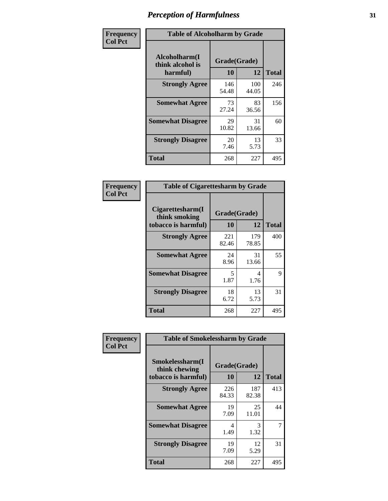| Frequency      |                                               | <b>Table of Alcoholharm by Grade</b> |              |              |  |  |  |  |  |  |
|----------------|-----------------------------------------------|--------------------------------------|--------------|--------------|--|--|--|--|--|--|
| <b>Col Pct</b> | Alcoholharm(I<br>think alcohol is<br>harmful) | Grade(Grade)<br>10                   | 12           | <b>Total</b> |  |  |  |  |  |  |
|                | <b>Strongly Agree</b>                         | 146<br>54.48                         | 100<br>44.05 | 246          |  |  |  |  |  |  |
|                | <b>Somewhat Agree</b>                         | 73<br>27.24                          | 83<br>36.56  | 156          |  |  |  |  |  |  |
|                | <b>Somewhat Disagree</b>                      | 29<br>10.82                          | 31<br>13.66  | 60           |  |  |  |  |  |  |
|                | <b>Strongly Disagree</b>                      | 20<br>7.46                           | 13<br>5.73   | 33           |  |  |  |  |  |  |
|                | <b>Total</b>                                  | 268                                  | 227          | 495          |  |  |  |  |  |  |

| <b>Table of Cigarettesharm by Grade</b>                  |                    |              |              |  |  |  |  |  |  |
|----------------------------------------------------------|--------------------|--------------|--------------|--|--|--|--|--|--|
| Cigarettesharm(I<br>think smoking<br>tobacco is harmful) | Grade(Grade)<br>10 | 12           | <b>Total</b> |  |  |  |  |  |  |
| <b>Strongly Agree</b>                                    | 221<br>82.46       | 179<br>78.85 | 400          |  |  |  |  |  |  |
| <b>Somewhat Agree</b>                                    | 24<br>8.96         | 31<br>13.66  | 55           |  |  |  |  |  |  |
| <b>Somewhat Disagree</b>                                 | 5<br>1.87          | 4<br>1.76    | 9            |  |  |  |  |  |  |
| <b>Strongly Disagree</b>                                 | 18<br>6.72         | 13<br>5.73   | 31           |  |  |  |  |  |  |
| <b>Total</b>                                             | 268                | 227          | 495          |  |  |  |  |  |  |

| Frequency      | <b>Table of Smokelessharm by Grade</b>                  |                    |              |              |  |  |  |  |
|----------------|---------------------------------------------------------|--------------------|--------------|--------------|--|--|--|--|
| <b>Col Pct</b> | Smokelessharm(I<br>think chewing<br>tobacco is harmful) | Grade(Grade)<br>10 | 12           | <b>Total</b> |  |  |  |  |
|                | <b>Strongly Agree</b>                                   | 226<br>84.33       | 187<br>82.38 | 413          |  |  |  |  |
|                | <b>Somewhat Agree</b>                                   | 19<br>7.09         | 25<br>11.01  | 44           |  |  |  |  |
|                | <b>Somewhat Disagree</b>                                | 4<br>1.49          | 3<br>1.32    | 7            |  |  |  |  |
|                | <b>Strongly Disagree</b>                                | 19<br>7.09         | 12<br>5.29   | 31           |  |  |  |  |
|                | <b>Total</b>                                            | 268                | 227          | 495          |  |  |  |  |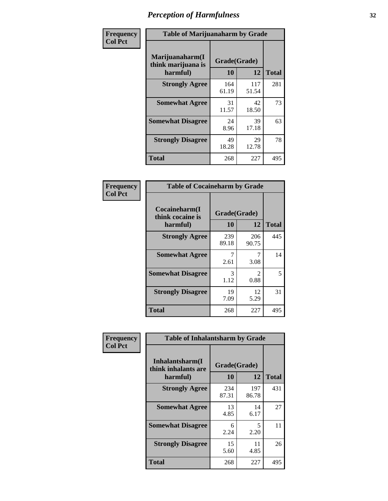| Frequency      |                                                   | <b>Table of Marijuanaharm by Grade</b> |              |              |  |
|----------------|---------------------------------------------------|----------------------------------------|--------------|--------------|--|
| <b>Col Pct</b> | Marijuanaharm(I<br>think marijuana is<br>harmful) | Grade(Grade)<br>10                     | 12           | <b>Total</b> |  |
|                | <b>Strongly Agree</b>                             | 164<br>61.19                           | 117<br>51.54 | 281          |  |
|                | <b>Somewhat Agree</b>                             | 31<br>11.57                            | 42<br>18.50  | 73           |  |
|                | <b>Somewhat Disagree</b>                          | 24<br>8.96                             | 39<br>17.18  | 63           |  |
|                | <b>Strongly Disagree</b>                          | 49<br>18.28                            | 29<br>12.78  | 78           |  |
|                | <b>Total</b>                                      | 268                                    | 227          | 495          |  |

| <b>Table of Cocaineharm by Grade</b>          |                    |                                     |     |  |  |
|-----------------------------------------------|--------------------|-------------------------------------|-----|--|--|
| Cocaineharm(I<br>think cocaine is<br>harmful) | Grade(Grade)<br>10 | <b>Total</b>                        |     |  |  |
| <b>Strongly Agree</b>                         | 239<br>89.18       | 206<br>90.75                        | 445 |  |  |
| <b>Somewhat Agree</b>                         | 7<br>2.61          | 7<br>3.08                           | 14  |  |  |
| <b>Somewhat Disagree</b>                      | 3<br>1.12          | $\mathcal{D}_{\mathcal{A}}$<br>0.88 | 5   |  |  |
| <b>Strongly Disagree</b>                      | 19<br>7.09         | 12<br>5.29                          | 31  |  |  |
| Total                                         | 268                | 227                                 | 495 |  |  |

| Frequency      | <b>Table of Inhalantsharm by Grade</b>              |                           |              |              |
|----------------|-----------------------------------------------------|---------------------------|--------------|--------------|
| <b>Col Pct</b> | Inhalantsharm(I)<br>think inhalants are<br>harmful) | Grade(Grade)<br><b>10</b> | 12           | <b>Total</b> |
|                | <b>Strongly Agree</b>                               | 234<br>87.31              | 197<br>86.78 | 431          |
|                | <b>Somewhat Agree</b>                               | 13<br>4.85                | 14<br>6.17   | 27           |
|                | <b>Somewhat Disagree</b>                            | 6<br>2.24                 | 5<br>2.20    | 11           |
|                | <b>Strongly Disagree</b>                            | 15<br>5.60                | 11<br>4.85   | 26           |
|                | <b>Total</b>                                        | 268                       | 227          | 495          |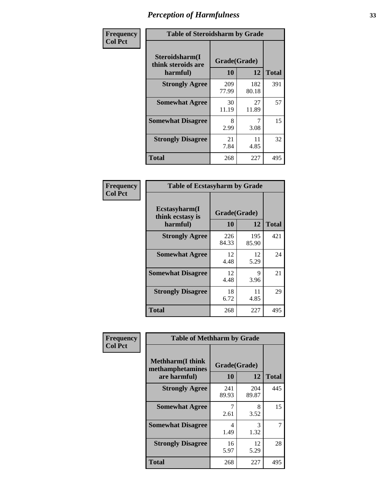| Frequency      | <b>Table of Steroidsharm by Grade</b>            |                    |              |              |
|----------------|--------------------------------------------------|--------------------|--------------|--------------|
| <b>Col Pct</b> | Steroidsharm(I<br>think steroids are<br>harmful) | Grade(Grade)<br>10 | 12           | <b>Total</b> |
|                | <b>Strongly Agree</b>                            | 209<br>77.99       | 182<br>80.18 | 391          |
|                | <b>Somewhat Agree</b>                            | 30<br>11.19        | 27<br>11.89  | 57           |
|                | <b>Somewhat Disagree</b>                         | 8<br>2.99          | 7<br>3.08    | 15           |
|                | <b>Strongly Disagree</b>                         | 21<br>7.84         | 11<br>4.85   | 32           |
|                | <b>Total</b>                                     | 268                | 227          | 495          |

| <b>Table of Ecstasyharm by Grade</b>                |                    |              |              |  |  |
|-----------------------------------------------------|--------------------|--------------|--------------|--|--|
| $E$ cstasyharm $(I$<br>think ecstasy is<br>harmful) | Grade(Grade)<br>10 | 12           | <b>Total</b> |  |  |
| <b>Strongly Agree</b>                               | 226<br>84.33       | 195<br>85.90 | 421          |  |  |
| <b>Somewhat Agree</b>                               | 12<br>4.48         | 12<br>5.29   | 24           |  |  |
| <b>Somewhat Disagree</b>                            | 12<br>4.48         | 9<br>3.96    | 21           |  |  |
| <b>Strongly Disagree</b>                            | 18<br>6.72         | 11<br>4.85   | 29           |  |  |
| Total                                               | 268                | 227          | 495          |  |  |

| Frequency      | <b>Table of Methharm by Grade</b>                            |                           |              |              |
|----------------|--------------------------------------------------------------|---------------------------|--------------|--------------|
| <b>Col Pct</b> | <b>Methharm</b> (I think<br>methamphetamines<br>are harmful) | Grade(Grade)<br><b>10</b> | 12           | <b>Total</b> |
|                | <b>Strongly Agree</b>                                        | 241<br>89.93              | 204<br>89.87 | 445          |
|                | <b>Somewhat Agree</b>                                        | 2.61                      | 8<br>3.52    | 15           |
|                | <b>Somewhat Disagree</b>                                     | 4<br>1.49                 | 3<br>1.32    |              |
|                | <b>Strongly Disagree</b>                                     | 16<br>5.97                | 12<br>5.29   | 28           |
|                | <b>Total</b>                                                 | 268                       | 227          | 495          |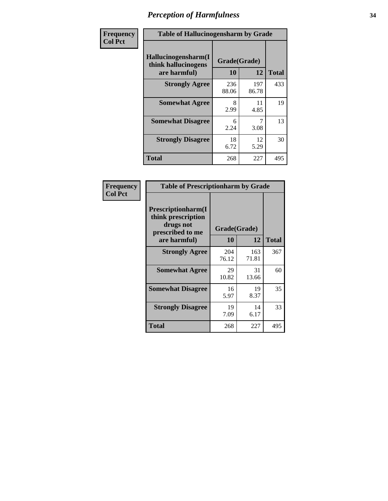| Frequency      | <b>Table of Hallucinogensharm by Grade</b>                 |                    |              |              |
|----------------|------------------------------------------------------------|--------------------|--------------|--------------|
| <b>Col Pct</b> | Hallucinogensharm(I<br>think hallucinogens<br>are harmful) | Grade(Grade)<br>10 | 12           | <b>Total</b> |
|                | <b>Strongly Agree</b>                                      | 236<br>88.06       | 197<br>86.78 | 433          |
|                | <b>Somewhat Agree</b>                                      | 8<br>2.99          | 11<br>4.85   | 19           |
|                | <b>Somewhat Disagree</b>                                   | 6<br>2.24          | 7<br>3.08    | 13           |
|                | <b>Strongly Disagree</b>                                   | 18<br>6.72         | 12<br>5.29   | 30           |
|                | <b>Total</b>                                               | 268                | 227          | 495          |

| <b>Table of Prescriptionharm by Grade</b>                                         |              |              |              |  |
|-----------------------------------------------------------------------------------|--------------|--------------|--------------|--|
| <b>Prescriptionharm(I)</b><br>think prescription<br>drugs not<br>prescribed to me |              | Grade(Grade) |              |  |
| are harmful)                                                                      | 10           | 12           | <b>Total</b> |  |
| <b>Strongly Agree</b>                                                             | 204<br>76.12 | 163<br>71.81 | 367          |  |
| <b>Somewhat Agree</b>                                                             | 29<br>10.82  | 31<br>13.66  | 60           |  |
| <b>Somewhat Disagree</b>                                                          | 16<br>5.97   | 19<br>8.37   | 35           |  |
| <b>Strongly Disagree</b>                                                          | 19<br>7.09   | 14<br>6.17   | 33           |  |
| Total                                                                             | 268          | 227          | 495          |  |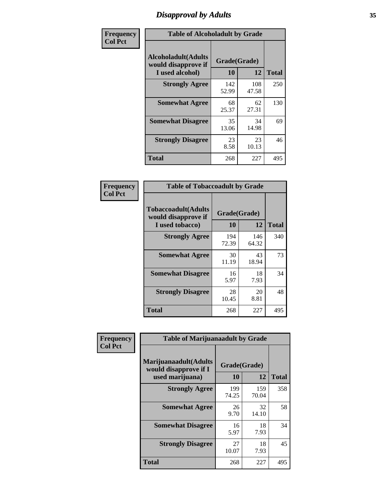# *Disapproval by Adults* **35**

| Frequency      | <b>Table of Alcoholadult by Grade</b>                                 |                    |              |              |
|----------------|-----------------------------------------------------------------------|--------------------|--------------|--------------|
| <b>Col Pct</b> | <b>Alcoholadult</b> (Adults<br>would disapprove if<br>I used alcohol) | Grade(Grade)<br>10 | 12           | <b>Total</b> |
|                | <b>Strongly Agree</b>                                                 | 142<br>52.99       | 108<br>47.58 | 250          |
|                | <b>Somewhat Agree</b>                                                 | 68<br>25.37        | 62<br>27.31  | 130          |
|                | <b>Somewhat Disagree</b>                                              | 35<br>13.06        | 34<br>14.98  | 69           |
|                | <b>Strongly Disagree</b>                                              | 23<br>8.58         | 23<br>10.13  | 46           |
|                | <b>Total</b>                                                          | 268                | 227          | 495          |

| <b>Table of Tobaccoadult by Grade</b>                                 |                    |              |              |  |
|-----------------------------------------------------------------------|--------------------|--------------|--------------|--|
| <b>Tobaccoadult</b> (Adults<br>would disapprove if<br>I used tobacco) | Grade(Grade)<br>10 | 12           | <b>Total</b> |  |
| <b>Strongly Agree</b>                                                 | 194<br>72.39       | 146<br>64.32 | 340          |  |
| <b>Somewhat Agree</b>                                                 | 30<br>11.19        | 43<br>18.94  | 73           |  |
| <b>Somewhat Disagree</b>                                              | 16<br>5.97         | 18<br>7.93   | 34           |  |
| <b>Strongly Disagree</b>                                              | 28<br>10.45        | 20<br>8.81   | 48           |  |
| <b>Total</b>                                                          | 268                | 227          | 495          |  |

| Frequency<br><b>Col Pct</b> | <b>Table of Marijuanaadult by Grade</b>                           |                    |              |              |
|-----------------------------|-------------------------------------------------------------------|--------------------|--------------|--------------|
|                             | Marijuanaadult(Adults<br>would disapprove if I<br>used marijuana) | Grade(Grade)<br>10 | 12           | <b>Total</b> |
|                             | <b>Strongly Agree</b>                                             | 199<br>74.25       | 159<br>70.04 | 358          |
|                             | <b>Somewhat Agree</b>                                             | 26<br>9.70         | 32<br>14.10  | 58           |
|                             | <b>Somewhat Disagree</b>                                          | 16<br>5.97         | 18<br>7.93   | 34           |
|                             | <b>Strongly Disagree</b>                                          | 27<br>10.07        | 18<br>7.93   | 45           |
|                             | <b>Total</b>                                                      | 268                | 227          | 495          |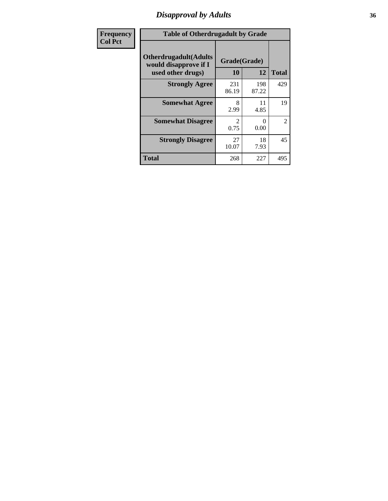### *Disapproval by Adults* **36**

| <b>Frequency</b> | <b>Table of Otherdrugadult by Grade</b>                                     |                                     |              |              |
|------------------|-----------------------------------------------------------------------------|-------------------------------------|--------------|--------------|
| <b>Col Pct</b>   | <b>Otherdrugadult</b> (Adults<br>would disapprove if I<br>used other drugs) | Grade(Grade)<br>10                  | 12           | <b>Total</b> |
|                  | <b>Strongly Agree</b>                                                       | 231<br>86.19                        | 198<br>87.22 | 429          |
|                  | <b>Somewhat Agree</b>                                                       | 8<br>2.99                           | 11<br>4.85   | 19           |
|                  | <b>Somewhat Disagree</b>                                                    | $\mathcal{D}_{\mathcal{L}}$<br>0.75 | 0<br>0.00    | 2            |
|                  | <b>Strongly Disagree</b>                                                    | 27<br>10.07                         | 18<br>7.93   | 45           |
|                  | <b>Total</b>                                                                | 268                                 | 227          | 495          |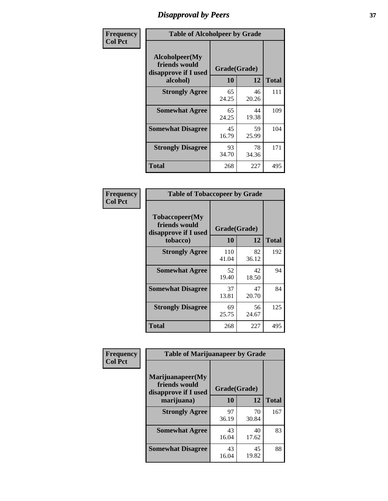# *Disapproval by Peers* **37**

| Frequency      | <b>Table of Alcoholpeer by Grade</b>                    |              |             |              |  |
|----------------|---------------------------------------------------------|--------------|-------------|--------------|--|
| <b>Col Pct</b> | Alcoholpeer(My<br>friends would<br>disapprove if I used | Grade(Grade) |             |              |  |
|                | alcohol)                                                | 10           | 12          | <b>Total</b> |  |
|                | <b>Strongly Agree</b>                                   | 65<br>24.25  | 46<br>20.26 | 111          |  |
|                | <b>Somewhat Agree</b>                                   | 65<br>24.25  | 44<br>19.38 | 109          |  |
|                | <b>Somewhat Disagree</b>                                | 45<br>16.79  | 59<br>25.99 | 104          |  |
|                | <b>Strongly Disagree</b>                                | 93<br>34.70  | 78<br>34.36 | 171          |  |
|                | Total                                                   | 268          | 227         | 495          |  |

| Frequency      | <b>Table of Tobaccopeer by Grade</b>                                |                    |             |              |  |
|----------------|---------------------------------------------------------------------|--------------------|-------------|--------------|--|
| <b>Col Pct</b> | Tobaccopeer(My<br>friends would<br>disapprove if I used<br>tobacco) | Grade(Grade)<br>10 | 12          | <b>Total</b> |  |
|                | <b>Strongly Agree</b>                                               | 110<br>41.04       | 82<br>36.12 | 192          |  |
|                | <b>Somewhat Agree</b>                                               | 52<br>19.40        | 42<br>18.50 | 94           |  |
|                | <b>Somewhat Disagree</b>                                            | 37<br>13.81        | 47<br>20.70 | 84           |  |
|                | <b>Strongly Disagree</b>                                            | 69<br>25.75        | 56<br>24.67 | 125          |  |
|                | <b>Total</b>                                                        | 268                | 227         | 495          |  |

| Frequency<br><b>Col Pct</b> | <b>Table of Marijuanapeer by Grade</b>                    |              |             |              |
|-----------------------------|-----------------------------------------------------------|--------------|-------------|--------------|
|                             | Marijuanapeer(My<br>friends would<br>disapprove if I used | Grade(Grade) |             |              |
|                             | marijuana)                                                | <b>10</b>    | 12          | <b>Total</b> |
|                             | <b>Strongly Agree</b>                                     | 97<br>36.19  | 70<br>30.84 | 167          |
|                             | <b>Somewhat Agree</b>                                     | 43<br>16.04  | 40<br>17.62 | 83           |
|                             | <b>Somewhat Disagree</b>                                  | 43<br>16.04  | 45<br>19.82 | 88           |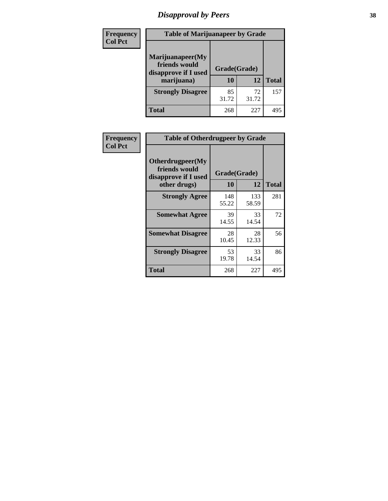# *Disapproval by Peers* **38**

| <b>Frequency</b> | <b>Table of Marijuanapeer by Grade</b>                                  |                    |             |              |  |
|------------------|-------------------------------------------------------------------------|--------------------|-------------|--------------|--|
| <b>Col Pct</b>   | Marijuanapeer(My<br>friends would<br>disapprove if I used<br>marijuana) | Grade(Grade)<br>10 | 12          | <b>Total</b> |  |
|                  | <b>Strongly Disagree</b>                                                | 85<br>31.72        | 72<br>31.72 | 157          |  |
|                  | <b>Total</b>                                                            | 268                | 227         | 495          |  |

| Frequency      | <b>Table of Otherdrugpeer by Grade</b>                                    |                    |              |              |  |
|----------------|---------------------------------------------------------------------------|--------------------|--------------|--------------|--|
| <b>Col Pct</b> | Otherdrugpeer(My<br>friends would<br>disapprove if I used<br>other drugs) | Grade(Grade)<br>10 | 12           | <b>Total</b> |  |
|                | <b>Strongly Agree</b>                                                     | 148<br>55.22       | 133<br>58.59 | 281          |  |
|                | <b>Somewhat Agree</b>                                                     | 39<br>14.55        | 33<br>14.54  | 72           |  |
|                | <b>Somewhat Disagree</b>                                                  | 28<br>10.45        | 28<br>12.33  | 56           |  |
|                | <b>Strongly Disagree</b>                                                  | 53<br>19.78        | 33<br>14.54  | 86           |  |
|                | <b>Total</b>                                                              | 268                | 227          | 495          |  |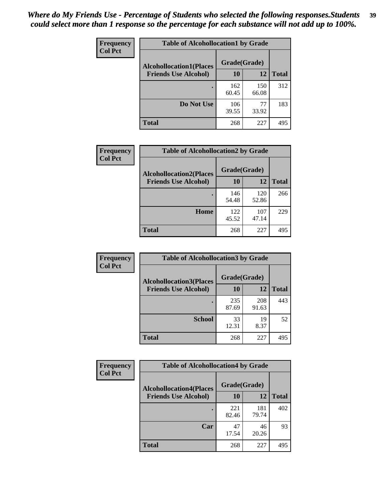| Frequency      | <b>Table of Alcohollocation1 by Grade</b> |              |              |              |
|----------------|-------------------------------------------|--------------|--------------|--------------|
| <b>Col Pct</b> | <b>Alcohollocation1(Places</b>            |              |              |              |
|                | <b>Friends Use Alcohol)</b>               | 10           | 12           | <b>Total</b> |
|                |                                           | 162<br>60.45 | 150<br>66.08 | 312          |
|                | Do Not Use                                | 106<br>39.55 | 77<br>33.92  | 183          |
|                | <b>Total</b>                              | 268          | 227          | 495          |

| <b>Frequency</b> | <b>Table of Alcohollocation2 by Grade</b> |              |              |              |
|------------------|-------------------------------------------|--------------|--------------|--------------|
| <b>Col Pct</b>   | <b>Alcohollocation2(Places</b>            | Grade(Grade) |              |              |
|                  | <b>Friends Use Alcohol)</b>               | 10           | 12           | <b>Total</b> |
|                  |                                           | 146<br>54.48 | 120<br>52.86 | 266          |
|                  | Home                                      | 122<br>45.52 | 107<br>47.14 | 229          |
|                  | <b>Total</b>                              | 268          | 227          | 495          |

| Frequency<br><b>Col Pct</b> | <b>Table of Alcohollocation3 by Grade</b>                     |                    |              |              |  |
|-----------------------------|---------------------------------------------------------------|--------------------|--------------|--------------|--|
|                             | <b>Alcohollocation3(Places</b><br><b>Friends Use Alcohol)</b> | Grade(Grade)<br>10 | 12           | <b>Total</b> |  |
|                             |                                                               |                    |              |              |  |
|                             |                                                               | 235<br>87.69       | 208<br>91.63 | 443          |  |
|                             | <b>School</b>                                                 | 33<br>12.31        | 19<br>8.37   | 52           |  |
|                             | Total                                                         | 268                | 227          | 495          |  |

| <b>Frequency</b> | <b>Table of Alcohollocation4 by Grade</b> |              |              |              |  |
|------------------|-------------------------------------------|--------------|--------------|--------------|--|
| <b>Col Pct</b>   | <b>Alcohollocation4(Places</b>            | Grade(Grade) |              |              |  |
|                  | <b>Friends Use Alcohol)</b>               | 10           | 12           | <b>Total</b> |  |
|                  |                                           | 221<br>82.46 | 181<br>79.74 | 402          |  |
|                  | Car                                       | 47<br>17.54  | 46<br>20.26  | 93           |  |
|                  | <b>Total</b>                              | 268          | 227          | 495          |  |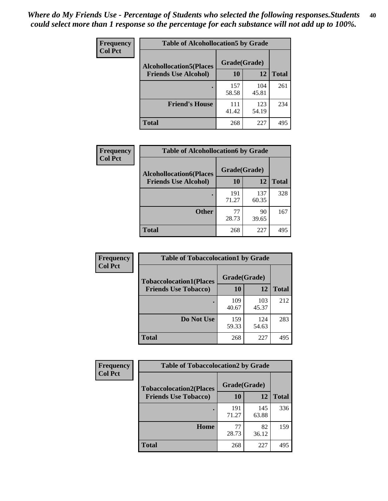| Frequency<br><b>Col Pct</b> | <b>Table of Alcohollocation5 by Grade</b>      |              |              |              |  |
|-----------------------------|------------------------------------------------|--------------|--------------|--------------|--|
|                             | Grade(Grade)<br><b>Alcohollocation5(Places</b> |              |              |              |  |
|                             | <b>Friends Use Alcohol)</b>                    | 10           | 12           | <b>Total</b> |  |
|                             |                                                | 157<br>58.58 | 104<br>45.81 | 261          |  |
|                             | <b>Friend's House</b>                          | 111<br>41.42 | 123<br>54.19 | 234          |  |
|                             | <b>Total</b>                                   | 268          | 227          | 495          |  |

| <b>Frequency</b> | <b>Table of Alcohollocation6 by Grade</b>                     |                    |              |              |
|------------------|---------------------------------------------------------------|--------------------|--------------|--------------|
| <b>Col Pct</b>   | <b>Alcohollocation6(Places</b><br><b>Friends Use Alcohol)</b> | Grade(Grade)<br>10 | 12           | <b>Total</b> |
|                  |                                                               | 191<br>71.27       | 137<br>60.35 | 328          |
|                  | <b>Other</b>                                                  | 77<br>28.73        | 90<br>39.65  | 167          |
|                  | Total                                                         | 268                | 227          | 495          |

| <b>Frequency</b> | <b>Table of Tobaccolocation1 by Grade</b> |              |              |              |
|------------------|-------------------------------------------|--------------|--------------|--------------|
| <b>Col Pct</b>   | <b>Tobaccolocation1(Places</b>            | Grade(Grade) |              |              |
|                  | <b>Friends Use Tobacco)</b>               | 10           | 12           | <b>Total</b> |
|                  |                                           | 109<br>40.67 | 103<br>45.37 | 212          |
|                  | Do Not Use                                | 159<br>59.33 | 124<br>54.63 | 283          |
|                  | <b>Total</b>                              | 268          | 227          | 495          |

| <b>Frequency</b> | <b>Table of Tobaccolocation2 by Grade</b> |              |              |              |  |
|------------------|-------------------------------------------|--------------|--------------|--------------|--|
| <b>Col Pct</b>   | <b>Tobaccolocation2(Places</b>            | Grade(Grade) |              |              |  |
|                  | <b>Friends Use Tobacco)</b>               | 10           | 12           | <b>Total</b> |  |
|                  |                                           | 191<br>71.27 | 145<br>63.88 | 336          |  |
|                  | Home                                      | 77<br>28.73  | 82<br>36.12  | 159          |  |
|                  | <b>Total</b>                              | 268          | 227          | 495          |  |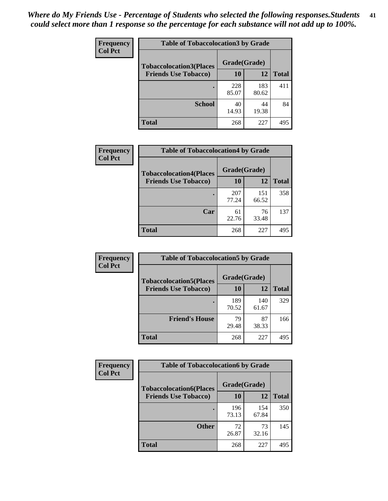| Frequency      | <b>Table of Tobaccolocation3 by Grade</b> |              |              |              |
|----------------|-------------------------------------------|--------------|--------------|--------------|
| <b>Col Pct</b> | <b>Tobaccolocation3(Places</b>            | Grade(Grade) |              |              |
|                | <b>Friends Use Tobacco)</b>               | 10           | <b>12</b>    | <b>Total</b> |
|                |                                           | 228<br>85.07 | 183<br>80.62 | 411          |
|                | <b>School</b>                             | 40<br>14.93  | 44<br>19.38  | 84           |
|                | <b>Total</b>                              | 268          | 227          | 495          |

| <b>Frequency</b><br><b>Col Pct</b> | <b>Table of Tobaccolocation4 by Grade</b> |              |              |              |
|------------------------------------|-------------------------------------------|--------------|--------------|--------------|
|                                    | <b>Tobaccolocation4(Places</b>            | Grade(Grade) |              |              |
|                                    | <b>Friends Use Tobacco)</b>               | 10           | 12           | <b>Total</b> |
|                                    |                                           | 207<br>77.24 | 151<br>66.52 | 358          |
|                                    | Car                                       | 61<br>22.76  | 76<br>33.48  | 137          |
|                                    | <b>Total</b>                              | 268          | 227          | 495          |

| Frequency<br><b>Col Pct</b> | <b>Table of Tobaccolocation5 by Grade</b> |              |              |              |
|-----------------------------|-------------------------------------------|--------------|--------------|--------------|
|                             | <b>Tobaccolocation5(Places</b>            | Grade(Grade) |              |              |
|                             | <b>Friends Use Tobacco)</b>               | 10           | 12           | <b>Total</b> |
|                             |                                           | 189<br>70.52 | 140<br>61.67 | 329          |
|                             | <b>Friend's House</b>                     | 79<br>29.48  | 87<br>38.33  | 166          |
|                             | <b>Total</b>                              | 268          | 227          | 495          |

| <b>Frequency</b> | <b>Table of Tobaccolocation6 by Grade</b> |              |              |              |  |
|------------------|-------------------------------------------|--------------|--------------|--------------|--|
| <b>Col Pct</b>   | <b>Tobaccolocation6(Places</b>            | Grade(Grade) |              |              |  |
|                  | <b>Friends Use Tobacco)</b>               | 10           | 12           | <b>Total</b> |  |
|                  |                                           | 196<br>73.13 | 154<br>67.84 | 350          |  |
|                  | <b>Other</b>                              | 72<br>26.87  | 73<br>32.16  | 145          |  |
|                  | <b>Total</b>                              | 268          | 227          | 495          |  |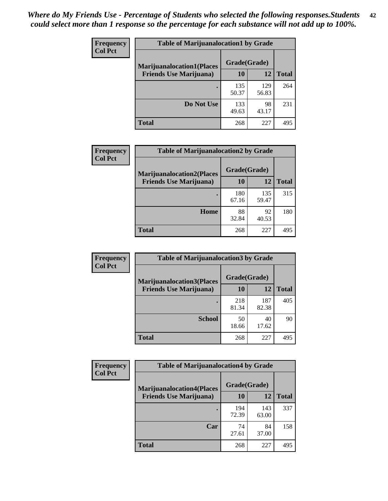| <b>Frequency</b> | <b>Table of Marijuanalocation1 by Grade</b> |              |              |              |
|------------------|---------------------------------------------|--------------|--------------|--------------|
| <b>Col Pct</b>   | <b>Marijuanalocation1(Places</b>            | Grade(Grade) |              |              |
|                  | <b>Friends Use Marijuana</b> )              | 10           | 12           | <b>Total</b> |
|                  |                                             | 135<br>50.37 | 129<br>56.83 | 264          |
|                  | Do Not Use                                  | 133<br>49.63 | 98<br>43.17  | 231          |
|                  | <b>Total</b>                                | 268          | 227          | 495          |

| <b>Frequency</b> | <b>Table of Marijuanalocation2 by Grade</b>                        |                    |              |              |
|------------------|--------------------------------------------------------------------|--------------------|--------------|--------------|
| <b>Col Pct</b>   | <b>Marijuanalocation2(Places</b><br><b>Friends Use Marijuana</b> ) | Grade(Grade)<br>10 | 12           | <b>Total</b> |
|                  |                                                                    | 180<br>67.16       | 135<br>59.47 | 315          |
|                  | Home                                                               | 88<br>32.84        | 92<br>40.53  | 180          |
|                  | <b>Total</b>                                                       | 268                | 227          | 495          |

| Frequency<br><b>Col Pct</b> | <b>Table of Marijuanalocation3 by Grade</b> |              |              |              |
|-----------------------------|---------------------------------------------|--------------|--------------|--------------|
|                             | <b>Marijuanalocation3</b> (Places           | Grade(Grade) |              |              |
|                             | <b>Friends Use Marijuana</b> )              | 10           | 12           | <b>Total</b> |
|                             |                                             | 218<br>81.34 | 187<br>82.38 | 405          |
|                             |                                             |              |              |              |
|                             | <b>School</b>                               | 50           | 40           | 90           |
|                             |                                             | 18.66        | 17.62        |              |
|                             | <b>Total</b>                                | 268          | 227          | 495          |

| <b>Frequency</b> | <b>Table of Marijuanalocation4 by Grade</b> |              |              |              |  |
|------------------|---------------------------------------------|--------------|--------------|--------------|--|
| <b>Col Pct</b>   | <b>Marijuanalocation4(Places</b>            | Grade(Grade) |              |              |  |
|                  | <b>Friends Use Marijuana</b> )              | <b>10</b>    | 12           | <b>Total</b> |  |
|                  |                                             | 194<br>72.39 | 143<br>63.00 | 337          |  |
|                  | Car                                         | 74<br>27.61  | 84<br>37.00  | 158          |  |
|                  | <b>Total</b>                                | 268          | 227          | 495          |  |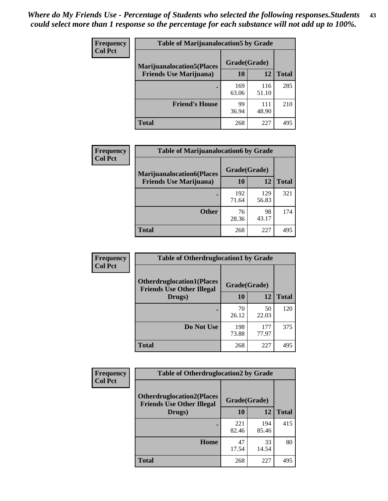| <b>Frequency</b> | <b>Table of Marijuanalocation5 by Grade</b> |              |              |              |
|------------------|---------------------------------------------|--------------|--------------|--------------|
| <b>Col Pct</b>   | <b>Marijuanalocation5</b> (Places           | Grade(Grade) |              |              |
|                  | <b>Friends Use Marijuana</b> )              | 10           | 12           | <b>Total</b> |
|                  |                                             | 169<br>63.06 | 116<br>51.10 | 285          |
|                  | <b>Friend's House</b>                       | 99<br>36.94  | 111<br>48.90 | 210          |
|                  | Total                                       | 268          | 227          | 495          |

| <b>Frequency</b> | <b>Table of Marijuanalocation6 by Grade</b>                        |                    |              |              |
|------------------|--------------------------------------------------------------------|--------------------|--------------|--------------|
| <b>Col Pct</b>   | <b>Marijuanalocation6(Places</b><br><b>Friends Use Marijuana</b> ) | Grade(Grade)<br>10 | 12           | <b>Total</b> |
|                  |                                                                    | 192<br>71.64       | 129<br>56.83 | 321          |
|                  | <b>Other</b>                                                       | 76<br>28.36        | 98<br>43.17  | 174          |
|                  | <b>Total</b>                                                       | 268                | 227          | 495          |

| <b>Frequency</b> | <b>Table of Otherdruglocation1 by Grade</b>                          |              |              |              |
|------------------|----------------------------------------------------------------------|--------------|--------------|--------------|
| <b>Col Pct</b>   | <b>Otherdruglocation1(Places</b><br><b>Friends Use Other Illegal</b> | Grade(Grade) |              |              |
|                  | Drugs)                                                               | 10           | 12           | <b>Total</b> |
|                  |                                                                      | 70<br>26.12  | 50<br>22.03  | 120          |
|                  | Do Not Use                                                           | 198<br>73.88 | 177<br>77.97 | 375          |
|                  | <b>Total</b>                                                         | 268          | 227          | 495          |

| Frequency      | <b>Table of Otherdruglocation2 by Grade</b>                          |              |              |              |
|----------------|----------------------------------------------------------------------|--------------|--------------|--------------|
| <b>Col Pct</b> | <b>Otherdruglocation2(Places</b><br><b>Friends Use Other Illegal</b> |              | Grade(Grade) |              |
|                | Drugs)                                                               | 10           | 12           | <b>Total</b> |
|                |                                                                      | 221<br>82.46 | 194<br>85.46 | 415          |
|                | Home                                                                 | 47<br>17.54  | 33<br>14.54  | 80           |
|                | <b>Total</b>                                                         | 268          | 227          | 495          |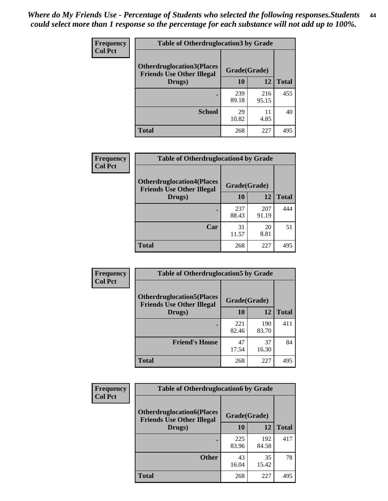| <b>Frequency</b> | <b>Table of Otherdruglocation 3 by Grade</b>                         |              |              |              |
|------------------|----------------------------------------------------------------------|--------------|--------------|--------------|
| <b>Col Pct</b>   | <b>Otherdruglocation3(Places</b><br><b>Friends Use Other Illegal</b> | Grade(Grade) |              |              |
|                  | Drugs)                                                               | 10           | 12           | <b>Total</b> |
|                  | $\bullet$                                                            | 239<br>89.18 | 216<br>95.15 | 455          |
|                  | <b>School</b>                                                        | 29<br>10.82  | 11<br>4.85   | 40           |
|                  | <b>Total</b>                                                         | 268          | 227          | 495          |

| Frequency      | <b>Table of Otherdruglocation4 by Grade</b>                          |              |              |              |  |
|----------------|----------------------------------------------------------------------|--------------|--------------|--------------|--|
| <b>Col Pct</b> | <b>Otherdruglocation4(Places</b><br><b>Friends Use Other Illegal</b> | Grade(Grade) |              |              |  |
|                | Drugs)                                                               | 10           | 12           | <b>Total</b> |  |
|                |                                                                      | 237<br>88.43 | 207<br>91.19 | 444          |  |
|                | Car                                                                  | 31<br>11.57  | 20<br>8.81   | 51           |  |
|                | <b>Total</b>                                                         | 268          | 227          | 495          |  |

| Frequency      | <b>Table of Otherdruglocation5 by Grade</b>                          |              |              |              |
|----------------|----------------------------------------------------------------------|--------------|--------------|--------------|
| <b>Col Pct</b> | <b>Otherdruglocation5(Places</b><br><b>Friends Use Other Illegal</b> | Grade(Grade) |              |              |
|                | Drugs)                                                               | 10           | 12           | <b>Total</b> |
|                |                                                                      | 221<br>82.46 | 190<br>83.70 | 411          |
|                | <b>Friend's House</b>                                                | 47<br>17.54  | 37<br>16.30  | 84           |
|                | <b>Total</b>                                                         | 268          | 227          | 495          |

| <b>Frequency</b> | <b>Table of Otherdruglocation6 by Grade</b>                          |              |              |              |
|------------------|----------------------------------------------------------------------|--------------|--------------|--------------|
| <b>Col Pct</b>   | <b>Otherdruglocation6(Places</b><br><b>Friends Use Other Illegal</b> | Grade(Grade) |              |              |
|                  | Drugs)                                                               | <b>10</b>    | 12           | <b>Total</b> |
|                  |                                                                      | 225<br>83.96 | 192<br>84.58 | 417          |
|                  | <b>Other</b>                                                         | 43<br>16.04  | 35<br>15.42  | 78           |
|                  | Total                                                                | 268          | 227          | 495          |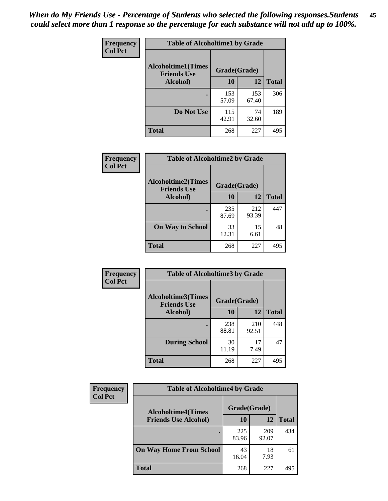| Frequency      | <b>Table of Alcoholtime1 by Grade</b>           |              |              |              |
|----------------|-------------------------------------------------|--------------|--------------|--------------|
| <b>Col Pct</b> | <b>Alcoholtime1(Times</b><br><b>Friends Use</b> | Grade(Grade) |              |              |
|                | Alcohol)                                        | 10           | 12           | <b>Total</b> |
|                |                                                 | 153<br>57.09 | 153<br>67.40 | 306          |
|                | Do Not Use                                      | 115<br>42.91 | 74<br>32.60  | 189          |
|                | <b>Total</b>                                    | 268          | 227          | 495          |

| Frequency      | <b>Table of Alcoholtime2 by Grade</b>           |              |              |              |
|----------------|-------------------------------------------------|--------------|--------------|--------------|
| <b>Col Pct</b> | <b>Alcoholtime2(Times</b><br><b>Friends Use</b> | Grade(Grade) |              |              |
|                | Alcohol)                                        | 10           | 12           | <b>Total</b> |
|                |                                                 | 235<br>87.69 | 212<br>93.39 | 447          |
|                | <b>On Way to School</b>                         | 33<br>12.31  | 15<br>6.61   | 48           |
|                | <b>Total</b>                                    | 268          | 227          | 495          |

| Frequency      | <b>Table of Alcoholtime3 by Grade</b> |                                    |              |              |  |
|----------------|---------------------------------------|------------------------------------|--------------|--------------|--|
| <b>Col Pct</b> | <b>Alcoholtime3(Times</b>             | Grade(Grade)<br><b>Friends Use</b> |              |              |  |
|                | Alcohol)                              | 10                                 | 12           | <b>Total</b> |  |
|                |                                       | 238<br>88.81                       | 210<br>92.51 | 448          |  |
|                | <b>During School</b>                  | 30<br>11.19                        | 17<br>7.49   | 47           |  |
|                | <b>Total</b>                          | 268                                | 227          | 495          |  |

| <b>Frequency</b> | <b>Table of Alcoholtime4 by Grade</b> |              |              |              |
|------------------|---------------------------------------|--------------|--------------|--------------|
| <b>Col Pct</b>   | <b>Alcoholtime4(Times</b>             | Grade(Grade) |              |              |
|                  | <b>Friends Use Alcohol)</b>           | 10           | 12           | <b>Total</b> |
|                  |                                       | 225<br>83.96 | 209<br>92.07 | 434          |
|                  | <b>On Way Home From School</b>        | 43<br>16.04  | 18<br>7.93   | 61           |
|                  | <b>Total</b>                          | 268          | 227          | 495          |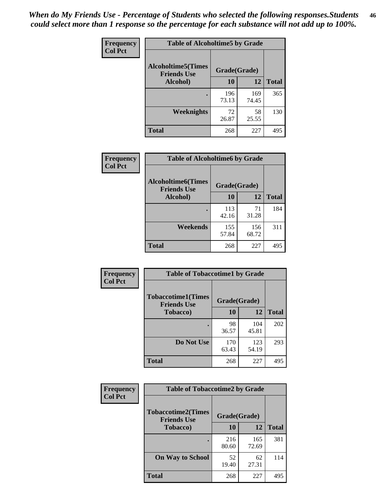*When do My Friends Use - Percentage of Students who selected the following responses.Students could select more than 1 response so the percentage for each substance will not add up to 100%.* **46**

| Frequency      | <b>Table of Alcoholtime5 by Grade</b>           |              |              |              |
|----------------|-------------------------------------------------|--------------|--------------|--------------|
| <b>Col Pct</b> | <b>Alcoholtime5(Times</b><br><b>Friends Use</b> | Grade(Grade) |              |              |
|                | Alcohol)                                        | 10           | 12           | <b>Total</b> |
|                |                                                 | 196<br>73.13 | 169<br>74.45 | 365          |
|                | Weeknights                                      | 72<br>26.87  | 58<br>25.55  | 130          |
|                | <b>Total</b>                                    | 268          | 227          | 495          |

| <b>Frequency</b> |                                                 | <b>Table of Alcoholtime6 by Grade</b> |              |              |  |
|------------------|-------------------------------------------------|---------------------------------------|--------------|--------------|--|
| <b>Col Pct</b>   | <b>Alcoholtime6(Times</b><br><b>Friends Use</b> | Grade(Grade)                          |              |              |  |
|                  | Alcohol)                                        | 10                                    | 12           | <b>Total</b> |  |
|                  |                                                 | 113<br>42.16                          | 71<br>31.28  | 184          |  |
|                  | Weekends                                        | 155<br>57.84                          | 156<br>68.72 | 311          |  |
|                  | <b>Total</b>                                    | 268                                   | 227          | 495          |  |

| <b>Frequency</b> | <b>Table of Tobaccotime1 by Grade</b>           |              |              |              |
|------------------|-------------------------------------------------|--------------|--------------|--------------|
| <b>Col Pct</b>   | <b>Tobaccotime1(Times</b><br><b>Friends Use</b> | Grade(Grade) |              |              |
|                  | <b>Tobacco</b> )                                | 10           | 12           | <b>Total</b> |
|                  |                                                 | 98<br>36.57  | 104<br>45.81 | 202          |
|                  | Do Not Use                                      | 170<br>63.43 | 123<br>54.19 | 293          |
|                  | <b>Total</b>                                    | 268          | 227          | 495          |

| <b>Frequency</b> | <b>Table of Tobaccotime2 by Grade</b>           |              |              |              |
|------------------|-------------------------------------------------|--------------|--------------|--------------|
| <b>Col Pct</b>   | <b>Tobaccotime2(Times</b><br><b>Friends Use</b> | Grade(Grade) |              |              |
|                  | <b>Tobacco</b> )                                | 10           | 12           | <b>Total</b> |
|                  |                                                 | 216<br>80.60 | 165<br>72.69 | 381          |
|                  | <b>On Way to School</b>                         | 52<br>19.40  | 62<br>27.31  | 114          |
|                  | <b>Total</b>                                    | 268          | 227          | 495          |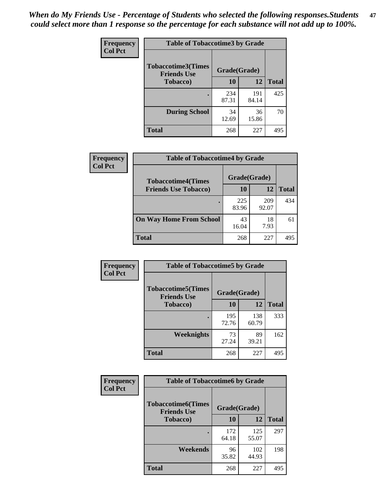*When do My Friends Use - Percentage of Students who selected the following responses.Students could select more than 1 response so the percentage for each substance will not add up to 100%.* **47**

| <b>Frequency</b> | <b>Table of Tobaccotime3 by Grade</b>           |              |              |              |
|------------------|-------------------------------------------------|--------------|--------------|--------------|
| <b>Col Pct</b>   | <b>Tobaccotime3(Times</b><br><b>Friends Use</b> | Grade(Grade) |              |              |
|                  | <b>Tobacco</b> )                                | 10           | 12           | <b>Total</b> |
|                  |                                                 | 234<br>87.31 | 191<br>84.14 | 425          |
|                  | <b>During School</b>                            | 34<br>12.69  | 36<br>15.86  | 70           |
|                  | <b>Total</b>                                    | 268          | 227          | 495          |

| <b>Frequency</b> | <b>Table of Tobaccotime4 by Grade</b> |              |              |              |
|------------------|---------------------------------------|--------------|--------------|--------------|
| <b>Col Pct</b>   | <b>Tobaccotime4(Times</b>             | Grade(Grade) |              |              |
|                  | <b>Friends Use Tobacco)</b>           | 10           | 12           | <b>Total</b> |
|                  |                                       | 225<br>83.96 | 209<br>92.07 | 434          |
|                  | <b>On Way Home From School</b>        | 43<br>16.04  | 18<br>7.93   | 61           |
|                  | <b>Total</b>                          | 268          | 227          | 495          |

| Frequency      | <b>Table of Tobaccotime5 by Grade</b>            |              |              |              |
|----------------|--------------------------------------------------|--------------|--------------|--------------|
| <b>Col Pct</b> | <b>Tobaccotime5</b> (Times<br><b>Friends Use</b> | Grade(Grade) |              |              |
|                | <b>Tobacco</b> )                                 | 10           | 12           | <b>Total</b> |
|                |                                                  | 195<br>72.76 | 138<br>60.79 | 333          |
|                | <b>Weeknights</b>                                | 73<br>27.24  | 89<br>39.21  | 162          |
|                | <b>Total</b>                                     | 268          | 227          | 495          |

| Frequency      | <b>Table of Tobaccotime6 by Grade</b>                           |              |              |              |  |
|----------------|-----------------------------------------------------------------|--------------|--------------|--------------|--|
| <b>Col Pct</b> | <b>Tobaccotime6(Times</b><br>Grade(Grade)<br><b>Friends Use</b> |              |              |              |  |
|                | <b>Tobacco</b> )                                                | 10           | 12           | <b>Total</b> |  |
|                |                                                                 | 172<br>64.18 | 125<br>55.07 | 297          |  |
|                | Weekends                                                        | 96<br>35.82  | 102<br>44.93 | 198          |  |
|                | Total                                                           | 268          | 227          | 495          |  |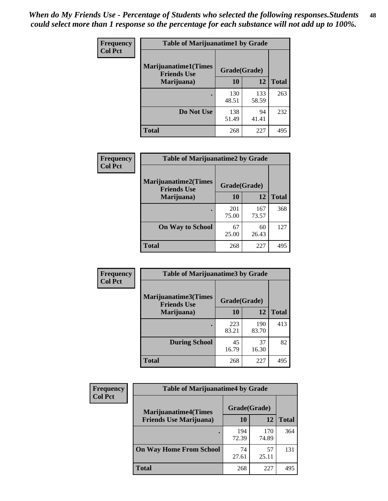| Frequency      | <b>Table of Marijuanatime1 by Grade</b>           |              |              |              |  |
|----------------|---------------------------------------------------|--------------|--------------|--------------|--|
| <b>Col Pct</b> | <b>Marijuanatime1(Times</b><br><b>Friends Use</b> | Grade(Grade) |              |              |  |
|                | Marijuana)                                        | 10           | 12           | <b>Total</b> |  |
|                |                                                   | 130<br>48.51 | 133<br>58.59 | 263          |  |
|                | Do Not Use                                        | 138<br>51.49 | 94<br>41.41  | 232          |  |
|                | <b>Total</b>                                      | 268          | 227          | 495          |  |

| Frequency      | <b>Table of Marijuanatime2 by Grade</b>           |              |              |              |
|----------------|---------------------------------------------------|--------------|--------------|--------------|
| <b>Col Pct</b> | <b>Marijuanatime2(Times</b><br><b>Friends Use</b> | Grade(Grade) |              |              |
|                | Marijuana)                                        | 10           | 12           | <b>Total</b> |
|                |                                                   | 201<br>75.00 | 167<br>73.57 | 368          |
|                | <b>On Way to School</b>                           | 67<br>25.00  | 60<br>26.43  | 127          |
|                | <b>Total</b>                                      | 268          | 227          | 495          |

| Frequency      | <b>Table of Marijuanatime3 by Grade</b>    |              |              |              |
|----------------|--------------------------------------------|--------------|--------------|--------------|
| <b>Col Pct</b> | Marijuanatime3(Times<br><b>Friends Use</b> | Grade(Grade) |              |              |
|                | Marijuana)                                 | 10           | 12           | <b>Total</b> |
|                |                                            | 223<br>83.21 | 190<br>83.70 | 413          |
|                | <b>During School</b>                       | 45<br>16.79  | 37<br>16.30  | 82           |
|                | <b>Total</b>                               | 268          | 227          | 495          |

| <b>Frequency</b> | <b>Table of Marijuanatime4 by Grade</b> |              |              |              |
|------------------|-----------------------------------------|--------------|--------------|--------------|
| <b>Col Pct</b>   | <b>Marijuanatime4(Times</b>             | Grade(Grade) |              |              |
|                  | <b>Friends Use Marijuana</b> )          | 10           | 12           | <b>Total</b> |
|                  |                                         | 194<br>72.39 | 170<br>74.89 | 364          |
|                  | <b>On Way Home From School</b>          | 74<br>27.61  | 57<br>25.11  | 131          |
|                  | <b>Total</b>                            | 268          | 227          | 495          |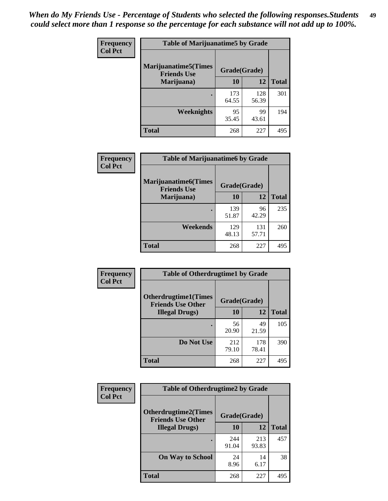| Frequency      | <b>Table of Marijuanatime5 by Grade</b>            |              |              |              |
|----------------|----------------------------------------------------|--------------|--------------|--------------|
| <b>Col Pct</b> | <b>Marijuanatime5</b> (Times<br><b>Friends Use</b> | Grade(Grade) |              |              |
|                | Marijuana)                                         | 10           | 12           | <b>Total</b> |
|                |                                                    | 173<br>64.55 | 128<br>56.39 | 301          |
|                | Weeknights                                         | 95<br>35.45  | 99<br>43.61  | 194          |
|                | <b>Total</b>                                       | 268          | 227          | 495          |

| Frequency      | <b>Table of Marijuanatime6 by Grade</b>            |              |              |              |
|----------------|----------------------------------------------------|--------------|--------------|--------------|
| <b>Col Pct</b> | <b>Marijuanatime6</b> (Times<br><b>Friends Use</b> | Grade(Grade) |              |              |
|                | Marijuana)                                         | 10           | 12           | <b>Total</b> |
|                |                                                    | 139<br>51.87 | 96<br>42.29  | 235          |
|                | Weekends                                           | 129<br>48.13 | 131<br>57.71 | 260          |
|                | <b>Total</b>                                       | 268          | 227          | 495          |

| Frequency      | <b>Table of Otherdrugtime1 by Grade</b>                 |              |              |              |  |
|----------------|---------------------------------------------------------|--------------|--------------|--------------|--|
| <b>Col Pct</b> | <b>Otherdrugtime1(Times</b><br><b>Friends Use Other</b> | Grade(Grade) |              |              |  |
|                | <b>Illegal Drugs)</b>                                   | 10           | 12           | <b>Total</b> |  |
|                |                                                         | 56<br>20.90  | 49<br>21.59  | 105          |  |
|                | Do Not Use                                              | 212<br>79.10 | 178<br>78.41 | 390          |  |
|                | <b>Total</b>                                            | 268          | 227          | 495          |  |

| Frequency      | <b>Table of Otherdrugtime2 by Grade</b>                 |              |              |              |  |  |  |
|----------------|---------------------------------------------------------|--------------|--------------|--------------|--|--|--|
| <b>Col Pct</b> | <b>Otherdrugtime2(Times</b><br><b>Friends Use Other</b> | Grade(Grade) |              |              |  |  |  |
|                | <b>Illegal Drugs</b> )                                  | 10           | 12           | <b>Total</b> |  |  |  |
|                |                                                         | 244<br>91.04 | 213<br>93.83 | 457          |  |  |  |
|                | <b>On Way to School</b>                                 | 24<br>8.96   | 14<br>6.17   | 38           |  |  |  |
|                | Total                                                   | 268          | 227          | 495          |  |  |  |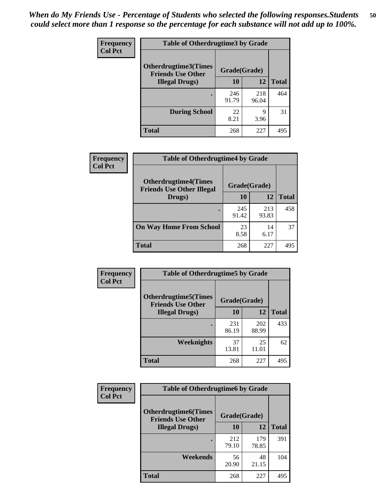| <b>Frequency</b><br><b>Col Pct</b> | <b>Table of Otherdrugtime3 by Grade</b>                                                                 |              |              |              |  |  |
|------------------------------------|---------------------------------------------------------------------------------------------------------|--------------|--------------|--------------|--|--|
|                                    | <b>Otherdrugtime3(Times</b><br>Grade(Grade)<br><b>Friends Use Other</b><br>10<br><b>Illegal Drugs</b> ) |              |              |              |  |  |
|                                    |                                                                                                         |              | 12           | <b>Total</b> |  |  |
|                                    |                                                                                                         | 246<br>91.79 | 218<br>96.04 | 464          |  |  |
|                                    | <b>During School</b>                                                                                    | 22<br>8.21   | 9<br>3.96    | 31           |  |  |
|                                    | Total                                                                                                   | 268          | 227          | 495          |  |  |

| <b>Frequency</b> | <b>Table of Otherdrugtime4 by Grade</b>                         |              |              |              |  |  |  |
|------------------|-----------------------------------------------------------------|--------------|--------------|--------------|--|--|--|
| <b>Col Pct</b>   | <b>Otherdrugtime4(Times</b><br><b>Friends Use Other Illegal</b> | Grade(Grade) |              |              |  |  |  |
|                  | Drugs)                                                          | 10           | 12           | <b>Total</b> |  |  |  |
|                  |                                                                 | 245<br>91.42 | 213<br>93.83 | 458          |  |  |  |
|                  | <b>On Way Home From School</b>                                  | 23<br>8.58   | 14<br>6.17   | 37           |  |  |  |
|                  | <b>Total</b>                                                    | 268          | 227          | 495          |  |  |  |

| <b>Frequency</b><br><b>Col Pct</b> | <b>Table of Otherdrugtime5 by Grade</b>                  |              |              |              |  |  |  |
|------------------------------------|----------------------------------------------------------|--------------|--------------|--------------|--|--|--|
|                                    | <b>Otherdrugtime5</b> (Times<br><b>Friends Use Other</b> | Grade(Grade) |              |              |  |  |  |
|                                    | <b>Illegal Drugs</b> )                                   | 10           | 12           | <b>Total</b> |  |  |  |
|                                    |                                                          | 231<br>86.19 | 202<br>88.99 | 433          |  |  |  |
|                                    | Weeknights                                               | 37<br>13.81  | 25<br>11.01  | 62           |  |  |  |
|                                    | Total                                                    | 268          | 227          | 495          |  |  |  |

| Frequency      | <b>Table of Otherdrugtime6 by Grade</b>                                 |              |              |              |  |  |
|----------------|-------------------------------------------------------------------------|--------------|--------------|--------------|--|--|
| <b>Col Pct</b> | <b>Otherdrugtime6(Times</b><br>Grade(Grade)<br><b>Friends Use Other</b> |              |              |              |  |  |
|                | <b>Illegal Drugs</b> )                                                  | 10           | 12           | <b>Total</b> |  |  |
|                |                                                                         | 212<br>79.10 | 179<br>78.85 | 391          |  |  |
|                | <b>Weekends</b>                                                         | 56<br>20.90  | 48<br>21.15  | 104          |  |  |
|                | <b>Total</b>                                                            | 268          | 227          | 495          |  |  |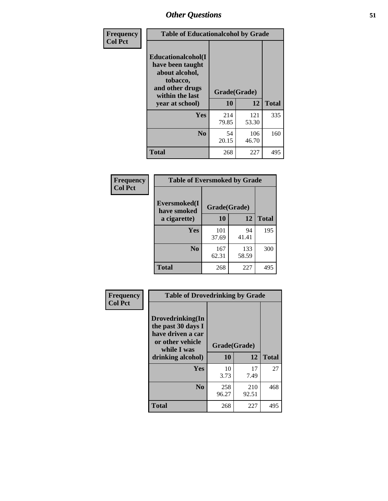| Frequency      | <b>Table of Educationalcohol by Grade</b>                                                                  |              |              |              |  |
|----------------|------------------------------------------------------------------------------------------------------------|--------------|--------------|--------------|--|
| <b>Col Pct</b> | Educationalcohol(I<br>have been taught<br>about alcohol,<br>tobacco,<br>and other drugs<br>within the last | Grade(Grade) |              |              |  |
|                | year at school)                                                                                            | 10           | 12           | <b>Total</b> |  |
|                | <b>Yes</b>                                                                                                 | 214<br>79.85 | 121<br>53.30 | 335          |  |
|                | N <sub>0</sub>                                                                                             | 54<br>20.15  | 106<br>46.70 | 160          |  |
|                | <b>Total</b>                                                                                               | 268          | 227          | 495          |  |

| Frequency      | <b>Table of Eversmoked by Grade</b> |              |              |              |  |  |  |
|----------------|-------------------------------------|--------------|--------------|--------------|--|--|--|
| <b>Col Pct</b> | Eversmoked(I<br>have smoked         | Grade(Grade) |              |              |  |  |  |
|                | a cigarette)                        | 10           | 12           | <b>Total</b> |  |  |  |
|                | Yes                                 | 101<br>37.69 | 94<br>41.41  | 195          |  |  |  |
|                | N <sub>0</sub>                      | 167<br>62.31 | 133<br>58.59 | 300          |  |  |  |
|                | <b>Total</b>                        | 268          | 227          | 495          |  |  |  |

| Frequency<br><b>Col Pct</b> | <b>Table of Drovedrinking by Grade</b>                                                         |                          |              |              |  |  |
|-----------------------------|------------------------------------------------------------------------------------------------|--------------------------|--------------|--------------|--|--|
|                             | Drovedrinking(In<br>the past 30 days I<br>have driven a car<br>or other vehicle<br>while I was | Grade(Grade)<br>10<br>12 |              |              |  |  |
|                             | drinking alcohol)                                                                              |                          |              | <b>Total</b> |  |  |
|                             | <b>Yes</b>                                                                                     | 10<br>3.73               | 17<br>7.49   | 27           |  |  |
|                             | N <sub>0</sub>                                                                                 | 258<br>96.27             | 210<br>92.51 | 468          |  |  |
|                             | <b>Total</b>                                                                                   | 268                      | 227          | 495          |  |  |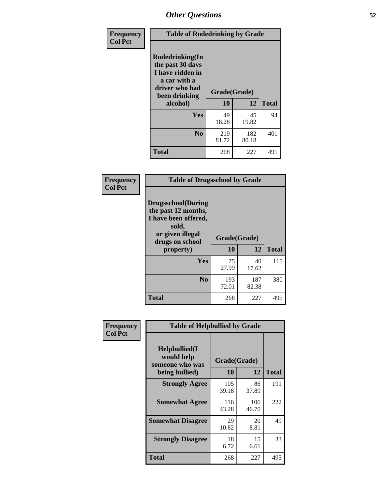| Frequency<br><b>Col Pct</b> | <b>Table of Rodedrinking by Grade</b>                                                                      |              |              |              |  |  |
|-----------------------------|------------------------------------------------------------------------------------------------------------|--------------|--------------|--------------|--|--|
|                             | Rodedrinking(In<br>the past 30 days<br>I have ridden in<br>a car with a<br>driver who had<br>been drinking | Grade(Grade) |              |              |  |  |
|                             | alcohol)                                                                                                   | 10           | 12           | <b>Total</b> |  |  |
|                             | <b>Yes</b>                                                                                                 | 49<br>18.28  | 45<br>19.82  | 94           |  |  |
|                             | N <sub>0</sub>                                                                                             | 219<br>81.72 | 182<br>80.18 | 401          |  |  |
|                             | <b>Total</b>                                                                                               | 268          | 227          | 495          |  |  |

#### **Frequency Col Pct**

| <b>Table of Drugsschool by Grade</b>                                                                                      |              |                    |              |  |  |  |
|---------------------------------------------------------------------------------------------------------------------------|--------------|--------------------|--------------|--|--|--|
| <b>Drugsschool</b> (During<br>the past 12 months,<br>I have been offered,<br>sold,<br>or given illegal<br>drugs on school | 10           | Grade(Grade)<br>12 | <b>Total</b> |  |  |  |
| property)                                                                                                                 |              |                    |              |  |  |  |
| Yes                                                                                                                       | 75<br>27.99  | 40<br>17.62        | 115          |  |  |  |
| N <sub>0</sub>                                                                                                            | 193<br>72.01 | 187<br>82.38       | 380          |  |  |  |
| <b>Total</b>                                                                                                              | 268          | 227                | 495          |  |  |  |

| Frequency      | <b>Table of Helpbullied by Grade</b>                                   |                    |              |     |  |  |  |
|----------------|------------------------------------------------------------------------|--------------------|--------------|-----|--|--|--|
| <b>Col Pct</b> | $Helpb$ ullied $(I$<br>would help<br>someone who was<br>being bullied) | Grade(Grade)<br>10 | <b>Total</b> |     |  |  |  |
|                |                                                                        |                    | 12           |     |  |  |  |
|                | <b>Strongly Agree</b>                                                  | 105<br>39.18       | 86<br>37.89  | 191 |  |  |  |
|                | <b>Somewhat Agree</b>                                                  | 116<br>43.28       | 106<br>46.70 | 222 |  |  |  |
|                | <b>Somewhat Disagree</b>                                               | 29<br>10.82        | 20<br>8.81   | 49  |  |  |  |
|                | <b>Strongly Disagree</b>                                               | 18<br>6.72         | 15<br>6.61   | 33  |  |  |  |
|                | <b>Total</b>                                                           | 268                | 227          | 495 |  |  |  |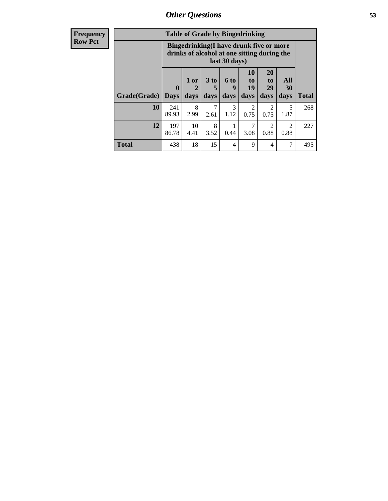| <b>Frequency</b> | <b>Table of Grade by Bingedrinking</b> |                                                                                                         |                     |                              |                              |                                   |                                     |                          |              |
|------------------|----------------------------------------|---------------------------------------------------------------------------------------------------------|---------------------|------------------------------|------------------------------|-----------------------------------|-------------------------------------|--------------------------|--------------|
| <b>Row Pct</b>   |                                        | Bingedrinking(I have drunk five or more<br>drinks of alcohol at one sitting during the<br>last 30 days) |                     |                              |                              |                                   |                                     |                          |              |
|                  | Grade(Grade)                           | $\bf{0}$<br><b>Days</b>                                                                                 | $1$ or<br>2<br>days | 3 <sub>to</sub><br>5<br>days | 6 <sup>to</sup><br>9<br>days | 10<br>$\mathbf{to}$<br>19<br>days | <b>20</b><br>to<br>29<br>days       | <b>All</b><br>30<br>days | <b>Total</b> |
|                  | 10                                     | 241<br>89.93                                                                                            | 8<br>2.99           | 7<br>2.61                    | 3<br>1.12                    | $\overline{2}$<br>0.75            | $\mathcal{D}_{\mathcal{A}}$<br>0.75 | 5<br>1.87                | 268          |
|                  | 12                                     | 197<br>86.78                                                                                            | 10<br>4.41          | 8<br>3.52                    | 0.44                         | 7<br>3.08                         | $\mathfrak{D}$<br>0.88              | $\mathfrak{D}$<br>0.88   | 227          |
|                  | <b>Total</b>                           | 438                                                                                                     | 18                  | 15                           | 4                            | 9                                 | 4                                   | 7                        | 495          |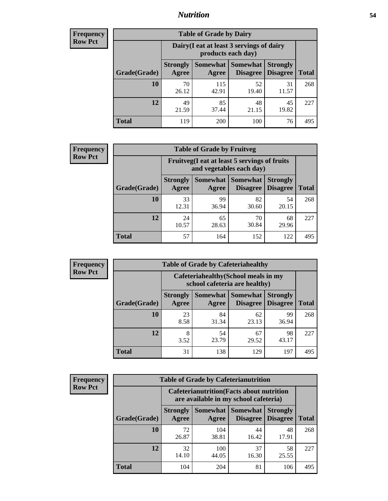### *Nutrition* **54**

| <b>Frequency</b><br>Row Pct |
|-----------------------------|
|                             |

| <b>Table of Grade by Dairy</b> |                          |                                                                                                      |             |             |     |  |  |  |
|--------------------------------|--------------------------|------------------------------------------------------------------------------------------------------|-------------|-------------|-----|--|--|--|
|                                |                          | Dairy (I eat at least 3 servings of dairy<br>products each day)                                      |             |             |     |  |  |  |
| Grade(Grade)                   | <b>Strongly</b><br>Agree | <b>Somewhat</b><br><b>Somewhat</b><br><b>Strongly</b><br><b>Disagree</b><br><b>Disagree</b><br>Agree |             |             |     |  |  |  |
| 10                             | 70<br>26.12              | 115<br>42.91                                                                                         | 52<br>19.40 | 31<br>11.57 | 268 |  |  |  |
| 12                             | 49<br>21.59              | 85<br>37.44                                                                                          | 48<br>21.15 | 45<br>19.82 | 227 |  |  |  |
| <b>Total</b>                   | 119                      | 200                                                                                                  | 100         | 76          | 495 |  |  |  |

| <b>Frequency</b> |  |
|------------------|--|
| <b>Row Pct</b>   |  |

| <b>Table of Grade by Fruitveg</b> |                          |                                                                                       |             |             |     |  |  |
|-----------------------------------|--------------------------|---------------------------------------------------------------------------------------|-------------|-------------|-----|--|--|
|                                   |                          | Fruitveg(I eat at least 5 servings of fruits<br>and vegetables each day)              |             |             |     |  |  |
| Grade(Grade)                      | <b>Strongly</b><br>Agree | Somewhat   Somewhat<br><b>Strongly</b><br><b>Disagree</b><br><b>Disagree</b><br>Agree |             |             |     |  |  |
| 10                                | 33<br>12.31              | 99<br>36.94                                                                           | 82<br>30.60 | 54<br>20.15 | 268 |  |  |
| 12                                | 24<br>10.57              | 65<br>28.63                                                                           | 70<br>30.84 | 68<br>29.96 | 227 |  |  |
| <b>Total</b>                      | 57                       | 164                                                                                   | 152         | 122         | 495 |  |  |

| <b>Frequency</b> | <b>Table of Grade by Cafeteriahealthy</b> |                                                                       |             |                                          |                                    |              |  |  |
|------------------|-------------------------------------------|-----------------------------------------------------------------------|-------------|------------------------------------------|------------------------------------|--------------|--|--|
| <b>Row Pct</b>   |                                           | Cafeteriahealthy (School meals in my<br>school cafeteria are healthy) |             |                                          |                                    |              |  |  |
|                  | Grade(Grade)                              | <b>Strongly</b><br>Agree                                              | Agree       | Somewhat   Somewhat  <br><b>Disagree</b> | <b>Strongly</b><br><b>Disagree</b> | <b>Total</b> |  |  |
|                  | 10                                        | 23<br>8.58                                                            | 84<br>31.34 | 62<br>23.13                              | 99<br>36.94                        | 268          |  |  |
|                  | 12                                        | 8<br>3.52                                                             | 54<br>23.79 | 67<br>29.52                              | 98<br>43.17                        | 227          |  |  |
|                  | <b>Total</b>                              | 31                                                                    | 138         | 129                                      | 197                                | 495          |  |  |

| <b>Frequency</b> |
|------------------|
| <b>Row Pct</b>   |

| <b>Table of Grade by Cafeterianutrition</b> |                                                                                           |              |                                      |                                    |              |  |  |
|---------------------------------------------|-------------------------------------------------------------------------------------------|--------------|--------------------------------------|------------------------------------|--------------|--|--|
|                                             | <b>Cafeterianutrition</b> (Facts about nutrition<br>are available in my school cafeteria) |              |                                      |                                    |              |  |  |
| Grade(Grade)                                | <b>Strongly</b><br>Agree                                                                  | Agree        | Somewhat Somewhat<br><b>Disagree</b> | <b>Strongly</b><br><b>Disagree</b> | <b>Total</b> |  |  |
| 10                                          | 72<br>26.87                                                                               | 104<br>38.81 | 44<br>16.42                          | 48<br>17.91                        | 268          |  |  |
| 12                                          | 32<br>14.10                                                                               | 100<br>44.05 | 37<br>16.30                          | 58<br>25.55                        | 227          |  |  |
| Total                                       | 104                                                                                       | 204          | 81                                   | 106                                | 495          |  |  |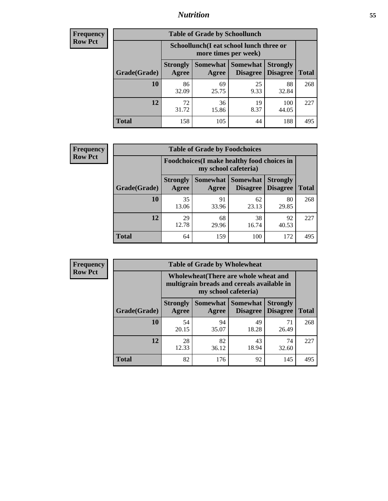### *Nutrition* **55**

| <b>Frequency</b> |
|------------------|
| <b>Row Pct</b>   |

| <b>Table of Grade by Schoollunch</b> |                          |                                                                                                        |            |              |     |  |  |  |
|--------------------------------------|--------------------------|--------------------------------------------------------------------------------------------------------|------------|--------------|-----|--|--|--|
|                                      |                          | Schoollunch(I eat school lunch three or<br>more times per week)                                        |            |              |     |  |  |  |
| Grade(Grade)                         | <b>Strongly</b><br>Agree | Somewhat<br><b>Somewhat</b><br><b>Strongly</b><br><b>Disagree</b><br>Disagree<br><b>Total</b><br>Agree |            |              |     |  |  |  |
| 10                                   | 86<br>32.09              | 69<br>25.75                                                                                            | 25<br>9.33 | 88<br>32.84  | 268 |  |  |  |
| 12                                   | 72<br>31.72              | 36<br>15.86                                                                                            | 19<br>8.37 | 100<br>44.05 | 227 |  |  |  |
| <b>Total</b>                         | 158                      | 105                                                                                                    | 44         | 188          | 495 |  |  |  |

| <b>Frequency</b> |  |
|------------------|--|
| <b>Row Pct</b>   |  |

|                                                                     |                          | <b>Table of Grade by Foodchoices</b> |                                        |                                    |              |  |
|---------------------------------------------------------------------|--------------------------|--------------------------------------|----------------------------------------|------------------------------------|--------------|--|
| Foodchoices (I make healthy food choices in<br>my school cafeteria) |                          |                                      |                                        |                                    |              |  |
| Grade(Grade)                                                        | <b>Strongly</b><br>Agree | Agree                                | Somewhat   Somewhat<br><b>Disagree</b> | <b>Strongly</b><br><b>Disagree</b> | <b>Total</b> |  |
| 10                                                                  | 35<br>13.06              | 91<br>33.96                          | 62<br>23.13                            | 80<br>29.85                        | 268          |  |
| 12                                                                  | 29<br>12.78              | 68<br>29.96                          | 38<br>16.74                            | 92<br>40.53                        | 227          |  |
| <b>Total</b>                                                        | 64                       | 159                                  | 100                                    | 172                                | 495          |  |

| <b>Frequency</b> | <b>Table of Grade by Wholewheat</b> |                                                                                                             |             |                                   |                                    |              |  |  |  |
|------------------|-------------------------------------|-------------------------------------------------------------------------------------------------------------|-------------|-----------------------------------|------------------------------------|--------------|--|--|--|
| <b>Row Pct</b>   |                                     | Wholewheat (There are whole wheat and<br>multigrain breads and cereals available in<br>my school cafeteria) |             |                                   |                                    |              |  |  |  |
|                  | Grade(Grade)                        | <b>Strongly</b><br>Agree                                                                                    | Agree       | Somewhat   Somewhat  <br>Disagree | <b>Strongly</b><br><b>Disagree</b> | <b>Total</b> |  |  |  |
|                  | 10                                  | 54<br>20.15                                                                                                 | 94<br>35.07 | 49<br>18.28                       | 71<br>26.49                        | 268          |  |  |  |
|                  | 12                                  | 28<br>12.33                                                                                                 | 82<br>36.12 | 43<br>18.94                       | 74<br>32.60                        | 227          |  |  |  |
|                  | <b>Total</b>                        | 82                                                                                                          | 176         | 92                                | 145                                | 495          |  |  |  |
|                  |                                     |                                                                                                             |             |                                   |                                    |              |  |  |  |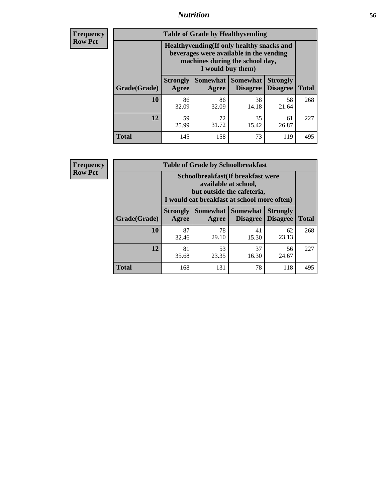### *Nutrition* **56**

**Frequency Row Pct**

| <b>Table of Grade by Healthyvending</b> |                          |                                                                                                                                               |                                    |                                    |              |  |
|-----------------------------------------|--------------------------|-----------------------------------------------------------------------------------------------------------------------------------------------|------------------------------------|------------------------------------|--------------|--|
|                                         |                          | Healthyvending (If only healthy snacks and<br>beverages were available in the vending<br>machines during the school day,<br>I would buy them) |                                    |                                    |              |  |
| Grade(Grade)                            | <b>Strongly</b><br>Agree | <b>Somewhat</b><br>Agree                                                                                                                      | <b>Somewhat</b><br><b>Disagree</b> | <b>Strongly</b><br><b>Disagree</b> | <b>Total</b> |  |
| 10                                      | 86<br>32.09              | 86<br>32.09                                                                                                                                   | 38<br>14.18                        | 58<br>21.64                        | 268          |  |
| 12                                      | 59<br>25.99              | 72<br>31.72                                                                                                                                   | 35<br>15.42                        | 61<br>26.87                        | 227          |  |
| <b>Total</b>                            | 145                      | 158                                                                                                                                           | 73                                 | 119                                | 495          |  |

**Frequency Row Pct**

| <b>Table of Grade by Schoolbreakfast</b> |                          |                                                                                                                                         |             |             |     |  |
|------------------------------------------|--------------------------|-----------------------------------------------------------------------------------------------------------------------------------------|-------------|-------------|-----|--|
|                                          |                          | Schoolbreakfast (If breakfast were<br>available at school,<br>but outside the cafeteria,<br>I would eat breakfast at school more often) |             |             |     |  |
| Grade(Grade)                             | <b>Strongly</b><br>Agree | Somewhat   Somewhat<br><b>Strongly</b><br><b>Disagree</b><br><b>Disagree</b><br><b>Total</b><br>Agree                                   |             |             |     |  |
| 10                                       | 87<br>32.46              | 78<br>29.10                                                                                                                             | 41<br>15.30 | 62<br>23.13 | 268 |  |
| 12                                       | 81<br>35.68              | 53<br>23.35                                                                                                                             | 37<br>16.30 | 56<br>24.67 | 227 |  |
| <b>Total</b>                             | 168                      | 131                                                                                                                                     | 78          | 118         | 495 |  |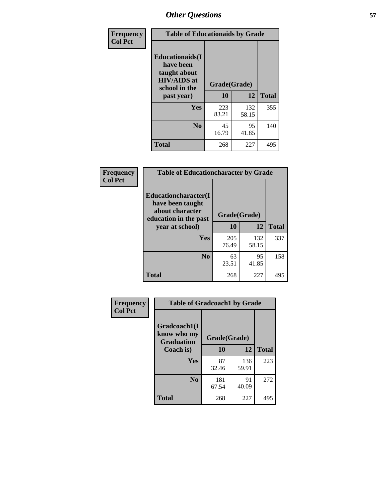| Frequency<br><b>Col Pct</b> | <b>Table of Educationaids by Grade</b>                                                                    |                    |              |              |
|-----------------------------|-----------------------------------------------------------------------------------------------------------|--------------------|--------------|--------------|
|                             | <b>Educationaids</b> (I<br>have been<br>taught about<br><b>HIV/AIDS</b> at<br>school in the<br>past year) | Grade(Grade)<br>10 | 12           | <b>Total</b> |
|                             | Yes                                                                                                       | 223<br>83.21       | 132<br>58.15 | 355          |
|                             | N <sub>0</sub>                                                                                            | 45<br>16.79        | 95<br>41.85  | 140          |
|                             | <b>Total</b>                                                                                              | 268                | 227          | 495          |

| <b>Frequency</b> | <b>Table of Educationcharacter by Grade</b>                                                 |              |              |              |
|------------------|---------------------------------------------------------------------------------------------|--------------|--------------|--------------|
| <b>Col Pct</b>   | <b>Educationcharacter(I</b><br>have been taught<br>about character<br>education in the past | Grade(Grade) |              |              |
|                  | year at school)                                                                             | 10           | 12           | <b>Total</b> |
|                  | <b>Yes</b>                                                                                  | 205<br>76.49 | 132<br>58.15 | 337          |
|                  | N <sub>0</sub>                                                                              | 63<br>23.51  | 95<br>41.85  | 158          |
|                  | <b>Total</b>                                                                                | 268          | 227          | 495          |

| Frequency      | <b>Table of Gradcoach1 by Grade</b> |              |              |              |
|----------------|-------------------------------------|--------------|--------------|--------------|
| <b>Col Pct</b> | Gradcoach1(I<br>know who my         | Grade(Grade) |              |              |
|                | <b>Graduation</b><br>Coach is)      | 10           | 12           | <b>Total</b> |
|                | Yes                                 | 87<br>32.46  | 136<br>59.91 | 223          |
|                | N <sub>0</sub>                      | 181<br>67.54 | 91<br>40.09  | 272          |
|                | <b>Total</b>                        | 268          | 227          | 495          |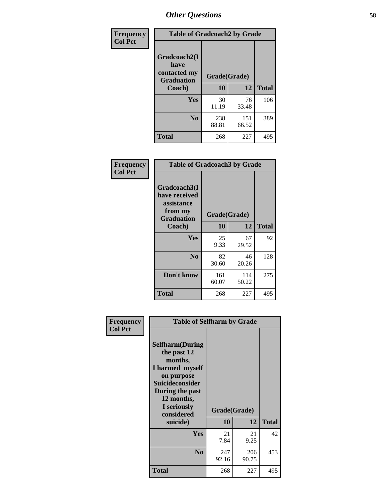| Frequency      | <b>Table of Gradcoach2 by Grade</b> |              |              |              |
|----------------|-------------------------------------|--------------|--------------|--------------|
| <b>Col Pct</b> |                                     |              |              |              |
|                | Gradcoach2(I<br>have                |              |              |              |
|                | contacted my<br><b>Graduation</b>   | Grade(Grade) |              |              |
|                | Coach)                              | 10           | 12           | <b>Total</b> |
|                | Yes                                 | 30<br>11.19  | 76<br>33.48  | 106          |
|                | N <sub>0</sub>                      | 238<br>88.81 | 151<br>66.52 | 389          |
|                | <b>Total</b>                        | 268          | 227          | 495          |

| <b>Frequency</b><br><b>Col Pct</b> | <b>Table of Gradcoach3 by Grade</b>                                         |              |              |              |
|------------------------------------|-----------------------------------------------------------------------------|--------------|--------------|--------------|
|                                    | Gradcoach3(I<br>have received<br>assistance<br>from my<br><b>Graduation</b> | Grade(Grade) |              |              |
|                                    | Coach)                                                                      | 10           | 12           | <b>Total</b> |
|                                    | Yes                                                                         | 25<br>9.33   | 67<br>29.52  | 92           |
|                                    | N <sub>0</sub>                                                              | 82<br>30.60  | 46<br>20.26  | 128          |
|                                    | Don't know                                                                  | 161<br>60.07 | 114<br>50.22 | 275          |
|                                    | <b>Total</b>                                                                | 268          | 227          | 495          |

| <b>Total</b> |
|--------------|
|              |
| 42           |
| 453          |
| 495          |
|              |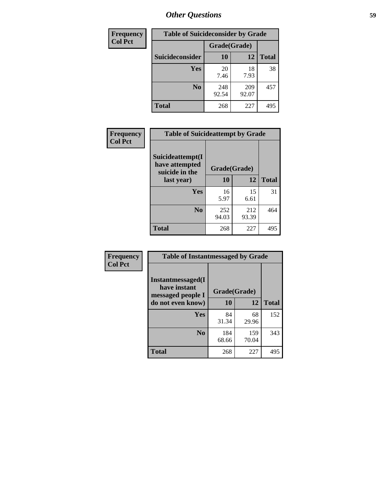| <b>Frequency</b> | <b>Table of Suicideconsider by Grade</b> |              |              |              |
|------------------|------------------------------------------|--------------|--------------|--------------|
| <b>Col Pct</b>   |                                          | Grade(Grade) |              |              |
|                  | Suicideconsider                          | <b>10</b>    | 12           | <b>Total</b> |
|                  | Yes                                      | 20<br>7.46   | 18<br>7.93   | 38           |
|                  | N <sub>0</sub>                           | 248<br>92.54 | 209<br>92.07 | 457          |
|                  | Total                                    | 268          | 227          | 495          |

| Frequency      | <b>Table of Suicideattempt by Grade</b>              |              |              |              |
|----------------|------------------------------------------------------|--------------|--------------|--------------|
| <b>Col Pct</b> | Suicideattempt(I<br>have attempted<br>suicide in the | Grade(Grade) |              |              |
|                | last year)                                           | 10           | 12           | <b>Total</b> |
|                | Yes                                                  | 16<br>5.97   | 15<br>6.61   | 31           |
|                | $\bf No$                                             | 252<br>94.03 | 212<br>93.39 | 464          |
|                | <b>Total</b>                                         | 268          | 227          | 495          |

| Frequency      | <b>Table of Instantmessaged by Grade</b>               |              |              |              |
|----------------|--------------------------------------------------------|--------------|--------------|--------------|
| <b>Col Pct</b> | Instantmessaged(I<br>have instant<br>messaged people I | Grade(Grade) |              |              |
|                | do not even know)                                      | 10           | 12           | <b>Total</b> |
|                | Yes                                                    | 84<br>31.34  | 68<br>29.96  | 152          |
|                | N <sub>0</sub>                                         | 184<br>68.66 | 159<br>70.04 | 343          |
|                | <b>Total</b>                                           | 268          | 227          | 495          |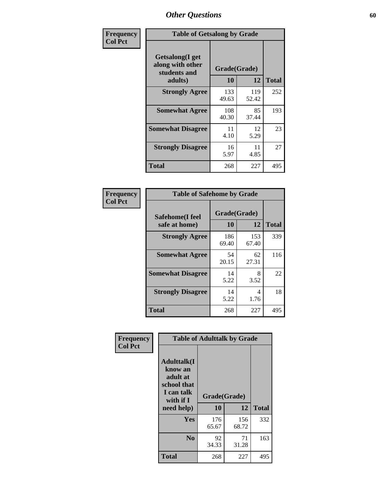| Frequency      | <b>Table of Getsalong by Grade</b>                  |              |              |              |
|----------------|-----------------------------------------------------|--------------|--------------|--------------|
| <b>Col Pct</b> | Getsalong(I get<br>along with other<br>students and | Grade(Grade) |              |              |
|                | adults)                                             | 10           | 12           | <b>Total</b> |
|                | <b>Strongly Agree</b>                               | 133<br>49.63 | 119<br>52.42 | 252          |
|                | <b>Somewhat Agree</b>                               | 108<br>40.30 | 85<br>37.44  | 193          |
|                | <b>Somewhat Disagree</b>                            | 11<br>4.10   | 12<br>5.29   | 23           |
|                | <b>Strongly Disagree</b>                            | 16<br>5.97   | 11<br>4.85   | 27           |
|                | Total                                               | 268          | 227          | 495          |

| <b>Frequency</b><br><b>Col Pct</b> |
|------------------------------------|
|------------------------------------|

| <b>Table of Safehome by Grade</b> |              |                    |     |  |  |  |  |  |
|-----------------------------------|--------------|--------------------|-----|--|--|--|--|--|
| Safehome(I feel<br>safe at home)  | 10           | Grade(Grade)<br>12 |     |  |  |  |  |  |
| <b>Strongly Agree</b>             | 186<br>69.40 | 153<br>67.40       | 339 |  |  |  |  |  |
| <b>Somewhat Agree</b>             | 54<br>20.15  | 62<br>27.31        | 116 |  |  |  |  |  |
| <b>Somewhat Disagree</b>          | 14<br>5.22   | 8<br>3.52          | 22  |  |  |  |  |  |
| <b>Strongly Disagree</b>          | 14<br>5.22   | 4<br>1.76          | 18  |  |  |  |  |  |
| <b>Total</b>                      | 268          | 227                | 495 |  |  |  |  |  |

| Frequency      | <b>Table of Adulttalk by Grade</b>                                                   |              |              |              |  |  |  |  |
|----------------|--------------------------------------------------------------------------------------|--------------|--------------|--------------|--|--|--|--|
| <b>Col Pct</b> | <b>Adulttalk</b> (I<br>know an<br>adult at<br>school that<br>I can talk<br>with if I | Grade(Grade) |              |              |  |  |  |  |
|                | need help)                                                                           | 10           | 12           | <b>Total</b> |  |  |  |  |
|                | Yes                                                                                  | 176<br>65.67 | 156<br>68.72 | 332          |  |  |  |  |
|                | N <sub>0</sub>                                                                       | 92<br>34.33  | 71<br>31.28  | 163          |  |  |  |  |
|                | <b>Total</b>                                                                         | 268          | 227          | 495          |  |  |  |  |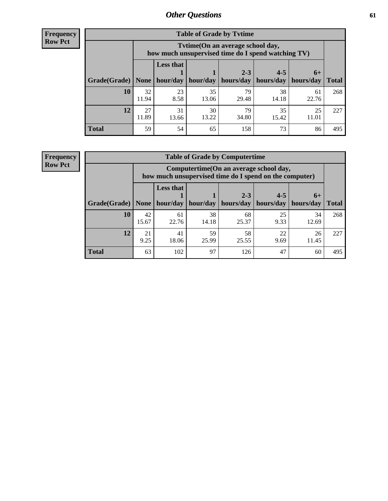**Frequency Row Pct**

r

| <b>Table of Grade by Tvtime</b> |             |                                                                                         |             |             |             |             |              |  |  |  |
|---------------------------------|-------------|-----------------------------------------------------------------------------------------|-------------|-------------|-------------|-------------|--------------|--|--|--|
|                                 |             | Tytime (On an average school day,<br>how much unsupervised time do I spend watching TV) |             |             |             |             |              |  |  |  |
|                                 |             | <b>Less that</b><br>hour/day                                                            |             | $2 - 3$     | $4 - 5$     | $6+$        |              |  |  |  |
| Grade(Grade)   None             |             |                                                                                         | hour/day    | hours/day   | hours/day   | hours/day   | <b>Total</b> |  |  |  |
| 10                              | 32<br>11.94 | 23<br>8.58                                                                              | 35<br>13.06 | 79<br>29.48 | 38<br>14.18 | 61<br>22.76 | 268          |  |  |  |
| 12                              | 27<br>11.89 | 31<br>13.66                                                                             | 30<br>13.22 | 79<br>34.80 | 35<br>15.42 | 25<br>11.01 | 227          |  |  |  |
| <b>Total</b>                    | 59          | 54                                                                                      | 65          | 158         | 73          | 86          | 495          |  |  |  |

**Frequency Row Pct**

| <b>Table of Grade by Computertime</b> |             |                                                                                                   |                     |             |            |             |              |  |  |
|---------------------------------------|-------------|---------------------------------------------------------------------------------------------------|---------------------|-------------|------------|-------------|--------------|--|--|
|                                       |             | Computertime (On an average school day,<br>how much unsupervised time do I spend on the computer) |                     |             |            |             |              |  |  |
|                                       |             | <b>Less that</b>                                                                                  |                     | $2 - 3$     | $4 - 5$    | $6+$        |              |  |  |
| Grade(Grade)                          | None $ $    |                                                                                                   | hour/day   hour/day | hours/day   | hours/day  | hours/day   | <b>Total</b> |  |  |
| 10                                    | 42<br>15.67 | 61<br>22.76                                                                                       | 38<br>14.18         | 68<br>25.37 | 25<br>9.33 | 34<br>12.69 | 268          |  |  |
| 12                                    | 21<br>9.25  | 41<br>18.06                                                                                       | 59<br>25.99         | 58<br>25.55 | 22<br>9.69 | 26<br>11.45 | 227          |  |  |
| <b>Total</b>                          | 63          | 102                                                                                               | 97                  | 126         | 47         | 60          | 495          |  |  |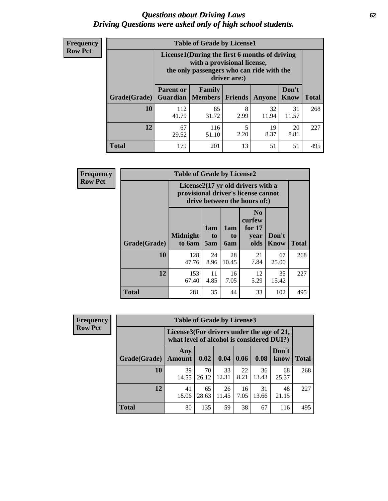#### *Questions about Driving Laws* **62** *Driving Questions were asked only of high school students.*

| <b>Frequency</b> |
|------------------|
| <b>Row Pct</b>   |

| <b>Table of Grade by License1</b> |                              |                                                                                                                                           |           |             |               |              |  |  |  |
|-----------------------------------|------------------------------|-------------------------------------------------------------------------------------------------------------------------------------------|-----------|-------------|---------------|--------------|--|--|--|
|                                   |                              | License1(During the first 6 months of driving<br>with a provisional license,<br>the only passengers who can ride with the<br>driver are:) |           |             |               |              |  |  |  |
| Grade(Grade)                      | <b>Parent or</b><br>Guardian | Family<br>  Members                                                                                                                       | Friends   | Anyone      | Don't<br>Know | <b>Total</b> |  |  |  |
| 10                                | 112<br>41.79                 | 85<br>31.72                                                                                                                               | 8<br>2.99 | 32<br>11.94 | 31<br>11.57   | 268          |  |  |  |
| 12                                | 67<br>29.52                  | 116<br>51.10                                                                                                                              | 5<br>2.20 | 19<br>8.37  | 20<br>8.81    | 227          |  |  |  |
| <b>Total</b>                      | 179                          | 201                                                                                                                                       | 13        | 51          | 51            | 495          |  |  |  |

| Frequency      |              | <b>Table of Grade by License2</b> |                                                                                                          |                  |                                                      |                      |              |  |  |
|----------------|--------------|-----------------------------------|----------------------------------------------------------------------------------------------------------|------------------|------------------------------------------------------|----------------------|--------------|--|--|
| <b>Row Pct</b> |              |                                   | License2(17 yr old drivers with a<br>provisional driver's license cannot<br>drive between the hours of:) |                  |                                                      |                      |              |  |  |
|                | Grade(Grade) | <b>Midnight</b><br>to 6am         | 1am<br>to<br>5am                                                                                         | 1am<br>to<br>6am | N <sub>0</sub><br>curfew<br>for $17$<br>year<br>olds | Don't<br><b>Know</b> | <b>Total</b> |  |  |
|                | 10           | 128<br>47.76                      | 24<br>8.96                                                                                               | 28<br>10.45      | 21<br>7.84                                           | 67<br>25.00          | 268          |  |  |
|                | 12           | 153<br>67.40                      | 11<br>4.85                                                                                               | 16<br>7.05       | 12<br>5.29                                           | 35<br>15.42          | 227          |  |  |
|                | <b>Total</b> | 281                               | 35                                                                                                       | 44               | 33                                                   | 102                  | 495          |  |  |

| Frequency      | <b>Table of Grade by License3</b> |                                                                                        |             |             |            |             |               |              |  |
|----------------|-----------------------------------|----------------------------------------------------------------------------------------|-------------|-------------|------------|-------------|---------------|--------------|--|
| <b>Row Pct</b> |                                   | License3(For drivers under the age of 21,<br>what level of alcohol is considered DUI?) |             |             |            |             |               |              |  |
|                | Grade(Grade)                      | Any<br><b>Amount</b>                                                                   | 0.02        | 0.04        | 0.06       | 0.08        | Don't<br>know | <b>Total</b> |  |
|                | 10                                | 39<br>14.55                                                                            | 70<br>26.12 | 33<br>12.31 | 22<br>8.21 | 36<br>13.43 | 68<br>25.37   | 268          |  |
|                | 12                                | 41<br>18.06                                                                            | 65<br>28.63 | 26<br>11.45 | 16<br>7.05 | 31<br>13.66 | 48<br>21.15   | 227          |  |
|                | <b>Total</b>                      | 80                                                                                     | 135         | 59          | 38         | 67          | 116           | 495          |  |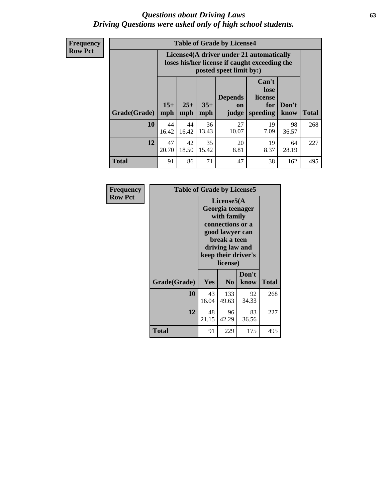#### *Questions about Driving Laws* **63** *Driving Questions were asked only of high school students.*

**Frequency Row Pct**

| <b>Table of Grade by License4</b> |                                                                                                                                                      |                                                                                                                      |             |             |            |             |              |  |
|-----------------------------------|------------------------------------------------------------------------------------------------------------------------------------------------------|----------------------------------------------------------------------------------------------------------------------|-------------|-------------|------------|-------------|--------------|--|
|                                   |                                                                                                                                                      | License4(A driver under 21 automatically<br>loses his/her license if caught exceeding the<br>posted speet limit by:) |             |             |            |             |              |  |
| Grade(Grade)                      | Can't<br>lose<br><b>Depends</b><br>license<br>$15+$<br>$25+$<br>$35+$<br>Don't<br>for<br><b>on</b><br>mph<br>mph<br>speeding<br>know<br>mph<br>judge |                                                                                                                      |             |             |            |             | <b>Total</b> |  |
| 10                                | 44<br>16.42                                                                                                                                          | 44<br>16.42                                                                                                          | 36<br>13.43 | 27<br>10.07 | 19<br>7.09 | 98<br>36.57 | 268          |  |
| 12                                | 47<br>20.70                                                                                                                                          | 42<br>18.50                                                                                                          | 35<br>15.42 | 20<br>8.81  | 19<br>8.37 | 64<br>28.19 | 227          |  |
| <b>Total</b>                      | 91                                                                                                                                                   | 86                                                                                                                   | 71          | 47          | 38         | 162         | 495          |  |

| Frequency      | <b>Table of Grade by License5</b> |                                                                                                                                                            |                |               |              |  |
|----------------|-----------------------------------|------------------------------------------------------------------------------------------------------------------------------------------------------------|----------------|---------------|--------------|--|
| <b>Row Pct</b> |                                   | License5(A<br>Georgia teenager<br>with family<br>connections or a<br>good lawyer can<br>break a teen<br>driving law and<br>keep their driver's<br>license) |                |               |              |  |
|                | Grade(Grade)                      | <b>Yes</b>                                                                                                                                                 | N <sub>0</sub> | Don't<br>know | <b>Total</b> |  |
|                | 10                                | 43<br>16.04                                                                                                                                                | 133<br>49.63   | 92<br>34.33   | 268          |  |
|                | 12                                | 48<br>21.15                                                                                                                                                | 96<br>42.29    | 83<br>36.56   | 227          |  |
|                | Total                             | 91                                                                                                                                                         | 229            | 175           | 495          |  |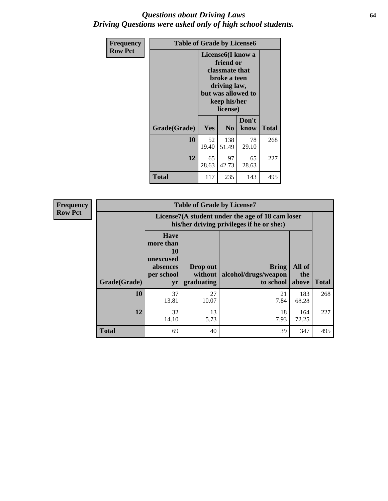#### *Questions about Driving Laws* **64** *Driving Questions were asked only of high school students.*

| <b>Frequency</b> | <b>Table of Grade by License6</b> |                                                                                                                                                 |                |               |              |  |
|------------------|-----------------------------------|-------------------------------------------------------------------------------------------------------------------------------------------------|----------------|---------------|--------------|--|
| <b>Row Pct</b>   |                                   | License <sub>6</sub> (I know a<br>friend or<br>classmate that<br>broke a teen<br>driving law,<br>but was allowed to<br>keep his/her<br>license) |                |               |              |  |
|                  | Grade(Grade)                      | <b>Yes</b>                                                                                                                                      | N <sub>0</sub> | Don't<br>know | <b>Total</b> |  |
|                  | 10                                | 52<br>19.40                                                                                                                                     | 138<br>51.49   | 78<br>29.10   | 268          |  |
|                  | 12                                | 65<br>28.63                                                                                                                                     | 97<br>42.73    | 65<br>28.63   | 227          |  |
|                  | <b>Total</b>                      | 117                                                                                                                                             | 235            | 143           | 495          |  |

| Frequency      |              |                                                                             | <b>Table of Grade by License7</b>                                                             |                                                   |                        |              |  |
|----------------|--------------|-----------------------------------------------------------------------------|-----------------------------------------------------------------------------------------------|---------------------------------------------------|------------------------|--------------|--|
| <b>Row Pct</b> |              |                                                                             | License7(A student under the age of 18 cam loser<br>his/her driving privileges if he or she:) |                                                   |                        |              |  |
|                | Grade(Grade) | <b>Have</b><br>more than<br>10<br>unexcused<br>absences<br>per school<br>yr | Drop out<br>without  <br>graduating                                                           | <b>Bring</b><br>alcohol/drugs/weapon<br>to school | All of<br>the<br>above | <b>Total</b> |  |
|                | 10           | 37<br>13.81                                                                 | 27<br>10.07                                                                                   | 21<br>7.84                                        | 183<br>68.28           | 268          |  |
|                | 12           | 32<br>14.10                                                                 | 13<br>5.73                                                                                    | 18<br>7.93                                        | 164<br>72.25           | 227          |  |
|                | <b>Total</b> | 69                                                                          | 40                                                                                            | 39                                                | 347                    | 495          |  |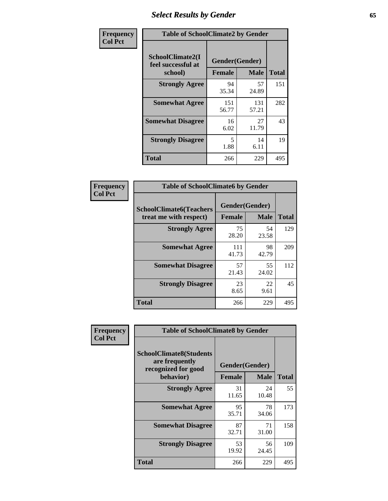# *Select Results by Gender* **65**

| Frequency      | <b>Table of SchoolClimate2 by Gender</b> |                |              |              |
|----------------|------------------------------------------|----------------|--------------|--------------|
| <b>Col Pct</b> | SchoolClimate2(I<br>feel successful at   | Gender(Gender) |              |              |
|                | school)                                  | <b>Female</b>  | <b>Male</b>  | <b>Total</b> |
|                | <b>Strongly Agree</b>                    | 94<br>35.34    | 57<br>24.89  | 151          |
|                | <b>Somewhat Agree</b>                    | 151<br>56.77   | 131<br>57.21 | 282          |
|                | <b>Somewhat Disagree</b>                 | 16<br>6.02     | 27<br>11.79  | 43           |
|                | <b>Strongly Disagree</b>                 | 5<br>1.88      | 14<br>6.11   | 19           |
|                | <b>Total</b>                             | 266            | 229          | 495          |

| <b>Frequency</b> | <b>Table of SchoolClimate6 by Gender</b>                 |                                 |             |              |  |
|------------------|----------------------------------------------------------|---------------------------------|-------------|--------------|--|
| <b>Col Pct</b>   | <b>SchoolClimate6(Teachers</b><br>treat me with respect) | Gender(Gender)<br><b>Female</b> | <b>Male</b> | <b>Total</b> |  |
|                  | <b>Strongly Agree</b>                                    | 75<br>28.20                     | 54<br>23.58 | 129          |  |
|                  | <b>Somewhat Agree</b>                                    | 111<br>41.73                    | 98<br>42.79 | 209          |  |
|                  | <b>Somewhat Disagree</b>                                 | 57<br>21.43                     | 55<br>24.02 | 112          |  |
|                  | <b>Strongly Disagree</b>                                 | 23<br>8.65                      | 22<br>9.61  | 45           |  |
|                  | <b>Total</b>                                             | 266                             | 229         | 495          |  |

| <b>Frequency</b> | <b>Table of SchoolClimate8 by Gender</b>                                             |                                 |                            |     |
|------------------|--------------------------------------------------------------------------------------|---------------------------------|----------------------------|-----|
| <b>Col Pct</b>   | <b>SchoolClimate8(Students</b><br>are frequently<br>recognized for good<br>behavior) | Gender(Gender)<br><b>Female</b> | <b>Total</b>               |     |
|                  | <b>Strongly Agree</b>                                                                | 31<br>11.65                     | <b>Male</b><br>24<br>10.48 | 55  |
|                  | <b>Somewhat Agree</b>                                                                | 95<br>35.71                     | 78<br>34.06                | 173 |
|                  | <b>Somewhat Disagree</b>                                                             | 87<br>32.71                     | 71<br>31.00                | 158 |
|                  | <b>Strongly Disagree</b>                                                             | 53<br>19.92                     | 56<br>24.45                | 109 |
|                  | Total                                                                                | 266                             | 229                        | 495 |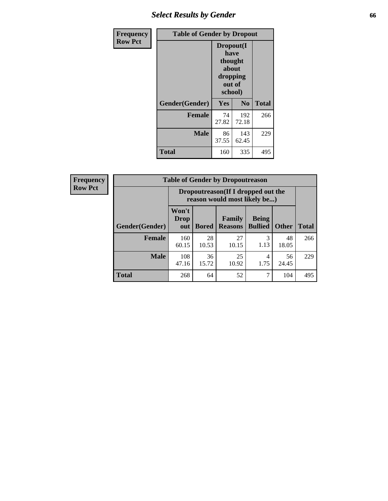# *Select Results by Gender* **66**

| Frequency      | <b>Table of Gender by Dropout</b> |                                                                        |                |              |
|----------------|-----------------------------------|------------------------------------------------------------------------|----------------|--------------|
| <b>Row Pct</b> |                                   | Dropout(I<br>have<br>thought<br>about<br>dropping<br>out of<br>school) |                |              |
|                | Gender(Gender)                    | Yes                                                                    | N <sub>0</sub> | <b>Total</b> |
|                | <b>Female</b>                     | 74<br>27.82                                                            | 192<br>72.18   | 266          |
|                | <b>Male</b>                       | 86<br>37.55                                                            | 143<br>62.45   | 229          |
|                | <b>Total</b>                      | 160                                                                    | 335            | 495          |

| <b>Frequency</b> | <b>Table of Gender by Dropoutreason</b> |                                                                     |              |                          |                                |              |              |
|------------------|-----------------------------------------|---------------------------------------------------------------------|--------------|--------------------------|--------------------------------|--------------|--------------|
| <b>Row Pct</b>   |                                         | Dropoutreason (If I dropped out the<br>reason would most likely be) |              |                          |                                |              |              |
|                  | Gender(Gender)                          | Won't<br><b>Drop</b><br>out                                         | <b>Bored</b> | Family<br><b>Reasons</b> | <b>Being</b><br><b>Bullied</b> | <b>Other</b> | <b>Total</b> |
|                  | <b>Female</b>                           | 160<br>60.15                                                        | 28<br>10.53  | 27<br>10.15              | 3<br>1.13                      | 48<br>18.05  | 266          |
|                  | <b>Male</b>                             | 108<br>47.16                                                        | 36<br>15.72  | 25<br>10.92              | 4<br>1.75                      | 56<br>24.45  | 229          |
|                  | <b>Total</b>                            | 268                                                                 | 64           | 52                       | 7                              | 104          | 495          |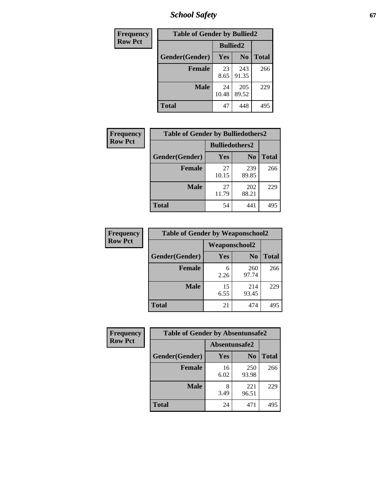*School Safety* **67**

| Frequency      | <b>Table of Gender by Bullied2</b> |                 |                |              |
|----------------|------------------------------------|-----------------|----------------|--------------|
| <b>Row Pct</b> |                                    | <b>Bullied2</b> |                |              |
|                | Gender(Gender)                     | Yes             | N <sub>0</sub> | <b>Total</b> |
|                | <b>Female</b>                      | 23<br>8.65      | 243<br>91.35   | 266          |
|                | <b>Male</b>                        | 24<br>10.48     | 205<br>89.52   | 229          |
|                | <b>Total</b>                       | 47              | 448            | 495          |

| Frequency      | <b>Table of Gender by Bulliedothers2</b> |                       |                |              |
|----------------|------------------------------------------|-----------------------|----------------|--------------|
| <b>Row Pct</b> |                                          | <b>Bulliedothers2</b> |                |              |
|                | Gender(Gender)                           | <b>Yes</b>            | N <sub>0</sub> | <b>Total</b> |
|                | <b>Female</b>                            | 27<br>10.15           | 239<br>89.85   | 266          |
|                | <b>Male</b>                              | 27<br>11.79           | 202<br>88.21   | 229          |
|                | <b>Total</b>                             | 54                    | 441            | 495          |

| <b>Frequency</b> | <b>Table of Gender by Weaponschool2</b> |                      |                |              |
|------------------|-----------------------------------------|----------------------|----------------|--------------|
| <b>Row Pct</b>   |                                         | <b>Weaponschool2</b> |                |              |
|                  | Gender(Gender)                          | Yes                  | N <sub>0</sub> | <b>Total</b> |
|                  | <b>Female</b>                           | 6<br>2.26            | 260<br>97.74   | 266          |
|                  | <b>Male</b>                             | 15<br>6.55           | 214<br>93.45   | 229          |
|                  | <b>Total</b>                            | 21                   | 474            | 495          |

| Frequency      | <b>Table of Gender by Absentunsafe2</b> |               |                |              |
|----------------|-----------------------------------------|---------------|----------------|--------------|
| <b>Row Pct</b> |                                         | Absentunsafe2 |                |              |
|                | Gender(Gender)                          | <b>Yes</b>    | N <sub>0</sub> | <b>Total</b> |
|                | <b>Female</b>                           | 16<br>6.02    | 250<br>93.98   | 266          |
|                | <b>Male</b>                             | 3.49          | 221<br>96.51   | 229          |
|                | <b>Total</b>                            | 24            | 471            | 495          |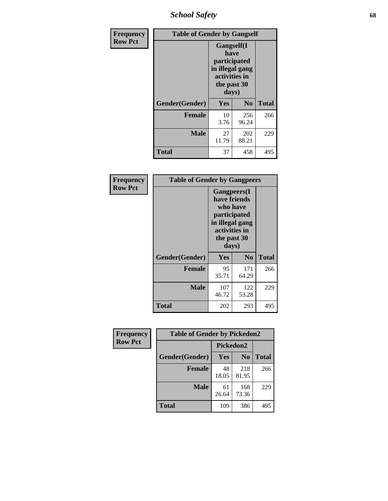*School Safety* **68**

| Frequency      | <b>Table of Gender by Gangself</b> |                                                                                                        |              |              |
|----------------|------------------------------------|--------------------------------------------------------------------------------------------------------|--------------|--------------|
| <b>Row Pct</b> |                                    | <b>Gangself</b> (I<br>have<br>participated<br>in illegal gang<br>activities in<br>the past 30<br>days) |              |              |
|                | Gender(Gender)                     | Yes                                                                                                    | $\bf No$     | <b>Total</b> |
|                | <b>Female</b>                      | 10<br>3.76                                                                                             | 256<br>96.24 | 266          |
|                | <b>Male</b>                        | 27<br>11.79                                                                                            | 202<br>88.21 | 229          |
|                | <b>Total</b>                       | 37                                                                                                     | 458          | 495          |

| Frequency      | <b>Table of Gender by Gangpeers</b> |                                                                                                                             |                |              |
|----------------|-------------------------------------|-----------------------------------------------------------------------------------------------------------------------------|----------------|--------------|
| <b>Row Pct</b> |                                     | <b>Gangpeers</b> (I<br>have friends<br>who have<br>participated<br>in illegal gang<br>activities in<br>the past 30<br>days) |                |              |
|                | Gender(Gender)                      | <b>Yes</b>                                                                                                                  | N <sub>0</sub> | <b>Total</b> |
|                | <b>Female</b>                       | 95<br>35.71                                                                                                                 | 171<br>64.29   | 266          |
|                | <b>Male</b>                         | 107<br>46.72                                                                                                                | 122<br>53.28   | 229          |
|                | <b>Total</b>                        | 202                                                                                                                         | 293            | 495          |

| Frequency      | <b>Table of Gender by Pickedon2</b> |                  |                |              |
|----------------|-------------------------------------|------------------|----------------|--------------|
| <b>Row Pct</b> |                                     | <b>Pickedon2</b> |                |              |
|                | Gender(Gender)                      | Yes              | N <sub>0</sub> | <b>Total</b> |
|                | <b>Female</b>                       | 48<br>18.05      | 218<br>81.95   | 266          |
|                | <b>Male</b>                         | 61<br>26.64      | 168<br>73.36   | 229          |
|                | <b>Total</b>                        | 109              | 386            | 495          |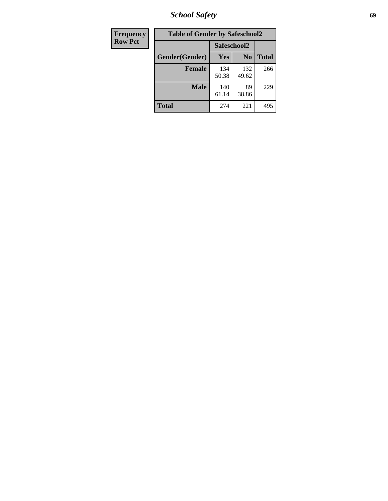*School Safety* **69**

| Frequency      | <b>Table of Gender by Safeschool2</b> |              |                |              |
|----------------|---------------------------------------|--------------|----------------|--------------|
| <b>Row Pct</b> |                                       |              | Safeschool2    |              |
|                | Gender(Gender)                        | <b>Yes</b>   | N <sub>0</sub> | <b>Total</b> |
|                | <b>Female</b>                         | 134<br>50.38 | 132<br>49.62   | 266          |
|                | Male                                  | 140<br>61.14 | 89<br>38.86    | 229          |
|                | <b>Total</b>                          | 274          | 221            | 495          |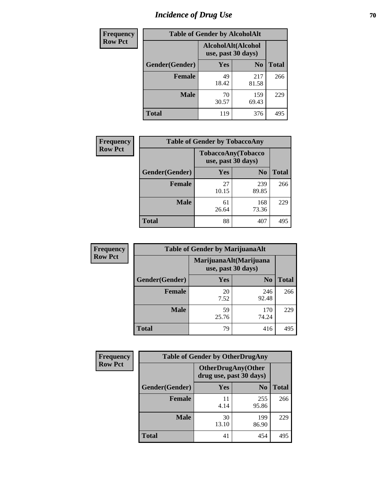# *Incidence of Drug Use* **70**

| <b>Frequency</b> | <b>Table of Gender by AlcoholAlt</b> |                                          |                |              |
|------------------|--------------------------------------|------------------------------------------|----------------|--------------|
| <b>Row Pct</b>   |                                      | AlcoholAlt(Alcohol<br>use, past 30 days) |                |              |
|                  | Gender(Gender)                       | <b>Yes</b>                               | N <sub>0</sub> | <b>Total</b> |
|                  | <b>Female</b>                        | 49<br>18.42                              | 217<br>81.58   | 266          |
|                  | <b>Male</b>                          | 70<br>30.57                              | 159<br>69.43   | 229          |
|                  | <b>Total</b>                         | 119                                      | 376            | 495          |

| Frequency      | <b>Table of Gender by TobaccoAny</b> |                    |                    |              |  |
|----------------|--------------------------------------|--------------------|--------------------|--------------|--|
| <b>Row Pct</b> |                                      | use, past 30 days) | TobaccoAny(Tobacco |              |  |
|                | Gender(Gender)                       | Yes                | N <sub>0</sub>     | <b>Total</b> |  |
|                | <b>Female</b>                        | 27<br>10.15        | 239<br>89.85       | 266          |  |
|                | <b>Male</b>                          | 61<br>26.64        | 168<br>73.36       | 229          |  |
|                | Total                                | 88                 | 407                | 49.          |  |

| <b>Frequency</b> | <b>Table of Gender by MarijuanaAlt</b> |                                              |                |              |
|------------------|----------------------------------------|----------------------------------------------|----------------|--------------|
| <b>Row Pct</b>   |                                        | MarijuanaAlt(Marijuana<br>use, past 30 days) |                |              |
|                  | Gender(Gender)                         | Yes                                          | N <sub>0</sub> | <b>Total</b> |
|                  | <b>Female</b>                          | 20<br>7.52                                   | 246<br>92.48   | 266          |
|                  | <b>Male</b>                            | 59<br>25.76                                  | 170<br>74.24   | 229          |
|                  | <b>Total</b>                           | 79                                           | 416            | 495          |

| <b>Frequency</b> | <b>Table of Gender by OtherDrugAny</b> |                                                      |                |              |
|------------------|----------------------------------------|------------------------------------------------------|----------------|--------------|
| <b>Row Pct</b>   |                                        | <b>OtherDrugAny(Other</b><br>drug use, past 30 days) |                |              |
|                  | Gender(Gender)                         | <b>Yes</b>                                           | N <sub>0</sub> | <b>Total</b> |
|                  | <b>Female</b>                          | 11<br>4.14                                           | 255<br>95.86   | 266          |
|                  | <b>Male</b>                            | 30<br>13.10                                          | 199<br>86.90   | 229          |
|                  | <b>Total</b>                           | 41                                                   | 454            | 495          |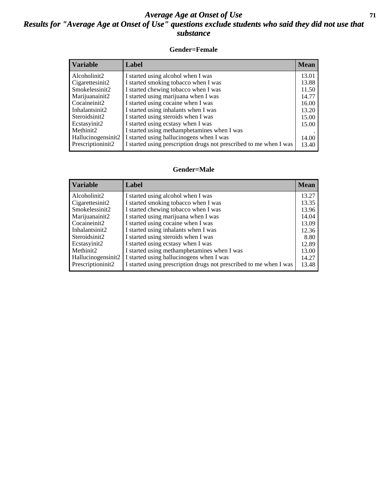#### *Average Age at Onset of Use* **71** *Results for "Average Age at Onset of Use" questions exclude students who said they did not use that substance*

#### **Gender=Female**

| <b>Variable</b>                 | <b>Label</b>                                                       | <b>Mean</b> |
|---------------------------------|--------------------------------------------------------------------|-------------|
| Alcoholinit2                    | I started using alcohol when I was                                 | 13.01       |
| Cigarettesinit2                 | I started smoking tobacco when I was                               | 13.88       |
| Smokelessinit2                  | I started chewing tobacco when I was                               | 11.50       |
| Marijuanainit2                  | I started using marijuana when I was                               | 14.77       |
| Cocaineinit2                    | I started using cocaine when I was                                 | 16.00       |
| Inhalantsinit2                  | I started using inhalants when I was                               | 13.20       |
| Steroidsinit2                   | I started using steroids when I was                                | 15.00       |
| Ecstasyinit2                    | I started using ecstasy when I was                                 | 15.00       |
| Methinit2                       | I started using methamphetamines when I was                        |             |
| Hallucinogensinit2              | I started using hallucinogens when I was                           | 14.00       |
| Prescription in it <sub>2</sub> | I started using prescription drugs not prescribed to me when I was | 13.40       |

#### **Gender=Male**

| <b>Variable</b>                 | Label                                                              | <b>Mean</b> |
|---------------------------------|--------------------------------------------------------------------|-------------|
| Alcoholinit2                    | I started using alcohol when I was                                 | 13.27       |
| Cigarettesinit2                 | I started smoking tobacco when I was                               | 13.35       |
| Smokelessinit2                  | I started chewing tobacco when I was                               | 13.96       |
| Marijuanainit2                  | I started using marijuana when I was                               | 14.04       |
| Cocaineinit2                    | I started using cocaine when I was                                 | 13.09       |
| Inhalantsinit2                  | I started using inhalants when I was                               | 12.36       |
| Steroidsinit2                   | I started using steroids when I was                                | 8.80        |
| Ecstasyinit2                    | I started using ecstasy when I was                                 | 12.89       |
| Methinit2                       | I started using methamphetamines when I was                        | 13.00       |
| Hallucinogensinit2              | I started using hallucinogens when I was                           | 14.27       |
| Prescription in it <sub>2</sub> | I started using prescription drugs not prescribed to me when I was | 13.48       |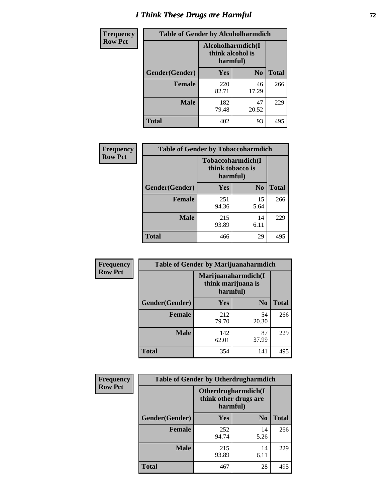# *I Think These Drugs are Harmful* **72**

| Frequency      | <b>Table of Gender by Alcoholharmdich</b> |                              |                   |              |
|----------------|-------------------------------------------|------------------------------|-------------------|--------------|
| <b>Row Pct</b> |                                           | think alcohol is<br>harmful) | Alcoholharmdich(I |              |
|                | <b>Gender</b> (Gender)                    | <b>Yes</b>                   | N <sub>0</sub>    | <b>Total</b> |
|                | <b>Female</b>                             | 220<br>82.71                 | 46<br>17.29       | 266          |
|                | <b>Male</b>                               | 182<br>79.48                 | 47<br>20.52       | 229          |
|                | <b>Total</b>                              | 402                          | 93                | 495          |

| Frequency      | <b>Table of Gender by Tobaccoharmdich</b> |                  |                               |              |  |
|----------------|-------------------------------------------|------------------|-------------------------------|--------------|--|
| <b>Row Pct</b> |                                           | think tobacco is | Tobaccoharmdich(I<br>harmful) |              |  |
|                | Gender(Gender)                            | <b>Yes</b>       | N <sub>0</sub>                | <b>Total</b> |  |
|                | <b>Female</b>                             | 251<br>94.36     | 15<br>5.64                    | 266          |  |
|                | <b>Male</b>                               | 215<br>93.89     | 14<br>6.11                    | 229          |  |
|                | <b>Total</b>                              | 466              | 29                            | 495          |  |

| Frequency      | <b>Table of Gender by Marijuanaharmdich</b> |                                                       |                |              |  |
|----------------|---------------------------------------------|-------------------------------------------------------|----------------|--------------|--|
| <b>Row Pct</b> |                                             | Marijuanaharmdich(I<br>think marijuana is<br>harmful) |                |              |  |
|                | Gender(Gender)                              | <b>Yes</b>                                            | N <sub>0</sub> | <b>Total</b> |  |
|                | <b>Female</b>                               | 212<br>79.70                                          | 54<br>20.30    | 266          |  |
|                | <b>Male</b>                                 | 142<br>62.01                                          | 87<br>37.99    | 229          |  |
|                | <b>Total</b>                                | 354                                                   | 141            | 495          |  |

| Frequency      | <b>Table of Gender by Otherdrugharmdich</b> |                                   |                     |              |  |
|----------------|---------------------------------------------|-----------------------------------|---------------------|--------------|--|
| <b>Row Pct</b> |                                             | think other drugs are<br>harmful) | Otherdrugharmdich(I |              |  |
|                | Gender(Gender)                              | <b>Yes</b>                        | N <sub>0</sub>      | <b>Total</b> |  |
|                | <b>Female</b>                               | 252<br>94.74                      | 14<br>5.26          | 266          |  |
|                | <b>Male</b>                                 | 215<br>93.89                      | 14<br>6.11          | 229          |  |
|                | <b>Total</b>                                | 467                               | 28                  | 495          |  |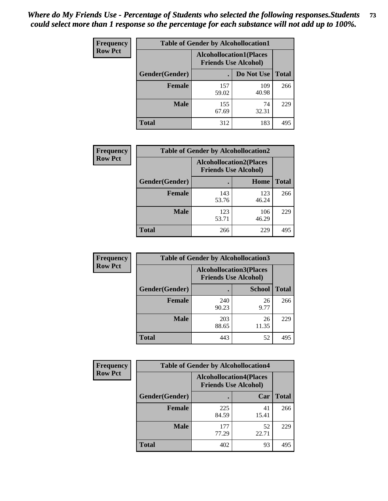| <b>Frequency</b> | <b>Table of Gender by Alcohollocation1</b> |                                                               |              |              |
|------------------|--------------------------------------------|---------------------------------------------------------------|--------------|--------------|
| <b>Row Pct</b>   |                                            | <b>Alcohollocation1(Places</b><br><b>Friends Use Alcohol)</b> |              |              |
|                  | Gender(Gender)                             |                                                               | Do Not Use   | <b>Total</b> |
|                  | <b>Female</b>                              | 157<br>59.02                                                  | 109<br>40.98 | 266          |
|                  | <b>Male</b>                                | 155<br>67.69                                                  | 74<br>32.31  | 229          |
|                  | Total                                      | 312                                                           | 183          | 495          |

| <b>Frequency</b> | <b>Table of Gender by Alcohollocation2</b> |                                |                             |              |
|------------------|--------------------------------------------|--------------------------------|-----------------------------|--------------|
| <b>Row Pct</b>   |                                            | <b>Alcohollocation2(Places</b> | <b>Friends Use Alcohol)</b> |              |
|                  | Gender(Gender)                             |                                | Home                        | <b>Total</b> |
|                  | Female                                     | 143<br>53.76                   | 123<br>46.24                | 266          |
|                  | <b>Male</b>                                | 123<br>53.71                   | 106<br>46.29                | 229          |
|                  | <b>Total</b>                               | 266                            | 229                         | 495          |

| Frequency      | <b>Table of Gender by Alcohollocation3</b> |                             |                                 |              |
|----------------|--------------------------------------------|-----------------------------|---------------------------------|--------------|
| <b>Row Pct</b> |                                            | <b>Friends Use Alcohol)</b> | <b>Alcohollocation3</b> (Places |              |
|                | Gender(Gender)                             |                             | <b>School</b>                   | <b>Total</b> |
|                | <b>Female</b>                              | 240<br>90.23                | 26<br>9.77                      | 266          |
|                | <b>Male</b>                                | 203<br>88.65                | 26<br>11.35                     | 229          |
|                | <b>Total</b>                               | 443                         | 52                              | 495          |

| Frequency      | <b>Table of Gender by Alcohollocation4</b> |                                                               |             |              |
|----------------|--------------------------------------------|---------------------------------------------------------------|-------------|--------------|
| <b>Row Pct</b> |                                            | <b>Alcohollocation4(Places</b><br><b>Friends Use Alcohol)</b> |             |              |
|                | Gender(Gender)                             |                                                               | Car         | <b>Total</b> |
|                | <b>Female</b>                              | 225<br>84.59                                                  | 41<br>15.41 | 266          |
|                | <b>Male</b>                                | 177<br>77.29                                                  | 52<br>22.71 | 229          |
|                | <b>Total</b>                               | 402                                                           | 93          | 495          |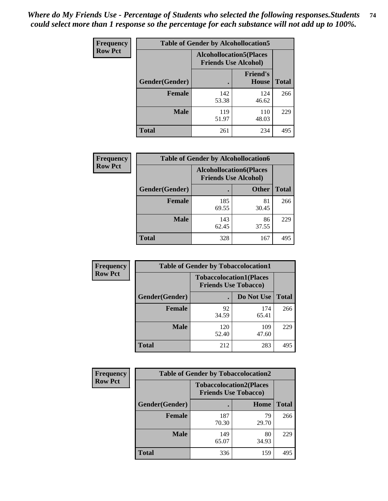| <b>Frequency</b> | <b>Table of Gender by Alcohollocation5</b> |                                                                |                                 |              |
|------------------|--------------------------------------------|----------------------------------------------------------------|---------------------------------|--------------|
| <b>Row Pct</b>   |                                            | <b>Alcohollocation5</b> (Places<br><b>Friends Use Alcohol)</b> |                                 |              |
|                  | Gender(Gender)                             |                                                                | <b>Friend's</b><br><b>House</b> | <b>Total</b> |
|                  | <b>Female</b>                              | 142<br>53.38                                                   | 124<br>46.62                    | 266          |
|                  | <b>Male</b>                                | 119<br>51.97                                                   | 110<br>48.03                    | 229          |
|                  | <b>Total</b>                               | 261                                                            | 234                             | 495          |

| Frequency      | <b>Table of Gender by Alcohollocation6</b> |                                                               |              |              |  |
|----------------|--------------------------------------------|---------------------------------------------------------------|--------------|--------------|--|
| <b>Row Pct</b> |                                            | <b>Alcohollocation6(Places</b><br><b>Friends Use Alcohol)</b> |              |              |  |
|                | Gender(Gender)                             |                                                               | <b>Other</b> | <b>Total</b> |  |
|                | <b>Female</b>                              | 185<br>69.55                                                  | 81<br>30.45  | 266          |  |
|                | <b>Male</b>                                | 143<br>62.45                                                  | 86<br>37.55  | 229          |  |
|                | <b>Total</b>                               | 328                                                           | 167          | 495          |  |

| Frequency      | <b>Table of Gender by Tobaccolocation1</b> |                                                               |              |              |  |
|----------------|--------------------------------------------|---------------------------------------------------------------|--------------|--------------|--|
| <b>Row Pct</b> |                                            | <b>Tobaccolocation1(Places</b><br><b>Friends Use Tobacco)</b> |              |              |  |
|                | Gender(Gender)                             |                                                               | Do Not Use   | <b>Total</b> |  |
|                | <b>Female</b>                              | 92<br>34.59                                                   | 174<br>65.41 | 266          |  |
|                | <b>Male</b>                                | 120<br>52.40                                                  | 109<br>47.60 | 229          |  |
|                | <b>Total</b>                               | 212                                                           | 283          | 495          |  |

| <b>Frequency</b> | <b>Table of Gender by Tobaccolocation2</b> |                                                               |             |              |
|------------------|--------------------------------------------|---------------------------------------------------------------|-------------|--------------|
| <b>Row Pct</b>   |                                            | <b>Tobaccolocation2(Places</b><br><b>Friends Use Tobacco)</b> |             |              |
|                  | Gender(Gender)                             |                                                               | Home        | <b>Total</b> |
|                  | <b>Female</b>                              | 187<br>70.30                                                  | 79<br>29.70 | 266          |
|                  | <b>Male</b>                                | 149<br>65.07                                                  | 80<br>34.93 | 229          |
|                  | <b>Total</b>                               | 336                                                           | 159         | 495          |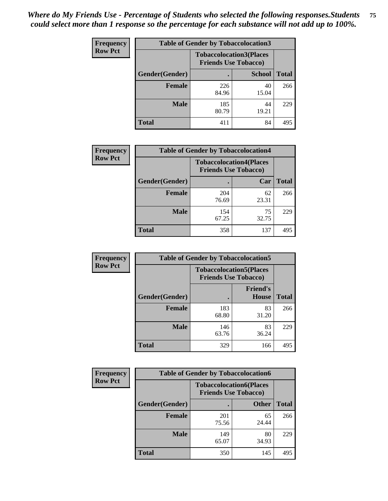| <b>Frequency</b> | <b>Table of Gender by Tobaccolocation3</b> |                                                               |               |              |
|------------------|--------------------------------------------|---------------------------------------------------------------|---------------|--------------|
| <b>Row Pct</b>   |                                            | <b>Tobaccolocation3(Places</b><br><b>Friends Use Tobacco)</b> |               |              |
|                  | Gender(Gender)                             |                                                               | <b>School</b> | <b>Total</b> |
|                  | <b>Female</b>                              | 226<br>84.96                                                  | 40<br>15.04   | 266          |
|                  | <b>Male</b>                                | 185<br>80.79                                                  | 44<br>19.21   | 229          |
|                  | <b>Total</b>                               | 411                                                           | 84            | 495          |

| <b>Frequency</b> | <b>Table of Gender by Tobaccolocation4</b> |                                                               |             |              |
|------------------|--------------------------------------------|---------------------------------------------------------------|-------------|--------------|
| <b>Row Pct</b>   |                                            | <b>Tobaccolocation4(Places</b><br><b>Friends Use Tobacco)</b> |             |              |
|                  | Gender(Gender)                             |                                                               | Car         | <b>Total</b> |
|                  | Female                                     | 204<br>76.69                                                  | 62<br>23.31 | 266          |
|                  | <b>Male</b>                                | 154<br>67.25                                                  | 75<br>32.75 | 229          |
|                  | <b>Total</b>                               | 358                                                           | 137         | 495          |

| <b>Frequency</b> | <b>Table of Gender by Tobaccolocation5</b> |                                                               |                          |              |  |
|------------------|--------------------------------------------|---------------------------------------------------------------|--------------------------|--------------|--|
| <b>Row Pct</b>   |                                            | <b>Tobaccolocation5(Places</b><br><b>Friends Use Tobacco)</b> |                          |              |  |
|                  | Gender(Gender)                             |                                                               | <b>Friend's</b><br>House | <b>Total</b> |  |
|                  | <b>Female</b>                              | 183<br>68.80                                                  | 83<br>31.20              | 266          |  |
|                  | <b>Male</b>                                | 146<br>63.76                                                  | 83<br>36.24              | 229          |  |
|                  | <b>Total</b>                               | 329                                                           | 166                      | 495          |  |

| <b>Frequency</b> | <b>Table of Gender by Tobaccolocation6</b> |                                                               |              |              |
|------------------|--------------------------------------------|---------------------------------------------------------------|--------------|--------------|
| <b>Row Pct</b>   |                                            | <b>Tobaccolocation6(Places</b><br><b>Friends Use Tobacco)</b> |              |              |
|                  | Gender(Gender)                             |                                                               | <b>Other</b> | <b>Total</b> |
|                  | Female                                     | 201<br>75.56                                                  | 65<br>24.44  | 266          |
|                  | <b>Male</b>                                | 149<br>65.07                                                  | 80<br>34.93  | 229          |
|                  | <b>Total</b>                               | 350                                                           | 145          | 495          |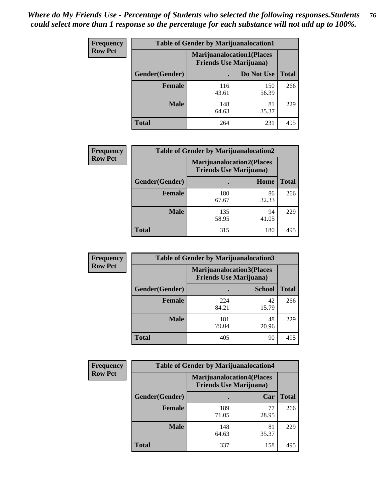| <b>Frequency</b> | <b>Table of Gender by Marijuanalocation1</b> |                                                                    |              |              |
|------------------|----------------------------------------------|--------------------------------------------------------------------|--------------|--------------|
| <b>Row Pct</b>   |                                              | <b>Marijuanalocation1(Places</b><br><b>Friends Use Marijuana</b> ) |              |              |
|                  | Gender(Gender)                               |                                                                    | Do Not Use   | <b>Total</b> |
|                  | <b>Female</b>                                | 116<br>43.61                                                       | 150<br>56.39 | 266          |
|                  | <b>Male</b>                                  | 148<br>64.63                                                       | 81<br>35.37  | 229          |
|                  | <b>Total</b>                                 | 264                                                                | 231          | 495          |

| <b>Frequency</b> | <b>Table of Gender by Marijuanalocation2</b> |                                                                    |             |              |
|------------------|----------------------------------------------|--------------------------------------------------------------------|-------------|--------------|
| <b>Row Pct</b>   |                                              | <b>Marijuanalocation2(Places</b><br><b>Friends Use Marijuana</b> ) |             |              |
|                  | Gender(Gender)                               |                                                                    | Home        | <b>Total</b> |
|                  | <b>Female</b>                                | 180<br>67.67                                                       | 86<br>32.33 | 266          |
|                  | <b>Male</b>                                  | 135<br>58.95                                                       | 94<br>41.05 | 229          |
|                  | <b>Total</b>                                 | 315                                                                | 180         | 495          |

| Frequency      | <b>Table of Gender by Marijuanalocation3</b> |                                                                    |               |              |
|----------------|----------------------------------------------|--------------------------------------------------------------------|---------------|--------------|
| <b>Row Pct</b> |                                              | <b>Marijuanalocation3(Places</b><br><b>Friends Use Marijuana</b> ) |               |              |
|                | Gender(Gender)                               |                                                                    | <b>School</b> | <b>Total</b> |
|                | Female                                       | 224<br>84.21                                                       | 42<br>15.79   | 266          |
|                | <b>Male</b>                                  | 181<br>79.04                                                       | 48<br>20.96   | 229          |
|                | <b>Total</b>                                 | 405                                                                | 90            | 495          |

| Frequency      | <b>Table of Gender by Marijuanalocation4</b> |                                                                    |             |              |
|----------------|----------------------------------------------|--------------------------------------------------------------------|-------------|--------------|
| <b>Row Pct</b> |                                              | <b>Marijuanalocation4(Places</b><br><b>Friends Use Marijuana</b> ) |             |              |
|                | Gender(Gender)                               |                                                                    | Car         | <b>Total</b> |
|                | <b>Female</b>                                | 189<br>71.05                                                       | 77<br>28.95 | 266          |
|                | <b>Male</b>                                  | 148<br>64.63                                                       | 81<br>35.37 | 229          |
|                | <b>Total</b>                                 | 337                                                                | 158         | 495          |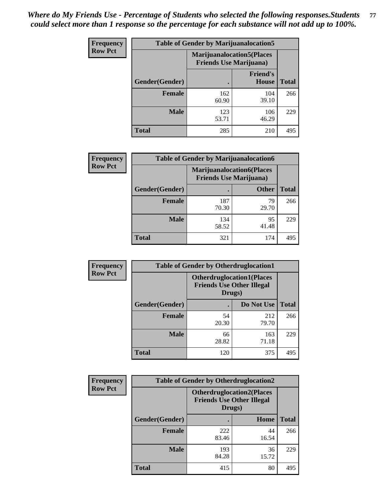| <b>Frequency</b> | <b>Table of Gender by Marijuanalocation5</b> |                                                                     |                                 |              |
|------------------|----------------------------------------------|---------------------------------------------------------------------|---------------------------------|--------------|
| <b>Row Pct</b>   |                                              | <b>Marijuanalocation5</b> (Places<br><b>Friends Use Marijuana</b> ) |                                 |              |
|                  | Gender(Gender)                               |                                                                     | <b>Friend's</b><br><b>House</b> | <b>Total</b> |
|                  | <b>Female</b>                                | 162<br>60.90                                                        | 104<br>39.10                    | 266          |
|                  | <b>Male</b>                                  | 123<br>53.71                                                        | 106<br>46.29                    | 229          |
|                  | <b>Total</b>                                 | 285                                                                 | 210                             | 495          |

| <b>Frequency</b> | <b>Table of Gender by Marijuanalocation6</b> |                                |                                   |              |
|------------------|----------------------------------------------|--------------------------------|-----------------------------------|--------------|
| <b>Row Pct</b>   |                                              | <b>Friends Use Marijuana</b> ) | <b>Marijuanalocation6(Places)</b> |              |
|                  | Gender(Gender)                               |                                | <b>Other</b>                      | <b>Total</b> |
|                  | <b>Female</b>                                | 187<br>70.30                   | 79<br>29.70                       | 266          |
|                  | <b>Male</b>                                  | 134<br>58.52                   | 95<br>41.48                       | 229          |
|                  | <b>Total</b>                                 | 321                            | 174                               | 495          |

| <b>Frequency</b> | <b>Table of Gender by Otherdruglocation1</b> |             |                                                                                |              |
|------------------|----------------------------------------------|-------------|--------------------------------------------------------------------------------|--------------|
| <b>Row Pct</b>   |                                              |             | <b>Otherdruglocation1(Places</b><br><b>Friends Use Other Illegal</b><br>Drugs) |              |
|                  | Gender(Gender)                               |             | Do Not Use                                                                     | <b>Total</b> |
|                  | <b>Female</b>                                | 54<br>20.30 | 212<br>79.70                                                                   | 266          |
|                  | <b>Male</b>                                  | 66<br>28.82 | 163<br>71.18                                                                   | 229          |
|                  | <b>Total</b>                                 | 120         | 375                                                                            | 495          |

| Frequency      | <b>Table of Gender by Otherdruglocation2</b> |                                                                                |             |              |
|----------------|----------------------------------------------|--------------------------------------------------------------------------------|-------------|--------------|
| <b>Row Pct</b> |                                              | <b>Otherdruglocation2(Places</b><br><b>Friends Use Other Illegal</b><br>Drugs) |             |              |
|                | Gender(Gender)                               |                                                                                | Home        | <b>Total</b> |
|                | Female                                       | 222<br>83.46                                                                   | 44<br>16.54 | 266          |
|                | <b>Male</b>                                  | 193<br>84.28                                                                   | 36<br>15.72 | 229          |
|                | <b>Total</b>                                 | 415                                                                            | 80          | 495          |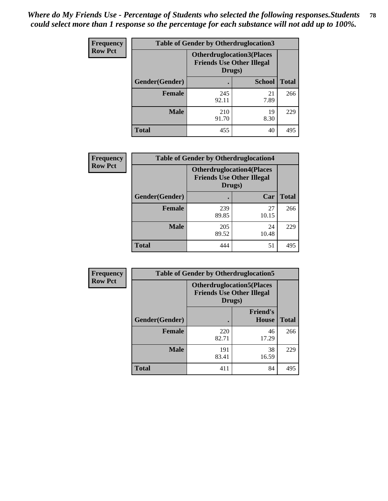| <b>Frequency</b> | <b>Table of Gender by Otherdruglocation3</b> |                                                                                |               |              |
|------------------|----------------------------------------------|--------------------------------------------------------------------------------|---------------|--------------|
| <b>Row Pct</b>   |                                              | <b>Otherdruglocation3(Places</b><br><b>Friends Use Other Illegal</b><br>Drugs) |               |              |
|                  | Gender(Gender)                               |                                                                                | <b>School</b> | <b>Total</b> |
|                  | <b>Female</b>                                | 245<br>92.11                                                                   | 21<br>7.89    | 266          |
|                  | <b>Male</b>                                  | 210<br>91.70                                                                   | 19<br>8.30    | 229          |
|                  | <b>Total</b>                                 | 455                                                                            | 40            | 495          |

| Frequency      | <b>Table of Gender by Otherdruglocation4</b> |                                                                                |             |              |
|----------------|----------------------------------------------|--------------------------------------------------------------------------------|-------------|--------------|
| <b>Row Pct</b> |                                              | <b>Otherdruglocation4(Places</b><br><b>Friends Use Other Illegal</b><br>Drugs) |             |              |
|                | Gender(Gender)                               |                                                                                | Car         | <b>Total</b> |
|                | <b>Female</b>                                | 239<br>89.85                                                                   | 27<br>10.15 | 266          |
|                | <b>Male</b>                                  | 205<br>89.52                                                                   | 24<br>10.48 | 229          |
|                | <b>Total</b>                                 | 444                                                                            | 51          | 495          |

| Frequency      | <b>Table of Gender by Otherdruglocation5</b> |                                                                                |                                 |              |
|----------------|----------------------------------------------|--------------------------------------------------------------------------------|---------------------------------|--------------|
| <b>Row Pct</b> |                                              | <b>Otherdruglocation5(Places</b><br><b>Friends Use Other Illegal</b><br>Drugs) |                                 |              |
|                | Gender(Gender)                               |                                                                                | <b>Friend's</b><br><b>House</b> | <b>Total</b> |
|                | <b>Female</b>                                | 220<br>82.71                                                                   | 46<br>17.29                     | 266          |
|                | <b>Male</b>                                  | 191<br>83.41                                                                   | 38<br>16.59                     | 229          |
|                | <b>Total</b>                                 | 411                                                                            | 84                              | 495          |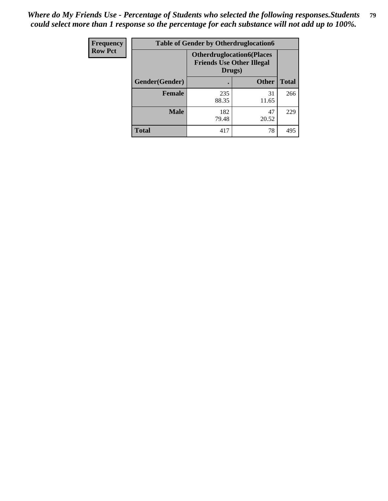| <b>Frequency</b> | <b>Table of Gender by Otherdruglocation6</b> |                                            |                                  |              |
|------------------|----------------------------------------------|--------------------------------------------|----------------------------------|--------------|
| <b>Row Pct</b>   |                                              | <b>Friends Use Other Illegal</b><br>Drugs) | <b>Otherdruglocation6(Places</b> |              |
|                  | Gender(Gender)                               |                                            | <b>Other</b>                     | <b>Total</b> |
|                  | Female                                       | 235<br>88.35                               | 31<br>11.65                      | 266          |
|                  | <b>Male</b>                                  | 182<br>79.48                               | 47<br>20.52                      | 229          |
|                  | <b>Total</b>                                 | 417                                        | 78                               | 495          |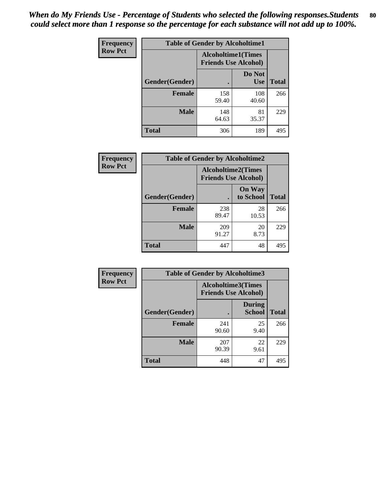| <b>Frequency</b> | <b>Table of Gender by Alcoholtime1</b> |                                                          |                      |              |
|------------------|----------------------------------------|----------------------------------------------------------|----------------------|--------------|
| <b>Row Pct</b>   |                                        | <b>Alcoholtime1(Times</b><br><b>Friends Use Alcohol)</b> |                      |              |
|                  | Gender(Gender)                         | ٠                                                        | Do Not<br><b>Use</b> | <b>Total</b> |
|                  | <b>Female</b>                          | 158<br>59.40                                             | 108<br>40.60         | 266          |
|                  | <b>Male</b>                            | 148<br>64.63                                             | 81<br>35.37          | 229          |
|                  | <b>Total</b>                           | 306                                                      | 189                  | 495          |

| Frequency      | <b>Table of Gender by Alcoholtime2</b> |                           |                             |              |
|----------------|----------------------------------------|---------------------------|-----------------------------|--------------|
| <b>Row Pct</b> |                                        | <b>Alcoholtime2(Times</b> | <b>Friends Use Alcohol)</b> |              |
|                | Gender(Gender)                         |                           | <b>On Way</b><br>to School  | <b>Total</b> |
|                | <b>Female</b>                          | 238<br>89.47              | 28<br>10.53                 | 266          |
|                | <b>Male</b>                            | 209<br>91.27              | 20<br>8.73                  | 229          |
|                | <b>Total</b>                           | 447                       | 48                          | 495          |

| Frequency      | <b>Table of Gender by Alcoholtime3</b> |                                                          |                                |              |
|----------------|----------------------------------------|----------------------------------------------------------|--------------------------------|--------------|
| <b>Row Pct</b> |                                        | <b>Alcoholtime3(Times</b><br><b>Friends Use Alcohol)</b> |                                |              |
|                | Gender(Gender)                         |                                                          | <b>During</b><br><b>School</b> | <b>Total</b> |
|                | <b>Female</b>                          | 241<br>90.60                                             | 25<br>9.40                     | 266          |
|                | <b>Male</b>                            | 207<br>90.39                                             | 22<br>9.61                     | 229          |
|                | <b>Total</b>                           | 448                                                      | 47                             | 495          |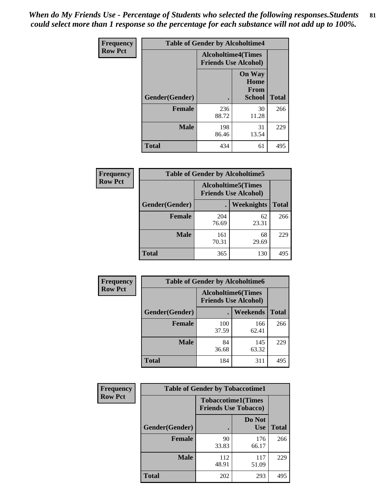*When do My Friends Use - Percentage of Students who selected the following responses.Students could select more than 1 response so the percentage for each substance will not add up to 100%.* **81**

| <b>Frequency</b> | <b>Table of Gender by Alcoholtime4</b> |                                                          |                                                |              |
|------------------|----------------------------------------|----------------------------------------------------------|------------------------------------------------|--------------|
| <b>Row Pct</b>   |                                        | <b>Alcoholtime4(Times</b><br><b>Friends Use Alcohol)</b> |                                                |              |
|                  | Gender(Gender)                         |                                                          | <b>On Way</b><br>Home<br>From<br><b>School</b> | <b>Total</b> |
|                  | <b>Female</b>                          | 236<br>88.72                                             | 30<br>11.28                                    | 266          |
|                  | <b>Male</b>                            | 198<br>86.46                                             | 31<br>13.54                                    | 229          |
|                  | <b>Total</b>                           | 434                                                      | 61                                             | 495          |

| <b>Frequency</b> | <b>Table of Gender by Alcoholtime5</b> |                                                          |             |              |
|------------------|----------------------------------------|----------------------------------------------------------|-------------|--------------|
| <b>Row Pct</b>   |                                        | <b>Alcoholtime5(Times</b><br><b>Friends Use Alcohol)</b> |             |              |
|                  | Gender(Gender)                         |                                                          | Weeknights  | <b>Total</b> |
|                  | <b>Female</b>                          | 204<br>76.69                                             | 62<br>23.31 | 266          |
|                  | <b>Male</b>                            | 161<br>70.31                                             | 68<br>29.69 | 229          |
|                  | <b>Total</b>                           | 365                                                      | 130         | 495          |

| <b>Frequency</b> |                | <b>Table of Gender by Alcoholtime6</b> |                                                          |              |
|------------------|----------------|----------------------------------------|----------------------------------------------------------|--------------|
| <b>Row Pct</b>   |                |                                        | <b>Alcoholtime6(Times</b><br><b>Friends Use Alcohol)</b> |              |
|                  | Gender(Gender) |                                        | Weekends                                                 | <b>Total</b> |
|                  | Female         | 100<br>37.59                           | 166<br>62.41                                             | 266          |
|                  | <b>Male</b>    | 84<br>36.68                            | 145<br>63.32                                             | 229          |
|                  | <b>Total</b>   | 184                                    | 311                                                      | 495          |

| <b>Frequency</b> | <b>Table of Gender by Tobaccotime1</b> |                                                          |                      |              |
|------------------|----------------------------------------|----------------------------------------------------------|----------------------|--------------|
| <b>Row Pct</b>   |                                        | <b>Tobaccotime1(Times</b><br><b>Friends Use Tobacco)</b> |                      |              |
|                  | Gender(Gender)                         |                                                          | Do Not<br><b>Use</b> | <b>Total</b> |
|                  | <b>Female</b>                          | 90<br>33.83                                              | 176<br>66.17         | 266          |
|                  | <b>Male</b>                            | 112<br>48.91                                             | 117<br>51.09         | 229          |
|                  | <b>Total</b>                           | 202                                                      | 293                  | 495          |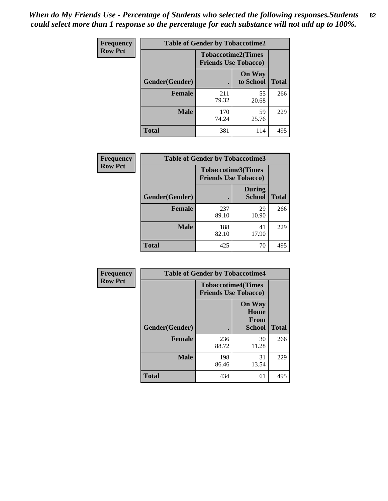*When do My Friends Use - Percentage of Students who selected the following responses.Students could select more than 1 response so the percentage for each substance will not add up to 100%.* **82**

| Frequency      | <b>Table of Gender by Tobaccotime2</b> |                                                          |                            |              |
|----------------|----------------------------------------|----------------------------------------------------------|----------------------------|--------------|
| <b>Row Pct</b> |                                        | <b>Tobaccotime2(Times</b><br><b>Friends Use Tobacco)</b> |                            |              |
|                | Gender(Gender)                         | $\bullet$                                                | <b>On Way</b><br>to School | <b>Total</b> |
|                | <b>Female</b>                          | 211<br>79.32                                             | 55<br>20.68                | 266          |
|                | <b>Male</b>                            | 170<br>74.24                                             | 59<br>25.76                | 229          |
|                | Total                                  | 381                                                      | 114                        | 495          |

| Frequency      | <b>Table of Gender by Tobaccotime3</b> |                             |                                |              |
|----------------|----------------------------------------|-----------------------------|--------------------------------|--------------|
| <b>Row Pct</b> |                                        | <b>Friends Use Tobacco)</b> | <b>Tobaccotime3(Times</b>      |              |
|                | Gender(Gender)                         |                             | <b>During</b><br><b>School</b> | <b>Total</b> |
|                | Female                                 | 237<br>89.10                | 29<br>10.90                    | 266          |
|                | <b>Male</b>                            | 188<br>82.10                | 41<br>17.90                    | 229          |
|                | <b>Total</b>                           | 425                         | 70                             | 495          |

| Frequency      | <b>Table of Gender by Tobaccotime4</b> |                                                          |                                                |              |
|----------------|----------------------------------------|----------------------------------------------------------|------------------------------------------------|--------------|
| <b>Row Pct</b> |                                        | <b>Tobaccotime4(Times</b><br><b>Friends Use Tobacco)</b> |                                                |              |
|                | Gender(Gender)                         |                                                          | <b>On Way</b><br>Home<br>From<br><b>School</b> | <b>Total</b> |
|                | <b>Female</b>                          | 236<br>88.72                                             | 30<br>11.28                                    | 266          |
|                | <b>Male</b>                            | 198<br>86.46                                             | 31<br>13.54                                    | 229          |
|                | <b>Total</b>                           | 434                                                      | 61                                             | 495          |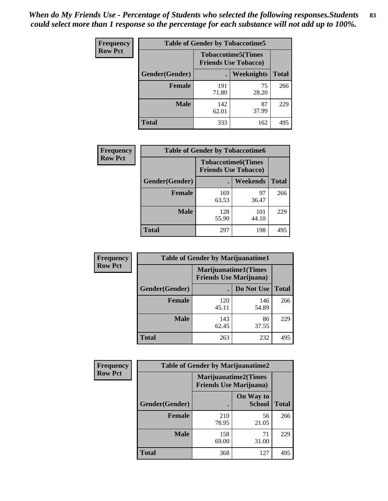| Frequency      | <b>Table of Gender by Tobaccotime5</b> |              |                                                           |              |  |
|----------------|----------------------------------------|--------------|-----------------------------------------------------------|--------------|--|
| <b>Row Pct</b> |                                        |              | <b>Tobaccotime5</b> (Times<br><b>Friends Use Tobacco)</b> |              |  |
|                | Gender(Gender)                         |              | <b>Weeknights</b>                                         | <b>Total</b> |  |
|                | <b>Female</b>                          | 191<br>71.80 | 75<br>28.20                                               | 266          |  |
|                | <b>Male</b>                            | 142<br>62.01 | 87<br>37.99                                               | 229          |  |
|                | <b>Total</b>                           | 333          | 162                                                       | 495          |  |

| <b>Frequency</b> | <b>Table of Gender by Tobaccotime6</b> |                                                          |                 |              |
|------------------|----------------------------------------|----------------------------------------------------------|-----------------|--------------|
| <b>Row Pct</b>   |                                        | <b>Tobaccotime6(Times</b><br><b>Friends Use Tobacco)</b> |                 |              |
|                  | Gender(Gender)                         |                                                          | <b>Weekends</b> | <b>Total</b> |
|                  | Female                                 | 169<br>63.53                                             | 97<br>36.47     | 266          |
|                  | <b>Male</b>                            | 128<br>55.90                                             | 101<br>44.10    | 229          |
|                  | <b>Total</b>                           | 297                                                      | 198             | 495          |

| Frequency      | <b>Table of Gender by Marijuanatime1</b> |                                                               |              |              |  |
|----------------|------------------------------------------|---------------------------------------------------------------|--------------|--------------|--|
| <b>Row Pct</b> |                                          | <b>Marijuanatime1(Times</b><br><b>Friends Use Marijuana</b> ) |              |              |  |
|                | Gender(Gender)                           |                                                               | Do Not Use   | <b>Total</b> |  |
|                | <b>Female</b>                            | 120<br>45.11                                                  | 146<br>54.89 | 266          |  |
|                | <b>Male</b>                              | 143<br>62.45                                                  | 86<br>37.55  | 229          |  |
|                | <b>Total</b>                             | 263                                                           | 232          | 495          |  |

| <b>Frequency</b> | <b>Table of Gender by Marijuanatime2</b> |                                                               |                            |              |
|------------------|------------------------------------------|---------------------------------------------------------------|----------------------------|--------------|
| <b>Row Pct</b>   |                                          | <b>Marijuanatime2(Times</b><br><b>Friends Use Marijuana</b> ) |                            |              |
|                  | Gender(Gender)                           |                                                               | On Way to<br><b>School</b> | <b>Total</b> |
|                  | Female                                   | 210<br>78.95                                                  | 56<br>21.05                | 266          |
|                  | <b>Male</b>                              | 158<br>69.00                                                  | 71<br>31.00                | 229          |
|                  | <b>Total</b>                             | 368                                                           | 127                        | 495          |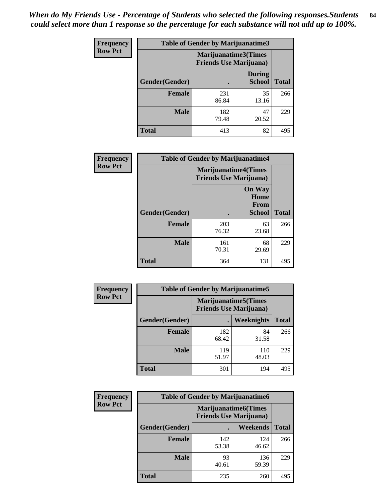| Frequency      | <b>Table of Gender by Marijuanatime3</b> |                                                        |                                |              |
|----------------|------------------------------------------|--------------------------------------------------------|--------------------------------|--------------|
| <b>Row Pct</b> |                                          | Marijuanatime3(Times<br><b>Friends Use Marijuana</b> ) |                                |              |
|                | Gender(Gender)                           |                                                        | <b>During</b><br><b>School</b> | <b>Total</b> |
|                | <b>Female</b>                            | 231<br>86.84                                           | 35<br>13.16                    | 266          |
|                | <b>Male</b>                              | 182<br>79.48                                           | 47<br>20.52                    | 229          |
|                | <b>Total</b>                             | 413                                                    | 82                             | 495          |

| Frequency      | <b>Table of Gender by Marijuanatime4</b> |                                |                                                       |              |
|----------------|------------------------------------------|--------------------------------|-------------------------------------------------------|--------------|
| <b>Row Pct</b> |                                          | <b>Friends Use Marijuana</b> ) | <b>Marijuanatime4</b> (Times                          |              |
|                | Gender(Gender)                           |                                | <b>On Way</b><br>Home<br><b>From</b><br><b>School</b> | <b>Total</b> |
|                | <b>Female</b>                            | 203<br>76.32                   | 63<br>23.68                                           | 266          |
|                | <b>Male</b>                              | 161<br>70.31                   | 68<br>29.69                                           | 229          |
|                | <b>Total</b>                             | 364                            | 131                                                   | 495          |

| Frequency      | <b>Table of Gender by Marijuanatime5</b> |              |                                                                |              |  |
|----------------|------------------------------------------|--------------|----------------------------------------------------------------|--------------|--|
| <b>Row Pct</b> |                                          |              | <b>Marijuanatime5</b> (Times<br><b>Friends Use Marijuana</b> ) |              |  |
|                | Gender(Gender)                           | ٠            | Weeknights                                                     | <b>Total</b> |  |
|                | <b>Female</b>                            | 182<br>68.42 | 84<br>31.58                                                    | 266          |  |
|                | <b>Male</b>                              | 119<br>51.97 | 110<br>48.03                                                   | 229          |  |
|                | <b>Total</b>                             | 301          | 194                                                            | 495          |  |

| Frequency      | <b>Table of Gender by Marijuanatime6</b> |                                                               |                 |              |  |
|----------------|------------------------------------------|---------------------------------------------------------------|-----------------|--------------|--|
| <b>Row Pct</b> |                                          | <b>Marijuanatime6(Times</b><br><b>Friends Use Marijuana</b> ) |                 |              |  |
|                | Gender(Gender)                           |                                                               | <b>Weekends</b> | <b>Total</b> |  |
|                | <b>Female</b>                            | 142<br>53.38                                                  | 124<br>46.62    | 266          |  |
|                | <b>Male</b>                              | 93<br>40.61                                                   | 136<br>59.39    | 229          |  |
|                | <b>Total</b>                             | 235                                                           | 260             | 495          |  |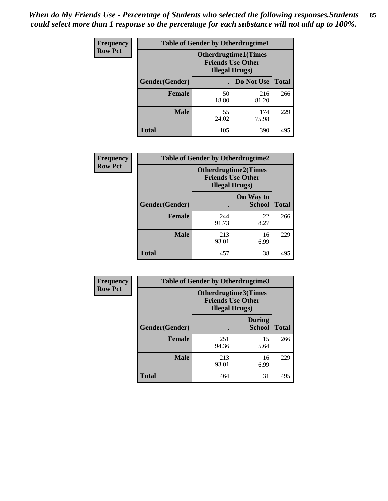| <b>Frequency</b> | <b>Table of Gender by Otherdrugtime1</b> |                                                    |                             |     |
|------------------|------------------------------------------|----------------------------------------------------|-----------------------------|-----|
| <b>Row Pct</b>   |                                          | <b>Friends Use Other</b><br><b>Illegal Drugs</b> ) | <b>Otherdrugtime1(Times</b> |     |
|                  | Gender(Gender)                           |                                                    | Do Not Use   Total          |     |
|                  | <b>Female</b>                            | 50<br>18.80                                        | 216<br>81.20                | 266 |
|                  | Male                                     | 55<br>24.02                                        | 174<br>75.98                | 229 |
|                  | <b>Total</b>                             | 105                                                | 390                         | 495 |

| Frequency      | <b>Table of Gender by Otherdrugtime2</b> |                                                                                   |                            |              |
|----------------|------------------------------------------|-----------------------------------------------------------------------------------|----------------------------|--------------|
| <b>Row Pct</b> |                                          | <b>Otherdrugtime2(Times</b><br><b>Friends Use Other</b><br><b>Illegal Drugs</b> ) |                            |              |
|                | Gender(Gender)                           |                                                                                   | On Way to<br><b>School</b> | <b>Total</b> |
|                | <b>Female</b>                            | 244<br>91.73                                                                      | 22<br>8.27                 | 266          |
|                | <b>Male</b>                              | 213<br>93.01                                                                      | 16<br>6.99                 | 229          |
|                | <b>Total</b>                             | 457                                                                               | 38                         | 495          |

| Frequency      | <b>Table of Gender by Otherdrugtime3</b> |                        |                                                         |              |
|----------------|------------------------------------------|------------------------|---------------------------------------------------------|--------------|
| <b>Row Pct</b> |                                          | <b>Illegal Drugs</b> ) | <b>Otherdrugtime3(Times</b><br><b>Friends Use Other</b> |              |
|                | Gender(Gender)                           |                        | <b>During</b><br><b>School</b>                          | <b>Total</b> |
|                | <b>Female</b>                            | 251<br>94.36           | 15<br>5.64                                              | 266          |
|                | <b>Male</b>                              | 213<br>93.01           | 16<br>6.99                                              | 229          |
|                | <b>Total</b>                             | 464                    | 31                                                      | 495          |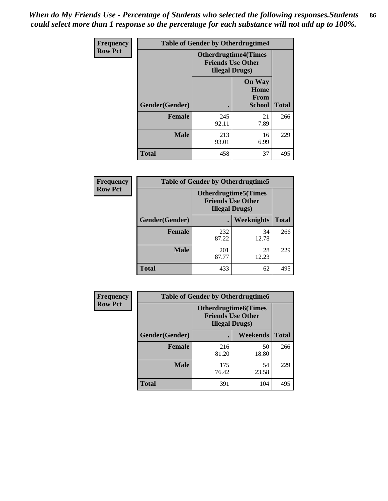*When do My Friends Use - Percentage of Students who selected the following responses.Students could select more than 1 response so the percentage for each substance will not add up to 100%.* **86**

| <b>Frequency</b> | <b>Table of Gender by Otherdrugtime4</b> |                                                    |                                                       |              |
|------------------|------------------------------------------|----------------------------------------------------|-------------------------------------------------------|--------------|
| <b>Row Pct</b>   |                                          | <b>Friends Use Other</b><br><b>Illegal Drugs</b> ) | <b>Otherdrugtime4(Times</b>                           |              |
|                  | Gender(Gender)                           |                                                    | <b>On Way</b><br>Home<br><b>From</b><br><b>School</b> | <b>Total</b> |
|                  | <b>Female</b>                            | 245<br>92.11                                       | 21<br>7.89                                            | 266          |
|                  | <b>Male</b>                              | 213<br>93.01                                       | 16<br>6.99                                            | 229          |
|                  | <b>Total</b>                             | 458                                                | 37                                                    | 495          |

| Frequency      | <b>Table of Gender by Otherdrugtime5</b> |                                                                                    |                   |              |
|----------------|------------------------------------------|------------------------------------------------------------------------------------|-------------------|--------------|
| <b>Row Pct</b> |                                          | <b>Otherdrugtime5</b> (Times<br><b>Friends Use Other</b><br><b>Illegal Drugs</b> ) |                   |              |
|                | Gender(Gender)                           |                                                                                    | <b>Weeknights</b> | <b>Total</b> |
|                | <b>Female</b>                            | 232<br>87.22                                                                       | 34<br>12.78       | 266          |
|                | <b>Male</b>                              | 201<br>87.77                                                                       | 28<br>12.23       | 229          |
|                | <b>Total</b>                             | 433                                                                                | 62                | 495          |

| <b>Frequency</b> | <b>Table of Gender by Otherdrugtime6</b> |                                                                                   |             |              |
|------------------|------------------------------------------|-----------------------------------------------------------------------------------|-------------|--------------|
| <b>Row Pct</b>   |                                          | <b>Otherdrugtime6(Times</b><br><b>Friends Use Other</b><br><b>Illegal Drugs</b> ) |             |              |
|                  | Gender(Gender)                           |                                                                                   | Weekends    | <b>Total</b> |
|                  | <b>Female</b>                            | 216<br>81.20                                                                      | 50<br>18.80 | 266          |
|                  | <b>Male</b>                              | 175<br>76.42                                                                      | 54<br>23.58 | 229          |
|                  | <b>Total</b>                             | 391                                                                               | 104         | 495          |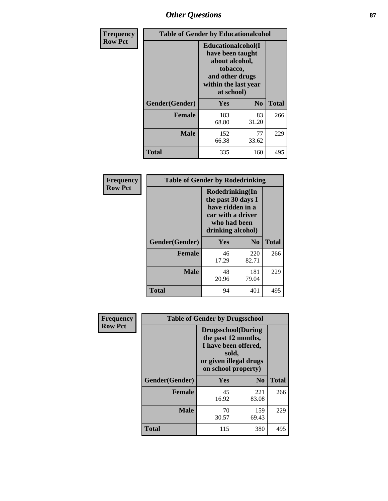# *Other Questions* **87**

| <b>Frequency</b> | <b>Table of Gender by Educationalcohol</b> |                                                                                                                                       |                |              |  |
|------------------|--------------------------------------------|---------------------------------------------------------------------------------------------------------------------------------------|----------------|--------------|--|
| <b>Row Pct</b>   |                                            | <b>Educationalcohol</b> (I<br>have been taught<br>about alcohol,<br>tobacco,<br>and other drugs<br>within the last year<br>at school) |                |              |  |
|                  | Gender(Gender)                             | <b>Yes</b>                                                                                                                            | N <sub>0</sub> | <b>Total</b> |  |
|                  | <b>Female</b>                              | 183<br>68.80                                                                                                                          | 83<br>31.20    | 266          |  |
|                  | <b>Male</b>                                | 152<br>66.38                                                                                                                          | 77<br>33.62    | 229          |  |
|                  | <b>Total</b>                               | 335                                                                                                                                   | 160            | 495          |  |

| Frequency      | <b>Table of Gender by Rodedrinking</b> |                                                                                                                     |                |              |  |
|----------------|----------------------------------------|---------------------------------------------------------------------------------------------------------------------|----------------|--------------|--|
| <b>Row Pct</b> |                                        | Rodedrinking(In<br>the past 30 days I<br>have ridden in a<br>car with a driver<br>who had been<br>drinking alcohol) |                |              |  |
|                | Gender(Gender)                         | Yes                                                                                                                 | N <sub>0</sub> | <b>Total</b> |  |
|                | <b>Female</b>                          | 46<br>17.29                                                                                                         | 220<br>82.71   | 266          |  |
|                | <b>Male</b>                            | 48<br>20.96                                                                                                         | 181<br>79.04   | 229          |  |
|                | <b>Total</b>                           | 94                                                                                                                  | 401            | 495          |  |

| Frequency      | <b>Table of Gender by Drugsschool</b> |                                                                                                                                     |                |              |  |
|----------------|---------------------------------------|-------------------------------------------------------------------------------------------------------------------------------------|----------------|--------------|--|
| <b>Row Pct</b> |                                       | <b>Drugsschool</b> (During<br>the past 12 months,<br>I have been offered,<br>sold,<br>or given illegal drugs<br>on school property) |                |              |  |
|                | Gender(Gender)                        | <b>Yes</b>                                                                                                                          | N <sub>0</sub> | <b>Total</b> |  |
|                | <b>Female</b>                         | 45<br>16.92                                                                                                                         | 221<br>83.08   | 266          |  |
|                | <b>Male</b>                           | 70<br>30.57                                                                                                                         | 159<br>69.43   | 229          |  |
|                | <b>Total</b>                          | 115                                                                                                                                 | 380            | 495          |  |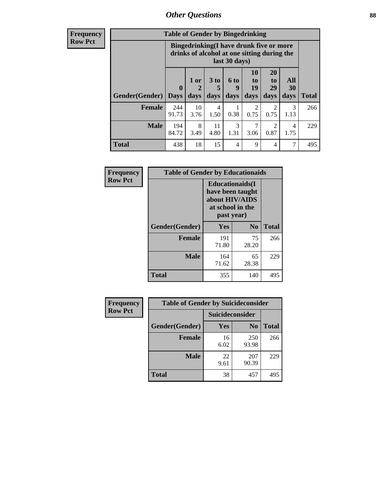# *Other Questions* **88**

**Frequency Row Pct**

| <b>Table of Gender by Bingedrinking</b> |                         |                                                                                                         |                   |                   |                        |                               |                   |              |
|-----------------------------------------|-------------------------|---------------------------------------------------------------------------------------------------------|-------------------|-------------------|------------------------|-------------------------------|-------------------|--------------|
|                                         |                         | Bingedrinking(I have drunk five or more<br>drinks of alcohol at one sitting during the<br>last 30 days) |                   |                   |                        |                               |                   |              |
| <b>Gender</b> (Gender)                  | $\bf{0}$<br><b>Days</b> | 1 or<br>days                                                                                            | 3 to<br>5<br>days | 6 to<br>9<br>days | 10<br>to<br>19<br>days | <b>20</b><br>to<br>29<br>days | All<br>30<br>days | <b>Total</b> |
| <b>Female</b>                           | 244<br>91.73            | 10<br>3.76                                                                                              | 4<br>1.50         | 0.38              | $\overline{2}$<br>0.75 | 2<br>0.75                     | 3<br>1.13         | 266          |
| <b>Male</b>                             | 194<br>84.72            | 8<br>3.49                                                                                               | 11<br>4.80        | 3<br>1.31         | 7<br>3.06              | $\mathfrak{D}$<br>0.87        | 4<br>1.75         | 229          |
| <b>Total</b>                            | 438                     | 18                                                                                                      | 15                | $\overline{4}$    | 9                      | 4                             | $\overline{7}$    | 495          |

| Frequency      | <b>Table of Gender by Educationaids</b> |                                                                                                 |             |              |  |
|----------------|-----------------------------------------|-------------------------------------------------------------------------------------------------|-------------|--------------|--|
| <b>Row Pct</b> |                                         | <b>Educationaids</b> (I<br>have been taught<br>about HIV/AIDS<br>at school in the<br>past year) |             |              |  |
|                | Gender(Gender)                          | Yes                                                                                             | $\bf N_0$   | <b>Total</b> |  |
|                | <b>Female</b>                           | 191<br>71.80                                                                                    | 75<br>28.20 | 266          |  |
|                | <b>Male</b>                             | 164<br>71.62                                                                                    | 65<br>28.38 | 229          |  |
|                | <b>Total</b>                            | 355                                                                                             | 140         | 495          |  |

| <b>Frequency</b> | <b>Table of Gender by Suicideconsider</b> |                 |                |              |  |
|------------------|-------------------------------------------|-----------------|----------------|--------------|--|
| <b>Row Pct</b>   |                                           | Suicideconsider |                |              |  |
|                  | Gender(Gender)                            | Yes             | N <sub>0</sub> | <b>Total</b> |  |
|                  | <b>Female</b>                             | 16<br>6.02      | 250<br>93.98   | 266          |  |
|                  | <b>Male</b>                               | 22<br>9.61      | 207<br>90.39   | 229          |  |
|                  | Total                                     | 38              | 457            | 495          |  |